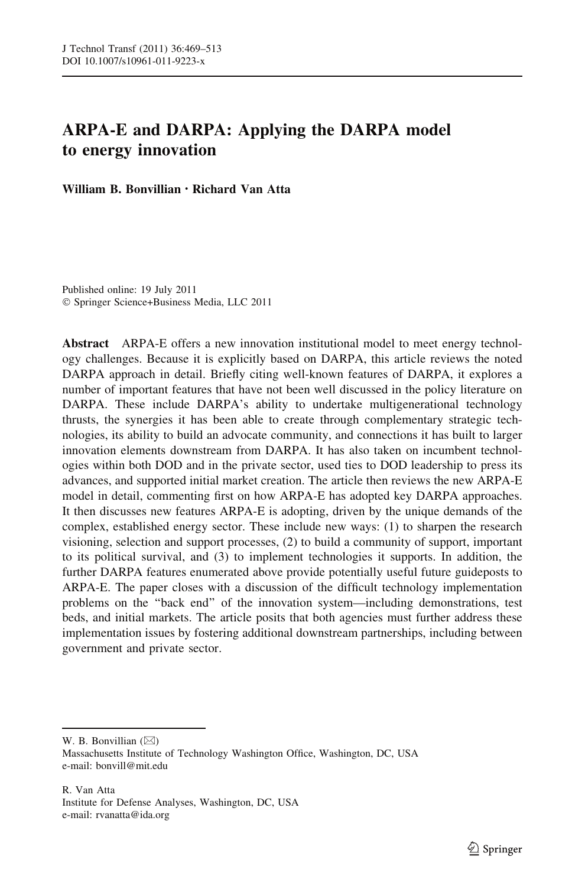# ARPA-E and DARPA: Applying the DARPA model to energy innovation

William B. Bonvillian • Richard Van Atta

Published online: 19 July 2011 - Springer Science+Business Media, LLC 2011

Abstract ARPA-E offers a new innovation institutional model to meet energy technology challenges. Because it is explicitly based on DARPA, this article reviews the noted DARPA approach in detail. Briefly citing well-known features of DARPA, it explores a number of important features that have not been well discussed in the policy literature on DARPA. These include DARPA's ability to undertake multigenerational technology thrusts, the synergies it has been able to create through complementary strategic technologies, its ability to build an advocate community, and connections it has built to larger innovation elements downstream from DARPA. It has also taken on incumbent technologies within both DOD and in the private sector, used ties to DOD leadership to press its advances, and supported initial market creation. The article then reviews the new ARPA-E model in detail, commenting first on how ARPA-E has adopted key DARPA approaches. It then discusses new features ARPA-E is adopting, driven by the unique demands of the complex, established energy sector. These include new ways: (1) to sharpen the research visioning, selection and support processes, (2) to build a community of support, important to its political survival, and (3) to implement technologies it supports. In addition, the further DARPA features enumerated above provide potentially useful future guideposts to ARPA-E. The paper closes with a discussion of the difficult technology implementation problems on the ''back end'' of the innovation system—including demonstrations, test beds, and initial markets. The article posits that both agencies must further address these implementation issues by fostering additional downstream partnerships, including between government and private sector.

W. B. Bonvillian  $(\boxtimes)$ 

Massachusetts Institute of Technology Washington Office, Washington, DC, USA e-mail: bonvill@mit.edu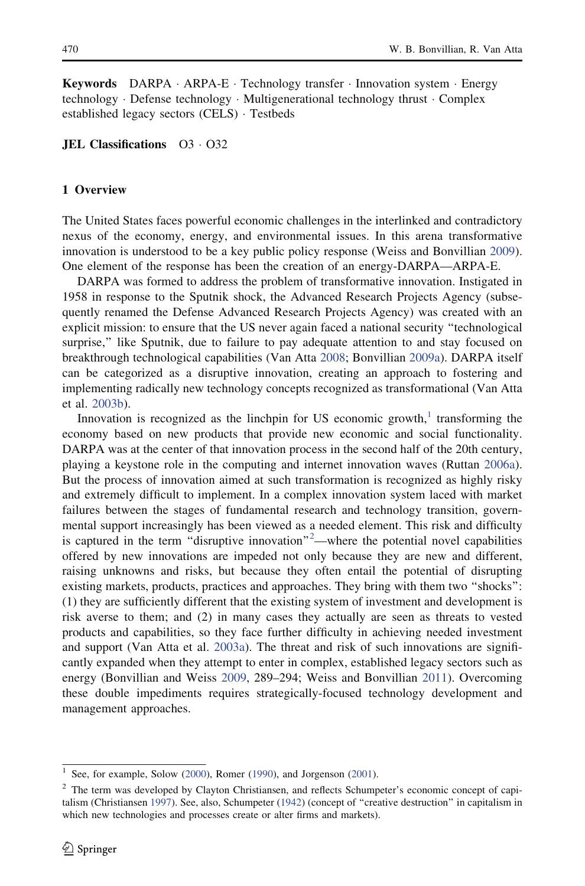Keywords DARPA · ARPA-E · Technology transfer · Innovation system · Energy technology - Defense technology - Multigenerational technology thrust - Complex established legacy sectors (CELS) - Testbeds

**JEL Classifications** O3 · O32

# 1 Overview

The United States faces powerful economic challenges in the interlinked and contradictory nexus of the economy, energy, and environmental issues. In this arena transformative innovation is understood to be a key public policy response (Weiss and Bonvillian [2009](#page-44-0)). One element of the response has been the creation of an energy-DARPA—ARPA-E.

DARPA was formed to address the problem of transformative innovation. Instigated in 1958 in response to the Sputnik shock, the Advanced Research Projects Agency (subsequently renamed the Defense Advanced Research Projects Agency) was created with an explicit mission: to ensure that the US never again faced a national security ''technological surprise," like Sputnik, due to failure to pay adequate attention to and stay focused on breakthrough technological capabilities (Van Atta [2008](#page-44-0); Bonvillian [2009a\)](#page-41-0). DARPA itself can be categorized as a disruptive innovation, creating an approach to fostering and implementing radically new technology concepts recognized as transformational (Van Atta et al. [2003b\)](#page-44-0).

Innovation is recognized as the linchpin for US economic growth, $\frac{1}{1}$  transforming the economy based on new products that provide new economic and social functionality. DARPA was at the center of that innovation process in the second half of the 20th century, playing a keystone role in the computing and internet innovation waves (Ruttan [2006a](#page-43-0)). But the process of innovation aimed at such transformation is recognized as highly risky and extremely difficult to implement. In a complex innovation system laced with market failures between the stages of fundamental research and technology transition, governmental support increasingly has been viewed as a needed element. This risk and difficulty is captured in the term "disruptive innovation"<sup>2</sup>—where the potential novel capabilities offered by new innovations are impeded not only because they are new and different, raising unknowns and risks, but because they often entail the potential of disrupting existing markets, products, practices and approaches. They bring with them two ''shocks'': (1) they are sufficiently different that the existing system of investment and development is risk averse to them; and (2) in many cases they actually are seen as threats to vested products and capabilities, so they face further difficulty in achieving needed investment and support (Van Atta et al. [2003a](#page-44-0)). The threat and risk of such innovations are significantly expanded when they attempt to enter in complex, established legacy sectors such as energy (Bonvillian and Weiss [2009](#page-42-0), 289–294; Weiss and Bonvillian [2011](#page-44-0)). Overcoming these double impediments requires strategically-focused technology development and management approaches.

<sup>&</sup>lt;sup>1</sup> See, for example, Solow [\(2000\)](#page-44-0), Romer [\(1990](#page-43-0)), and Jorgenson [\(2001](#page-43-0)).

<sup>&</sup>lt;sup>2</sup> The term was developed by Clayton Christiansen, and reflects Schumpeter's economic concept of capitalism (Christiansen [1997\)](#page-42-0). See, also, Schumpeter ([1942\)](#page-44-0) (concept of ''creative destruction'' in capitalism in which new technologies and processes create or alter firms and markets).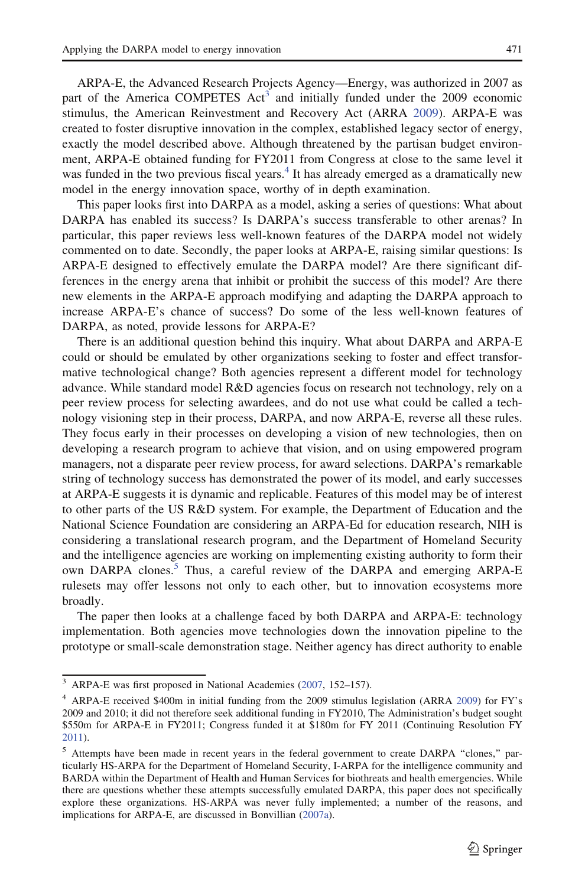ARPA-E, the Advanced Research Projects Agency—Energy, was authorized in 2007 as part of the America COMPETES Act<sup>3</sup> and initially funded under the 2009 economic stimulus, the American Reinvestment and Recovery Act (ARRA [2009\)](#page-41-0). ARPA-E was created to foster disruptive innovation in the complex, established legacy sector of energy, exactly the model described above. Although threatened by the partisan budget environment, ARPA-E obtained funding for FY2011 from Congress at close to the same level it was funded in the two previous fiscal years.<sup>4</sup> It has already emerged as a dramatically new model in the energy innovation space, worthy of in depth examination.

This paper looks first into DARPA as a model, asking a series of questions: What about DARPA has enabled its success? Is DARPA's success transferable to other arenas? In particular, this paper reviews less well-known features of the DARPA model not widely commented on to date. Secondly, the paper looks at ARPA-E, raising similar questions: Is ARPA-E designed to effectively emulate the DARPA model? Are there significant differences in the energy arena that inhibit or prohibit the success of this model? Are there new elements in the ARPA-E approach modifying and adapting the DARPA approach to increase ARPA-E's chance of success? Do some of the less well-known features of DARPA, as noted, provide lessons for ARPA-E?

There is an additional question behind this inquiry. What about DARPA and ARPA-E could or should be emulated by other organizations seeking to foster and effect transformative technological change? Both agencies represent a different model for technology advance. While standard model R&D agencies focus on research not technology, rely on a peer review process for selecting awardees, and do not use what could be called a technology visioning step in their process, DARPA, and now ARPA-E, reverse all these rules. They focus early in their processes on developing a vision of new technologies, then on developing a research program to achieve that vision, and on using empowered program managers, not a disparate peer review process, for award selections. DARPA's remarkable string of technology success has demonstrated the power of its model, and early successes at ARPA-E suggests it is dynamic and replicable. Features of this model may be of interest to other parts of the US R&D system. For example, the Department of Education and the National Science Foundation are considering an ARPA-Ed for education research, NIH is considering a translational research program, and the Department of Homeland Security and the intelligence agencies are working on implementing existing authority to form their own DARPA clones.<sup>5</sup> Thus, a careful review of the DARPA and emerging ARPA-E rulesets may offer lessons not only to each other, but to innovation ecosystems more broadly.

The paper then looks at a challenge faced by both DARPA and ARPA-E: technology implementation. Both agencies move technologies down the innovation pipeline to the prototype or small-scale demonstration stage. Neither agency has direct authority to enable

<sup>3</sup> ARPA-E was first proposed in National Academies ([2007](#page-43-0), 152–157).

<sup>4</sup> ARPA-E received \$400m in initial funding from the 2009 stimulus legislation (ARRA [2009\)](#page-41-0) for FY's 2009 and 2010; it did not therefore seek additional funding in FY2010, The Administration's budget sought \$550m for ARPA-E in FY2011; Congress funded it at \$180m for FY 2011 (Continuing Resolution FY [2011\)](#page-42-0).

<sup>&</sup>lt;sup>5</sup> Attempts have been made in recent years in the federal government to create DARPA "clones," particularly HS-ARPA for the Department of Homeland Security, I-ARPA for the intelligence community and BARDA within the Department of Health and Human Services for biothreats and health emergencies. While there are questions whether these attempts successfully emulated DARPA, this paper does not specifically explore these organizations. HS-ARPA was never fully implemented; a number of the reasons, and implications for ARPA-E, are discussed in Bonvillian ([2007a](#page-41-0)).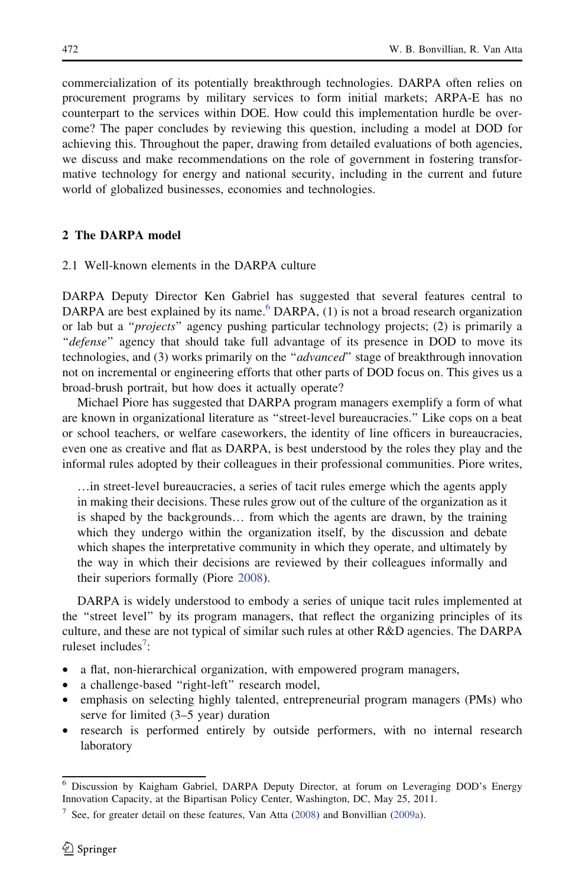commercialization of its potentially breakthrough technologies. DARPA often relies on procurement programs by military services to form initial markets; ARPA-E has no counterpart to the services within DOE. How could this implementation hurdle be overcome? The paper concludes by reviewing this question, including a model at DOD for achieving this. Throughout the paper, drawing from detailed evaluations of both agencies, we discuss and make recommendations on the role of government in fostering transformative technology for energy and national security, including in the current and future world of globalized businesses, economies and technologies.

#### 2 The DARPA model

2.1 Well-known elements in the DARPA culture

DARPA Deputy Director Ken Gabriel has suggested that several features central to DARPA are best explained by its name.  $6$  DARPA, (1) is not a broad research organization or lab but a "*projects*" agency pushing particular technology projects; (2) is primarily a "defense" agency that should take full advantage of its presence in DOD to move its technologies, and (3) works primarily on the "*advanced*" stage of breakthrough innovation not on incremental or engineering efforts that other parts of DOD focus on. This gives us a broad-brush portrait, but how does it actually operate?

Michael Piore has suggested that DARPA program managers exemplify a form of what are known in organizational literature as ''street-level bureaucracies.'' Like cops on a beat or school teachers, or welfare caseworkers, the identity of line officers in bureaucracies, even one as creative and flat as DARPA, is best understood by the roles they play and the informal rules adopted by their colleagues in their professional communities. Piore writes,

…in street-level bureaucracies, a series of tacit rules emerge which the agents apply in making their decisions. These rules grow out of the culture of the organization as it is shaped by the backgrounds… from which the agents are drawn, by the training which they undergo within the organization itself, by the discussion and debate which shapes the interpretative community in which they operate, and ultimately by the way in which their decisions are reviewed by their colleagues informally and their superiors formally (Piore [2008\)](#page-43-0).

DARPA is widely understood to embody a series of unique tacit rules implemented at the ''street level'' by its program managers, that reflect the organizing principles of its culture, and these are not typical of similar such rules at other R&D agencies. The DARPA ruleset includes<sup>7</sup>:

- a flat, non-hierarchical organization, with empowered program managers,
- a challenge-based "right-left" research model,
- emphasis on selecting highly talented, entrepreneurial program managers (PMs) who serve for limited (3–5 year) duration
- research is performed entirely by outside performers, with no internal research laboratory

<sup>6</sup> Discussion by Kaigham Gabriel, DARPA Deputy Director, at forum on Leveraging DOD's Energy Innovation Capacity, at the Bipartisan Policy Center, Washington, DC, May 25, 2011.

<sup>7</sup> See, for greater detail on these features, Van Atta ([2008](#page-44-0)) and Bonvillian ([2009a](#page-41-0)).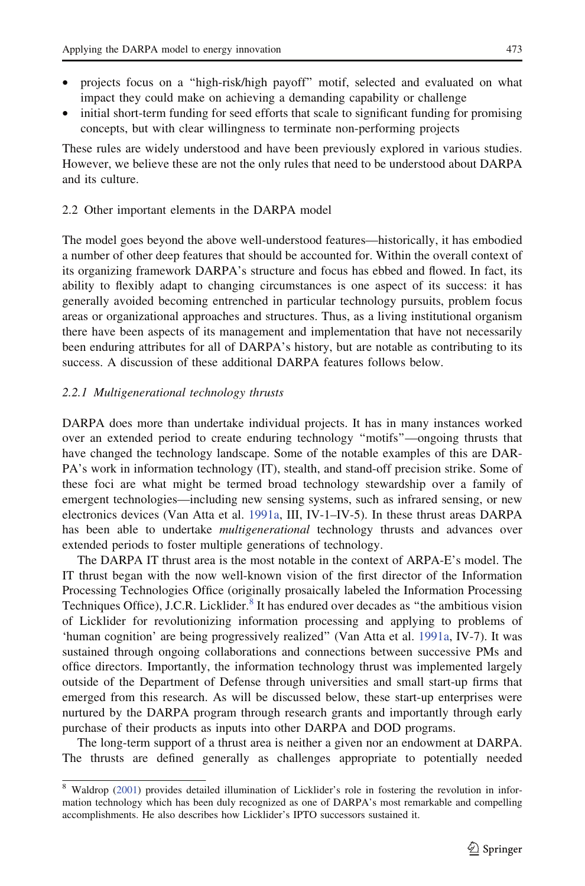- projects focus on a ''high-risk/high payoff'' motif, selected and evaluated on what impact they could make on achieving a demanding capability or challenge
- initial short-term funding for seed efforts that scale to significant funding for promising concepts, but with clear willingness to terminate non-performing projects

These rules are widely understood and have been previously explored in various studies. However, we believe these are not the only rules that need to be understood about DARPA and its culture.

### 2.2 Other important elements in the DARPA model

The model goes beyond the above well-understood features—historically, it has embodied a number of other deep features that should be accounted for. Within the overall context of its organizing framework DARPA's structure and focus has ebbed and flowed. In fact, its ability to flexibly adapt to changing circumstances is one aspect of its success: it has generally avoided becoming entrenched in particular technology pursuits, problem focus areas or organizational approaches and structures. Thus, as a living institutional organism there have been aspects of its management and implementation that have not necessarily been enduring attributes for all of DARPA's history, but are notable as contributing to its success. A discussion of these additional DARPA features follows below.

### 2.2.1 Multigenerational technology thrusts

DARPA does more than undertake individual projects. It has in many instances worked over an extended period to create enduring technology ''motifs''—ongoing thrusts that have changed the technology landscape. Some of the notable examples of this are DAR-PA's work in information technology (IT), stealth, and stand-off precision strike. Some of these foci are what might be termed broad technology stewardship over a family of emergent technologies—including new sensing systems, such as infrared sensing, or new electronics devices (Van Atta et al. [1991a,](#page-44-0) III, IV-1–IV-5). In these thrust areas DARPA has been able to undertake *multigenerational* technology thrusts and advances over extended periods to foster multiple generations of technology.

The DARPA IT thrust area is the most notable in the context of ARPA-E's model. The IT thrust began with the now well-known vision of the first director of the Information Processing Technologies Office (originally prosaically labeled the Information Processing Techniques Office), J.C.R. Licklider.<sup>8</sup> It has endured over decades as "the ambitious vision of Licklider for revolutionizing information processing and applying to problems of 'human cognition' are being progressively realized'' (Van Atta et al. [1991a,](#page-44-0) IV-7). It was sustained through ongoing collaborations and connections between successive PMs and office directors. Importantly, the information technology thrust was implemented largely outside of the Department of Defense through universities and small start-up firms that emerged from this research. As will be discussed below, these start-up enterprises were nurtured by the DARPA program through research grants and importantly through early purchase of their products as inputs into other DARPA and DOD programs.

The long-term support of a thrust area is neither a given nor an endowment at DARPA. The thrusts are defined generally as challenges appropriate to potentially needed

<sup>&</sup>lt;sup>8</sup> Waldrop ([2001](#page-44-0)) provides detailed illumination of Licklider's role in fostering the revolution in information technology which has been duly recognized as one of DARPA's most remarkable and compelling accomplishments. He also describes how Licklider's IPTO successors sustained it.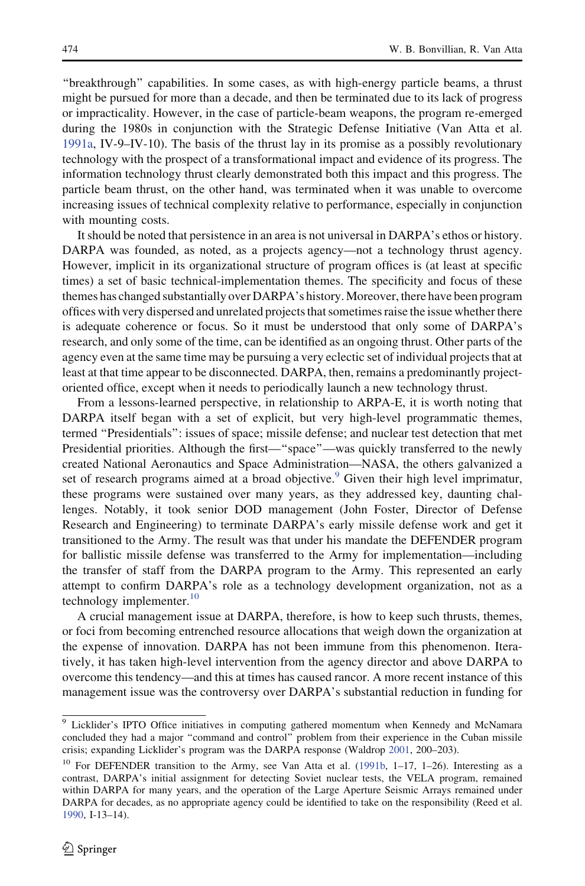''breakthrough'' capabilities. In some cases, as with high-energy particle beams, a thrust might be pursued for more than a decade, and then be terminated due to its lack of progress or impracticality. However, in the case of particle-beam weapons, the program re-emerged during the 1980s in conjunction with the Strategic Defense Initiative (Van Atta et al. [1991a,](#page-44-0) IV-9–IV-10). The basis of the thrust lay in its promise as a possibly revolutionary technology with the prospect of a transformational impact and evidence of its progress. The information technology thrust clearly demonstrated both this impact and this progress. The particle beam thrust, on the other hand, was terminated when it was unable to overcome increasing issues of technical complexity relative to performance, especially in conjunction with mounting costs.

It should be noted that persistence in an area is not universal in DARPA's ethos or history. DARPA was founded, as noted, as a projects agency—not a technology thrust agency. However, implicit in its organizational structure of program offices is (at least at specific times) a set of basic technical-implementation themes. The specificity and focus of these themes has changed substantially over DARPA's history. Moreover, there have been program offices with very dispersed and unrelated projects that sometimes raise the issue whether there is adequate coherence or focus. So it must be understood that only some of DARPA's research, and only some of the time, can be identified as an ongoing thrust. Other parts of the agency even at the same time may be pursuing a very eclectic set of individual projects that at least at that time appear to be disconnected. DARPA, then, remains a predominantly projectoriented office, except when it needs to periodically launch a new technology thrust.

From a lessons-learned perspective, in relationship to ARPA-E, it is worth noting that DARPA itself began with a set of explicit, but very high-level programmatic themes, termed ''Presidentials'': issues of space; missile defense; and nuclear test detection that met Presidential priorities. Although the first—"space"—was quickly transferred to the newly created National Aeronautics and Space Administration—NASA, the others galvanized a set of research programs aimed at a broad objective.<sup>9</sup> Given their high level imprimatur, these programs were sustained over many years, as they addressed key, daunting challenges. Notably, it took senior DOD management (John Foster, Director of Defense Research and Engineering) to terminate DARPA's early missile defense work and get it transitioned to the Army. The result was that under his mandate the DEFENDER program for ballistic missile defense was transferred to the Army for implementation—including the transfer of staff from the DARPA program to the Army. This represented an early attempt to confirm DARPA's role as a technology development organization, not as a technology implementer.<sup>10</sup>

A crucial management issue at DARPA, therefore, is how to keep such thrusts, themes, or foci from becoming entrenched resource allocations that weigh down the organization at the expense of innovation. DARPA has not been immune from this phenomenon. Iteratively, it has taken high-level intervention from the agency director and above DARPA to overcome this tendency—and this at times has caused rancor. A more recent instance of this management issue was the controversy over DARPA's substantial reduction in funding for

<sup>9</sup> Licklider's IPTO Office initiatives in computing gathered momentum when Kennedy and McNamara concluded they had a major ''command and control'' problem from their experience in the Cuban missile crisis; expanding Licklider's program was the DARPA response (Waldrop [2001](#page-44-0), 200–203).

<sup>&</sup>lt;sup>10</sup> For DEFENDER transition to the Army, see Van Atta et al. ([1991b,](#page-44-0) 1-17, 1-26). Interesting as a contrast, DARPA's initial assignment for detecting Soviet nuclear tests, the VELA program, remained within DARPA for many years, and the operation of the Large Aperture Seismic Arrays remained under DARPA for decades, as no appropriate agency could be identified to take on the responsibility (Reed et al. [1990,](#page-43-0) I-13–14).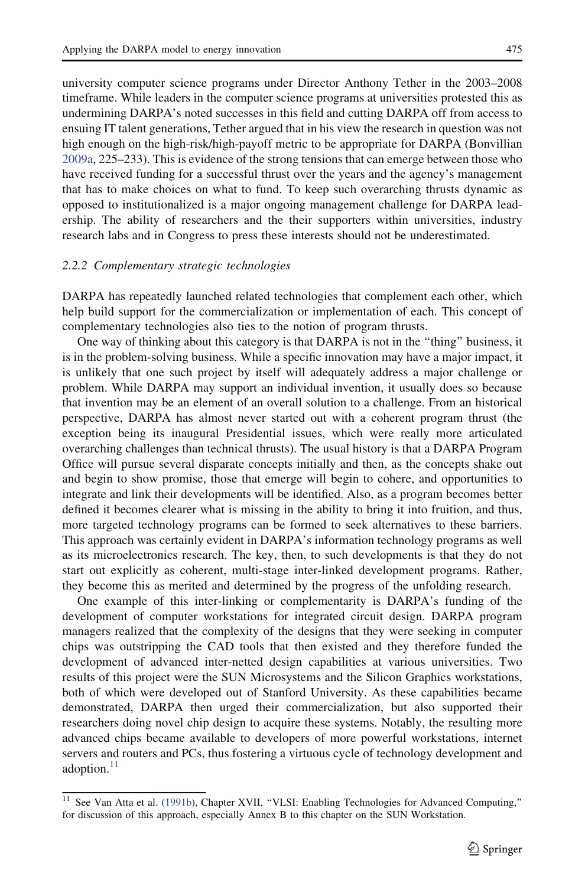university computer science programs under Director Anthony Tether in the 2003–2008 timeframe. While leaders in the computer science programs at universities protested this as undermining DARPA's noted successes in this field and cutting DARPA off from access to ensuing IT talent generations, Tether argued that in his view the research in question was not high enough on the high-risk/high-payoff metric to be appropriate for DARPA (Bonvillian [2009a,](#page-41-0) 225–233). This is evidence of the strong tensions that can emerge between those who have received funding for a successful thrust over the years and the agency's management that has to make choices on what to fund. To keep such overarching thrusts dynamic as opposed to institutionalized is a major ongoing management challenge for DARPA leadership. The ability of researchers and the their supporters within universities, industry research labs and in Congress to press these interests should not be underestimated.

### 2.2.2 Complementary strategic technologies

DARPA has repeatedly launched related technologies that complement each other, which help build support for the commercialization or implementation of each. This concept of complementary technologies also ties to the notion of program thrusts.

One way of thinking about this category is that DARPA is not in the ''thing'' business, it is in the problem-solving business. While a specific innovation may have a major impact, it is unlikely that one such project by itself will adequately address a major challenge or problem. While DARPA may support an individual invention, it usually does so because that invention may be an element of an overall solution to a challenge. From an historical perspective, DARPA has almost never started out with a coherent program thrust (the exception being its inaugural Presidential issues, which were really more articulated overarching challenges than technical thrusts). The usual history is that a DARPA Program Office will pursue several disparate concepts initially and then, as the concepts shake out and begin to show promise, those that emerge will begin to cohere, and opportunities to integrate and link their developments will be identified. Also, as a program becomes better defined it becomes clearer what is missing in the ability to bring it into fruition, and thus, more targeted technology programs can be formed to seek alternatives to these barriers. This approach was certainly evident in DARPA's information technology programs as well as its microelectronics research. The key, then, to such developments is that they do not start out explicitly as coherent, multi-stage inter-linked development programs. Rather, they become this as merited and determined by the progress of the unfolding research.

One example of this inter-linking or complementarity is DARPA's funding of the development of computer workstations for integrated circuit design. DARPA program managers realized that the complexity of the designs that they were seeking in computer chips was outstripping the CAD tools that then existed and they therefore funded the development of advanced inter-netted design capabilities at various universities. Two results of this project were the SUN Microsystems and the Silicon Graphics workstations, both of which were developed out of Stanford University. As these capabilities became demonstrated, DARPA then urged their commercialization, but also supported their researchers doing novel chip design to acquire these systems. Notably, the resulting more advanced chips became available to developers of more powerful workstations, internet servers and routers and PCs, thus fostering a virtuous cycle of technology development and adoption.<sup>11</sup>

<sup>&</sup>lt;sup>11</sup> See Van Atta et al. [\(1991b\)](#page-44-0), Chapter XVII, "VLSI: Enabling Technologies for Advanced Computing," for discussion of this approach, especially Annex B to this chapter on the SUN Workstation.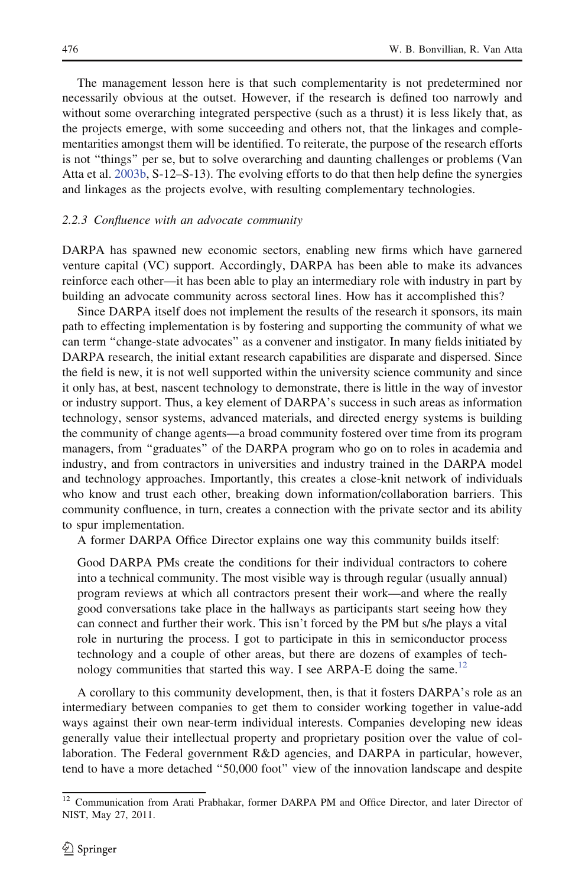The management lesson here is that such complementarity is not predetermined nor necessarily obvious at the outset. However, if the research is defined too narrowly and without some overarching integrated perspective (such as a thrust) it is less likely that, as the projects emerge, with some succeeding and others not, that the linkages and complementarities amongst them will be identified. To reiterate, the purpose of the research efforts is not ''things'' per se, but to solve overarching and daunting challenges or problems (Van Atta et al. [2003b,](#page-44-0) S-12–S-13). The evolving efforts to do that then help define the synergies and linkages as the projects evolve, with resulting complementary technologies.

#### 2.2.3 Confluence with an advocate community

DARPA has spawned new economic sectors, enabling new firms which have garnered venture capital (VC) support. Accordingly, DARPA has been able to make its advances reinforce each other—it has been able to play an intermediary role with industry in part by building an advocate community across sectoral lines. How has it accomplished this?

Since DARPA itself does not implement the results of the research it sponsors, its main path to effecting implementation is by fostering and supporting the community of what we can term ''change-state advocates'' as a convener and instigator. In many fields initiated by DARPA research, the initial extant research capabilities are disparate and dispersed. Since the field is new, it is not well supported within the university science community and since it only has, at best, nascent technology to demonstrate, there is little in the way of investor or industry support. Thus, a key element of DARPA's success in such areas as information technology, sensor systems, advanced materials, and directed energy systems is building the community of change agents—a broad community fostered over time from its program managers, from ''graduates'' of the DARPA program who go on to roles in academia and industry, and from contractors in universities and industry trained in the DARPA model and technology approaches. Importantly, this creates a close-knit network of individuals who know and trust each other, breaking down information/collaboration barriers. This community confluence, in turn, creates a connection with the private sector and its ability to spur implementation.

A former DARPA Office Director explains one way this community builds itself:

Good DARPA PMs create the conditions for their individual contractors to cohere into a technical community. The most visible way is through regular (usually annual) program reviews at which all contractors present their work—and where the really good conversations take place in the hallways as participants start seeing how they can connect and further their work. This isn't forced by the PM but s/he plays a vital role in nurturing the process. I got to participate in this in semiconductor process technology and a couple of other areas, but there are dozens of examples of technology communities that started this way. I see ARPA-E doing the same.<sup>12</sup>

A corollary to this community development, then, is that it fosters DARPA's role as an intermediary between companies to get them to consider working together in value-add ways against their own near-term individual interests. Companies developing new ideas generally value their intellectual property and proprietary position over the value of collaboration. The Federal government R&D agencies, and DARPA in particular, however, tend to have a more detached ''50,000 foot'' view of the innovation landscape and despite

<sup>12</sup> Communication from Arati Prabhakar, former DARPA PM and Office Director, and later Director of NIST, May 27, 2011.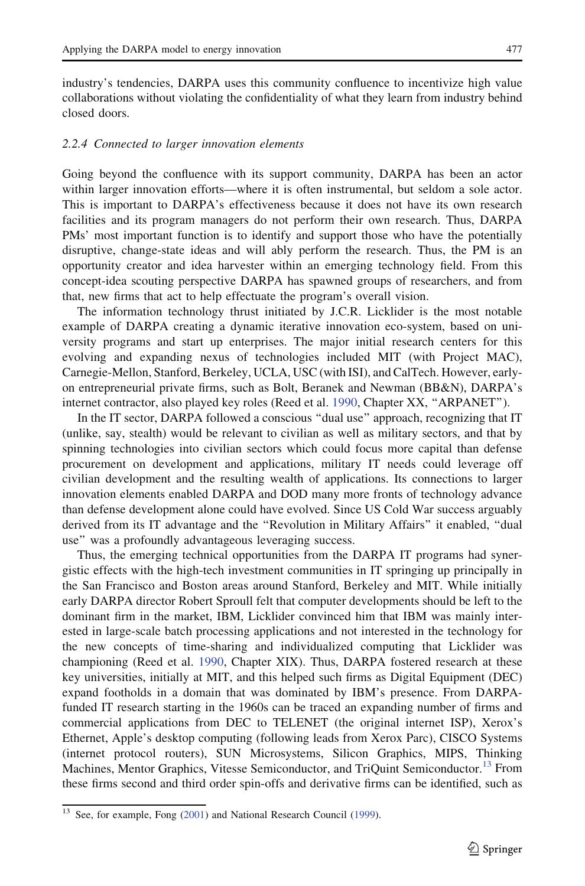industry's tendencies, DARPA uses this community confluence to incentivize high value collaborations without violating the confidentiality of what they learn from industry behind closed doors.

#### 2.2.4 Connected to larger innovation elements

Going beyond the confluence with its support community, DARPA has been an actor within larger innovation efforts—where it is often instrumental, but seldom a sole actor. This is important to DARPA's effectiveness because it does not have its own research facilities and its program managers do not perform their own research. Thus, DARPA PMs' most important function is to identify and support those who have the potentially disruptive, change-state ideas and will ably perform the research. Thus, the PM is an opportunity creator and idea harvester within an emerging technology field. From this concept-idea scouting perspective DARPA has spawned groups of researchers, and from that, new firms that act to help effectuate the program's overall vision.

The information technology thrust initiated by J.C.R. Licklider is the most notable example of DARPA creating a dynamic iterative innovation eco-system, based on university programs and start up enterprises. The major initial research centers for this evolving and expanding nexus of technologies included MIT (with Project MAC), Carnegie-Mellon, Stanford, Berkeley, UCLA, USC (with ISI), and CalTech. However, earlyon entrepreneurial private firms, such as Bolt, Beranek and Newman (BB&N), DARPA's internet contractor, also played key roles (Reed et al. [1990](#page-43-0), Chapter XX, ''ARPANET'').

In the IT sector, DARPA followed a conscious ''dual use'' approach, recognizing that IT (unlike, say, stealth) would be relevant to civilian as well as military sectors, and that by spinning technologies into civilian sectors which could focus more capital than defense procurement on development and applications, military IT needs could leverage off civilian development and the resulting wealth of applications. Its connections to larger innovation elements enabled DARPA and DOD many more fronts of technology advance than defense development alone could have evolved. Since US Cold War success arguably derived from its IT advantage and the ''Revolution in Military Affairs'' it enabled, ''dual use'' was a profoundly advantageous leveraging success.

Thus, the emerging technical opportunities from the DARPA IT programs had synergistic effects with the high-tech investment communities in IT springing up principally in the San Francisco and Boston areas around Stanford, Berkeley and MIT. While initially early DARPA director Robert Sproull felt that computer developments should be left to the dominant firm in the market, IBM, Licklider convinced him that IBM was mainly interested in large-scale batch processing applications and not interested in the technology for the new concepts of time-sharing and individualized computing that Licklider was championing (Reed et al. [1990](#page-43-0), Chapter XIX). Thus, DARPA fostered research at these key universities, initially at MIT, and this helped such firms as Digital Equipment (DEC) expand footholds in a domain that was dominated by IBM's presence. From DARPAfunded IT research starting in the 1960s can be traced an expanding number of firms and commercial applications from DEC to TELENET (the original internet ISP), Xerox's Ethernet, Apple's desktop computing (following leads from Xerox Parc), CISCO Systems (internet protocol routers), SUN Microsystems, Silicon Graphics, MIPS, Thinking Machines, Mentor Graphics, Vitesse Semiconductor, and TriQuint Semiconductor.<sup>13</sup> From these firms second and third order spin-offs and derivative firms can be identified, such as

<sup>&</sup>lt;sup>13</sup> See, for example, Fong [\(2001](#page-42-0)) and National Research Council [\(1999\)](#page-43-0).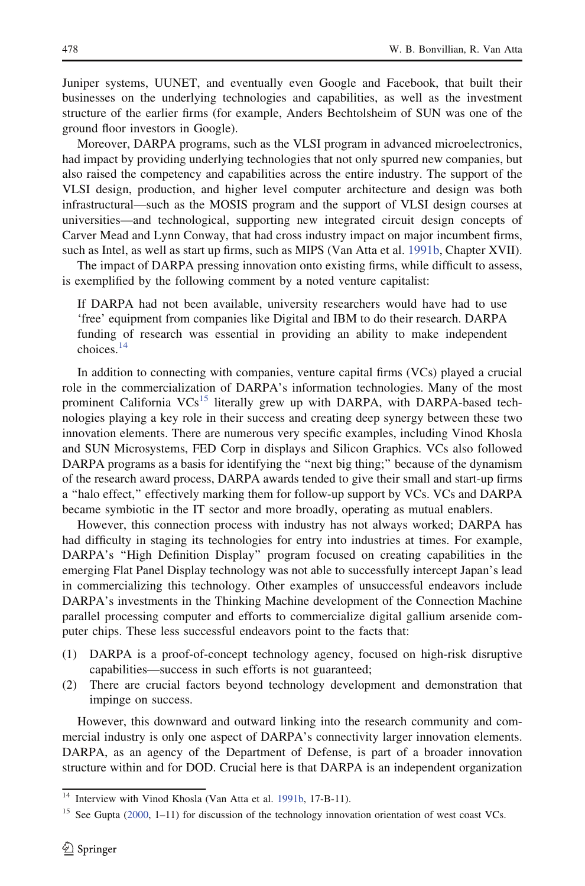Juniper systems, UUNET, and eventually even Google and Facebook, that built their businesses on the underlying technologies and capabilities, as well as the investment structure of the earlier firms (for example, Anders Bechtolsheim of SUN was one of the ground floor investors in Google).

Moreover, DARPA programs, such as the VLSI program in advanced microelectronics, had impact by providing underlying technologies that not only spurred new companies, but also raised the competency and capabilities across the entire industry. The support of the VLSI design, production, and higher level computer architecture and design was both infrastructural—such as the MOSIS program and the support of VLSI design courses at universities—and technological, supporting new integrated circuit design concepts of Carver Mead and Lynn Conway, that had cross industry impact on major incumbent firms, such as Intel, as well as start up firms, such as MIPS (Van Atta et al. [1991b](#page-44-0), Chapter XVII).

The impact of DARPA pressing innovation onto existing firms, while difficult to assess, is exemplified by the following comment by a noted venture capitalist:

If DARPA had not been available, university researchers would have had to use 'free' equipment from companies like Digital and IBM to do their research. DARPA funding of research was essential in providing an ability to make independent choices.<sup>14</sup>

In addition to connecting with companies, venture capital firms (VCs) played a crucial role in the commercialization of DARPA's information technologies. Many of the most prominent California  $VCs^{15}$  literally grew up with DARPA, with DARPA-based technologies playing a key role in their success and creating deep synergy between these two innovation elements. There are numerous very specific examples, including Vinod Khosla and SUN Microsystems, FED Corp in displays and Silicon Graphics. VCs also followed DARPA programs as a basis for identifying the "next big thing;" because of the dynamism of the research award process, DARPA awards tended to give their small and start-up firms a ''halo effect,'' effectively marking them for follow-up support by VCs. VCs and DARPA became symbiotic in the IT sector and more broadly, operating as mutual enablers.

However, this connection process with industry has not always worked; DARPA has had difficulty in staging its technologies for entry into industries at times. For example, DARPA's ''High Definition Display'' program focused on creating capabilities in the emerging Flat Panel Display technology was not able to successfully intercept Japan's lead in commercializing this technology. Other examples of unsuccessful endeavors include DARPA's investments in the Thinking Machine development of the Connection Machine parallel processing computer and efforts to commercialize digital gallium arsenide computer chips. These less successful endeavors point to the facts that:

- (1) DARPA is a proof-of-concept technology agency, focused on high-risk disruptive capabilities—success in such efforts is not guaranteed;
- (2) There are crucial factors beyond technology development and demonstration that impinge on success.

However, this downward and outward linking into the research community and commercial industry is only one aspect of DARPA's connectivity larger innovation elements. DARPA, as an agency of the Department of Defense, is part of a broader innovation structure within and for DOD. Crucial here is that DARPA is an independent organization

Interview with Vinod Khosla (Van Atta et al. [1991b](#page-44-0), 17-B-11).

<sup>&</sup>lt;sup>15</sup> See Gupta ([2000,](#page-42-0) 1-11) for discussion of the technology innovation orientation of west coast VCs.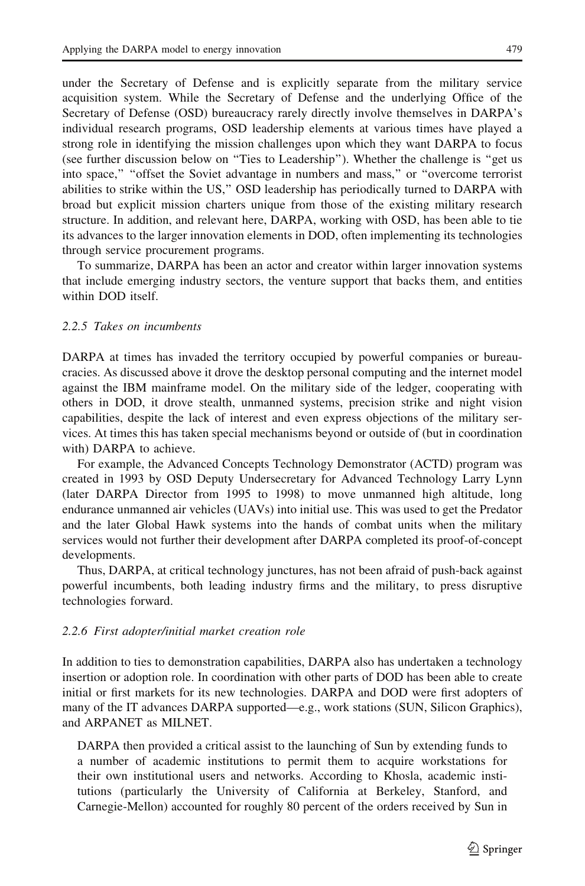under the Secretary of Defense and is explicitly separate from the military service acquisition system. While the Secretary of Defense and the underlying Office of the Secretary of Defense (OSD) bureaucracy rarely directly involve themselves in DARPA's individual research programs, OSD leadership elements at various times have played a strong role in identifying the mission challenges upon which they want DARPA to focus (see further discussion below on ''Ties to Leadership''). Whether the challenge is ''get us into space," "offset the Soviet advantage in numbers and mass," or "overcome terrorist abilities to strike within the US,'' OSD leadership has periodically turned to DARPA with broad but explicit mission charters unique from those of the existing military research structure. In addition, and relevant here, DARPA, working with OSD, has been able to tie its advances to the larger innovation elements in DOD, often implementing its technologies through service procurement programs.

To summarize, DARPA has been an actor and creator within larger innovation systems that include emerging industry sectors, the venture support that backs them, and entities within DOD itself.

# 2.2.5 Takes on incumbents

DARPA at times has invaded the territory occupied by powerful companies or bureaucracies. As discussed above it drove the desktop personal computing and the internet model against the IBM mainframe model. On the military side of the ledger, cooperating with others in DOD, it drove stealth, unmanned systems, precision strike and night vision capabilities, despite the lack of interest and even express objections of the military services. At times this has taken special mechanisms beyond or outside of (but in coordination with) DARPA to achieve.

For example, the Advanced Concepts Technology Demonstrator (ACTD) program was created in 1993 by OSD Deputy Undersecretary for Advanced Technology Larry Lynn (later DARPA Director from 1995 to 1998) to move unmanned high altitude, long endurance unmanned air vehicles (UAVs) into initial use. This was used to get the Predator and the later Global Hawk systems into the hands of combat units when the military services would not further their development after DARPA completed its proof-of-concept developments.

Thus, DARPA, at critical technology junctures, has not been afraid of push-back against powerful incumbents, both leading industry firms and the military, to press disruptive technologies forward.

#### 2.2.6 First adopter/initial market creation role

In addition to ties to demonstration capabilities, DARPA also has undertaken a technology insertion or adoption role. In coordination with other parts of DOD has been able to create initial or first markets for its new technologies. DARPA and DOD were first adopters of many of the IT advances DARPA supported—e.g., work stations (SUN, Silicon Graphics), and ARPANET as MILNET.

DARPA then provided a critical assist to the launching of Sun by extending funds to a number of academic institutions to permit them to acquire workstations for their own institutional users and networks. According to Khosla, academic institutions (particularly the University of California at Berkeley, Stanford, and Carnegie-Mellon) accounted for roughly 80 percent of the orders received by Sun in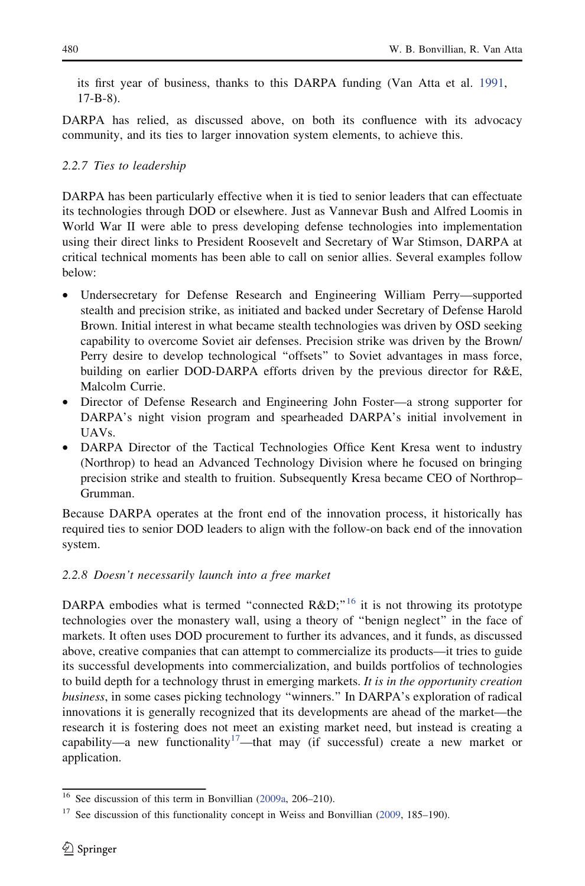its first year of business, thanks to this DARPA funding (Van Atta et al. [1991,](#page-44-0) 17-B-8).

DARPA has relied, as discussed above, on both its confluence with its advocacy community, and its ties to larger innovation system elements, to achieve this.

# 2.2.7 Ties to leadership

DARPA has been particularly effective when it is tied to senior leaders that can effectuate its technologies through DOD or elsewhere. Just as Vannevar Bush and Alfred Loomis in World War II were able to press developing defense technologies into implementation using their direct links to President Roosevelt and Secretary of War Stimson, DARPA at critical technical moments has been able to call on senior allies. Several examples follow below:

- Undersecretary for Defense Research and Engineering William Perry—supported stealth and precision strike, as initiated and backed under Secretary of Defense Harold Brown. Initial interest in what became stealth technologies was driven by OSD seeking capability to overcome Soviet air defenses. Precision strike was driven by the Brown/ Perry desire to develop technological ''offsets'' to Soviet advantages in mass force, building on earlier DOD-DARPA efforts driven by the previous director for R&E, Malcolm Currie.
- Director of Defense Research and Engineering John Foster—a strong supporter for DARPA's night vision program and spearheaded DARPA's initial involvement in UAVs.
- DARPA Director of the Tactical Technologies Office Kent Kresa went to industry (Northrop) to head an Advanced Technology Division where he focused on bringing precision strike and stealth to fruition. Subsequently Kresa became CEO of Northrop– Grumman.

Because DARPA operates at the front end of the innovation process, it historically has required ties to senior DOD leaders to align with the follow-on back end of the innovation system.

# 2.2.8 Doesn't necessarily launch into a free market

DARPA embodies what is termed "connected  $R&D$ "<sup>16</sup> it is not throwing its prototype technologies over the monastery wall, using a theory of ''benign neglect'' in the face of markets. It often uses DOD procurement to further its advances, and it funds, as discussed above, creative companies that can attempt to commercialize its products—it tries to guide its successful developments into commercialization, and builds portfolios of technologies to build depth for a technology thrust in emerging markets. It is in the opportunity creation business, in some cases picking technology ''winners.'' In DARPA's exploration of radical innovations it is generally recognized that its developments are ahead of the market—the research it is fostering does not meet an existing market need, but instead is creating a capability—a new functionality<sup>17</sup>—that may (if successful) create a new market or application.

<sup>&</sup>lt;sup>16</sup> See discussion of this term in Bonvillian [\(2009a,](#page-41-0) 206–210).

<sup>&</sup>lt;sup>17</sup> See discussion of this functionality concept in Weiss and Bonvillian [\(2009](#page-44-0), 185-190).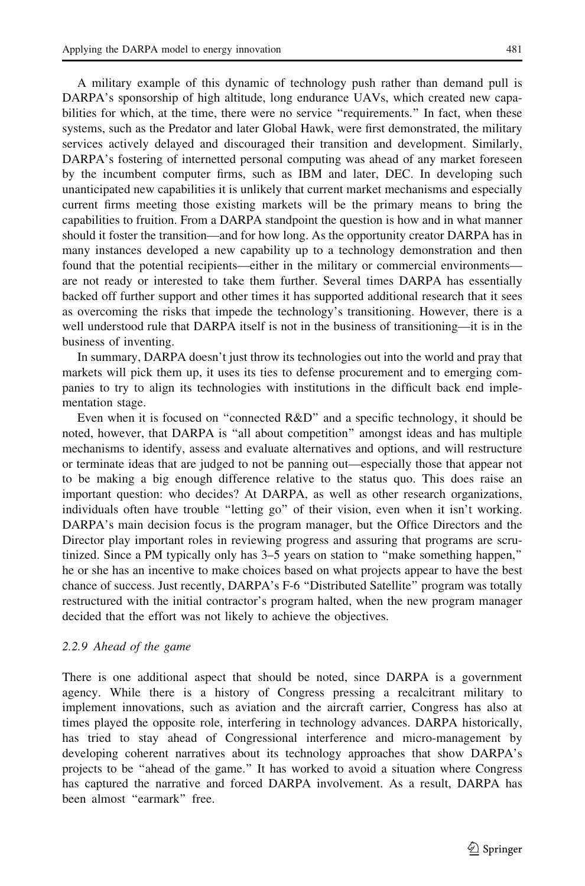A military example of this dynamic of technology push rather than demand pull is DARPA's sponsorship of high altitude, long endurance UAVs, which created new capabilities for which, at the time, there were no service "requirements." In fact, when these systems, such as the Predator and later Global Hawk, were first demonstrated, the military services actively delayed and discouraged their transition and development. Similarly, DARPA's fostering of internetted personal computing was ahead of any market foreseen by the incumbent computer firms, such as IBM and later, DEC. In developing such unanticipated new capabilities it is unlikely that current market mechanisms and especially current firms meeting those existing markets will be the primary means to bring the capabilities to fruition. From a DARPA standpoint the question is how and in what manner should it foster the transition—and for how long. As the opportunity creator DARPA has in many instances developed a new capability up to a technology demonstration and then found that the potential recipients—either in the military or commercial environments are not ready or interested to take them further. Several times DARPA has essentially backed off further support and other times it has supported additional research that it sees as overcoming the risks that impede the technology's transitioning. However, there is a well understood rule that DARPA itself is not in the business of transitioning—it is in the business of inventing.

In summary, DARPA doesn't just throw its technologies out into the world and pray that markets will pick them up, it uses its ties to defense procurement and to emerging companies to try to align its technologies with institutions in the difficult back end implementation stage.

Even when it is focused on ''connected R&D'' and a specific technology, it should be noted, however, that DARPA is ''all about competition'' amongst ideas and has multiple mechanisms to identify, assess and evaluate alternatives and options, and will restructure or terminate ideas that are judged to not be panning out—especially those that appear not to be making a big enough difference relative to the status quo. This does raise an important question: who decides? At DARPA, as well as other research organizations, individuals often have trouble ''letting go'' of their vision, even when it isn't working. DARPA's main decision focus is the program manager, but the Office Directors and the Director play important roles in reviewing progress and assuring that programs are scrutinized. Since a PM typically only has 3–5 years on station to ''make something happen,'' he or she has an incentive to make choices based on what projects appear to have the best chance of success. Just recently, DARPA's F-6 ''Distributed Satellite'' program was totally restructured with the initial contractor's program halted, when the new program manager decided that the effort was not likely to achieve the objectives.

#### 2.2.9 Ahead of the game

There is one additional aspect that should be noted, since DARPA is a government agency. While there is a history of Congress pressing a recalcitrant military to implement innovations, such as aviation and the aircraft carrier, Congress has also at times played the opposite role, interfering in technology advances. DARPA historically, has tried to stay ahead of Congressional interference and micro-management by developing coherent narratives about its technology approaches that show DARPA's projects to be ''ahead of the game.'' It has worked to avoid a situation where Congress has captured the narrative and forced DARPA involvement. As a result, DARPA has been almost "earmark" free.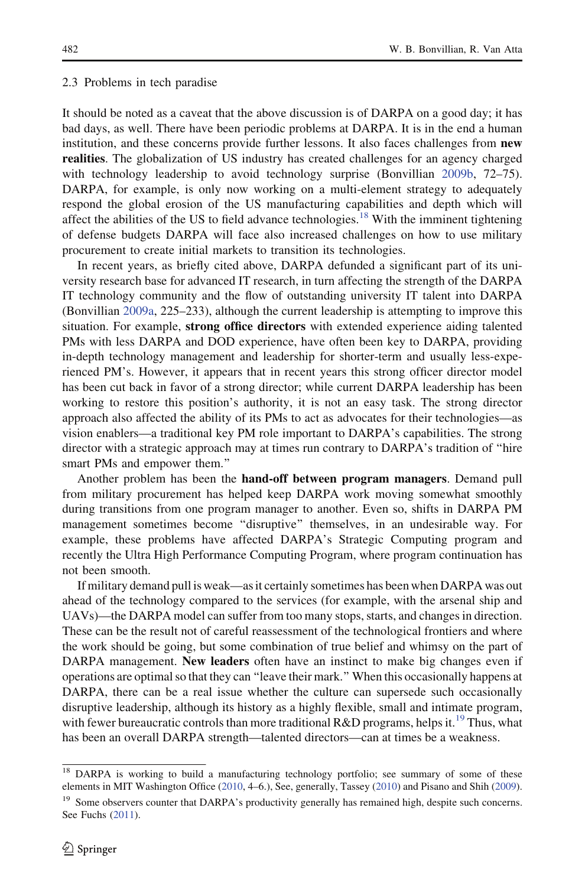#### 2.3 Problems in tech paradise

It should be noted as a caveat that the above discussion is of DARPA on a good day; it has bad days, as well. There have been periodic problems at DARPA. It is in the end a human institution, and these concerns provide further lessons. It also faces challenges from **new** realities. The globalization of US industry has created challenges for an agency charged with technology leadership to avoid technology surprise (Bonvillian [2009b,](#page-41-0) 72–75). DARPA, for example, is only now working on a multi-element strategy to adequately respond the global erosion of the US manufacturing capabilities and depth which will affect the abilities of the US to field advance technologies.<sup>18</sup> With the imminent tightening of defense budgets DARPA will face also increased challenges on how to use military procurement to create initial markets to transition its technologies.

In recent years, as briefly cited above, DARPA defunded a significant part of its university research base for advanced IT research, in turn affecting the strength of the DARPA IT technology community and the flow of outstanding university IT talent into DARPA (Bonvillian [2009a,](#page-41-0) 225–233), although the current leadership is attempting to improve this situation. For example, **strong office directors** with extended experience aiding talented PMs with less DARPA and DOD experience, have often been key to DARPA, providing in-depth technology management and leadership for shorter-term and usually less-experienced PM's. However, it appears that in recent years this strong officer director model has been cut back in favor of a strong director; while current DARPA leadership has been working to restore this position's authority, it is not an easy task. The strong director approach also affected the ability of its PMs to act as advocates for their technologies—as vision enablers—a traditional key PM role important to DARPA's capabilities. The strong director with a strategic approach may at times run contrary to DARPA's tradition of ''hire smart PMs and empower them.''

Another problem has been the hand-off between program managers. Demand pull from military procurement has helped keep DARPA work moving somewhat smoothly during transitions from one program manager to another. Even so, shifts in DARPA PM management sometimes become ''disruptive'' themselves, in an undesirable way. For example, these problems have affected DARPA's Strategic Computing program and recently the Ultra High Performance Computing Program, where program continuation has not been smooth.

If military demand pull is weak—as it certainly sometimes has been when DARPA was out ahead of the technology compared to the services (for example, with the arsenal ship and UAVs)—the DARPA model can suffer from too many stops, starts, and changes in direction. These can be the result not of careful reassessment of the technological frontiers and where the work should be going, but some combination of true belief and whimsy on the part of DARPA management. New leaders often have an instinct to make big changes even if operations are optimal so that they can ''leave their mark.'' When this occasionally happens at DARPA, there can be a real issue whether the culture can supersede such occasionally disruptive leadership, although its history as a highly flexible, small and intimate program, with fewer bureaucratic controls than more traditional R&D programs, helps it.<sup>19</sup> Thus, what has been an overall DARPA strength—talented directors—can at times be a weakness.

<sup>&</sup>lt;sup>18</sup> DARPA is working to build a manufacturing technology portfolio; see summary of some of these elements in MIT Washington Office ([2010](#page-44-0), 4-6.), See, generally, Tassey (2010) and Pisano and Shih [\(2009\)](#page-43-0).

Some observers counter that DARPA's productivity generally has remained high, despite such concerns. See Fuchs [\(2011](#page-42-0)).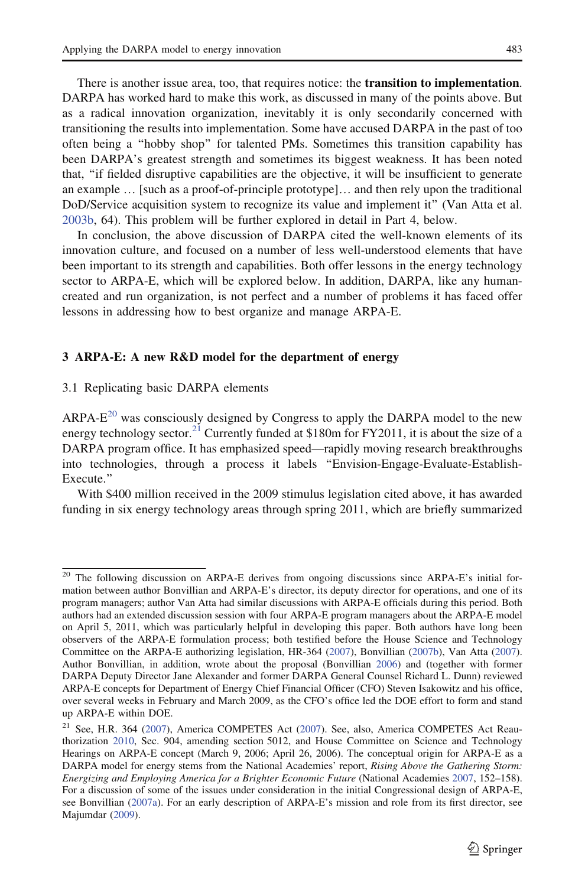There is another issue area, too, that requires notice: the transition to implementation. DARPA has worked hard to make this work, as discussed in many of the points above. But as a radical innovation organization, inevitably it is only secondarily concerned with transitioning the results into implementation. Some have accused DARPA in the past of too often being a ''hobby shop'' for talented PMs. Sometimes this transition capability has been DARPA's greatest strength and sometimes its biggest weakness. It has been noted that, ''if fielded disruptive capabilities are the objective, it will be insufficient to generate an example … [such as a proof-of-principle prototype]… and then rely upon the traditional DoD/Service acquisition system to recognize its value and implement it'' (Van Atta et al. [2003b](#page-44-0), 64). This problem will be further explored in detail in Part 4, below.

In conclusion, the above discussion of DARPA cited the well-known elements of its innovation culture, and focused on a number of less well-understood elements that have been important to its strength and capabilities. Both offer lessons in the energy technology sector to ARPA-E, which will be explored below. In addition, DARPA, like any humancreated and run organization, is not perfect and a number of problems it has faced offer lessons in addressing how to best organize and manage ARPA-E.

### 3 ARPA-E: A new R&D model for the department of energy

### 3.1 Replicating basic DARPA elements

ARPA- $E^{20}$  was consciously designed by Congress to apply the DARPA model to the new energy technology sector.<sup>21</sup> Currently funded at \$180m for FY2011, it is about the size of a DARPA program office. It has emphasized speed—rapidly moving research breakthroughs into technologies, through a process it labels ''Envision-Engage-Evaluate-Establish-Execute.''

With \$400 million received in the 2009 stimulus legislation cited above, it has awarded funding in six energy technology areas through spring 2011, which are briefly summarized

<sup>&</sup>lt;sup>20</sup> The following discussion on ARPA-E derives from ongoing discussions since ARPA-E's initial formation between author Bonvillian and ARPA-E's director, its deputy director for operations, and one of its program managers; author Van Atta had similar discussions with ARPA-E officials during this period. Both authors had an extended discussion session with four ARPA-E program managers about the ARPA-E model on April 5, 2011, which was particularly helpful in developing this paper. Both authors have long been observers of the ARPA-E formulation process; both testified before the House Science and Technology Committee on the ARPA-E authorizing legislation, HR-364 [\(2007](#page-43-0)), Bonvillian ([2007b\)](#page-41-0), Van Atta [\(2007\)](#page-44-0). Author Bonvillian, in addition, wrote about the proposal (Bonvillian [2006\)](#page-41-0) and (together with former DARPA Deputy Director Jane Alexander and former DARPA General Counsel Richard L. Dunn) reviewed ARPA-E concepts for Department of Energy Chief Financial Officer (CFO) Steven Isakowitz and his office, over several weeks in February and March 2009, as the CFO's office led the DOE effort to form and stand up ARPA-E within DOE.

<sup>21</sup> See, H.R. 364 [\(2007](#page-43-0)), America COMPETES Act [\(2007](#page-41-0)). See, also, America COMPETES Act Reauthorization [2010,](#page-41-0) Sec. 904, amending section 5012, and House Committee on Science and Technology Hearings on ARPA-E concept (March 9, 2006; April 26, 2006). The conceptual origin for ARPA-E as a DARPA model for energy stems from the National Academies' report, Rising Above the Gathering Storm: Energizing and Employing America for a Brighter Economic Future (National Academies [2007,](#page-43-0) 152–158). For a discussion of some of the issues under consideration in the initial Congressional design of ARPA-E, see Bonvillian ([2007a](#page-41-0)). For an early description of ARPA-E's mission and role from its first director, see Majumdar [\(2009](#page-43-0)).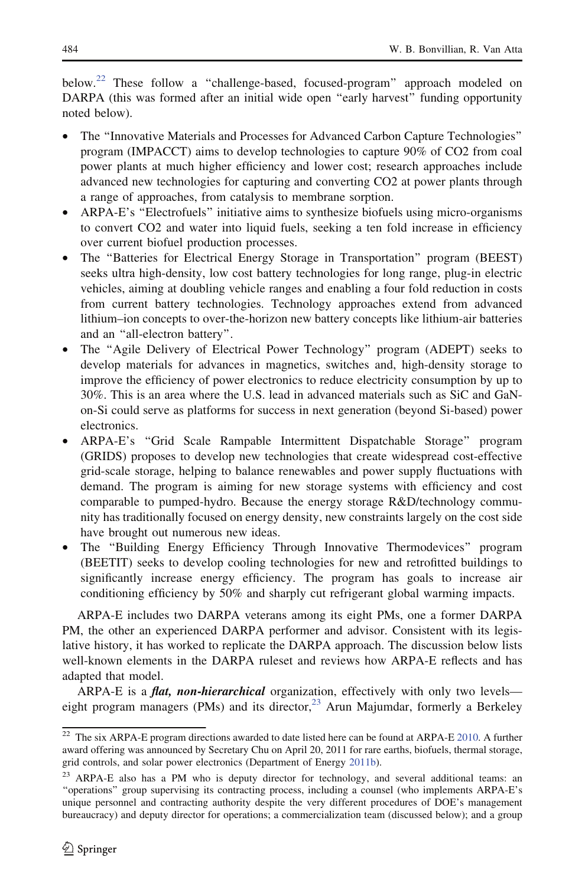below.22 These follow a ''challenge-based, focused-program'' approach modeled on DARPA (this was formed after an initial wide open "early harvest" funding opportunity noted below).

- The ''Innovative Materials and Processes for Advanced Carbon Capture Technologies'' program (IMPACCT) aims to develop technologies to capture 90% of CO2 from coal power plants at much higher efficiency and lower cost; research approaches include advanced new technologies for capturing and converting CO2 at power plants through a range of approaches, from catalysis to membrane sorption.
- ARPA-E's "Electrofuels" initiative aims to synthesize biofuels using micro-organisms to convert CO2 and water into liquid fuels, seeking a ten fold increase in efficiency over current biofuel production processes.
- The ''Batteries for Electrical Energy Storage in Transportation'' program (BEEST) seeks ultra high-density, low cost battery technologies for long range, plug-in electric vehicles, aiming at doubling vehicle ranges and enabling a four fold reduction in costs from current battery technologies. Technology approaches extend from advanced lithium–ion concepts to over-the-horizon new battery concepts like lithium-air batteries and an ''all-electron battery''.
- The ''Agile Delivery of Electrical Power Technology'' program (ADEPT) seeks to develop materials for advances in magnetics, switches and, high-density storage to improve the efficiency of power electronics to reduce electricity consumption by up to 30%. This is an area where the U.S. lead in advanced materials such as SiC and GaNon-Si could serve as platforms for success in next generation (beyond Si-based) power electronics.
- ARPA-E's ''Grid Scale Rampable Intermittent Dispatchable Storage'' program (GRIDS) proposes to develop new technologies that create widespread cost-effective grid-scale storage, helping to balance renewables and power supply fluctuations with demand. The program is aiming for new storage systems with efficiency and cost comparable to pumped-hydro. Because the energy storage R&D/technology community has traditionally focused on energy density, new constraints largely on the cost side have brought out numerous new ideas.
- The ''Building Energy Efficiency Through Innovative Thermodevices'' program (BEETIT) seeks to develop cooling technologies for new and retrofitted buildings to significantly increase energy efficiency. The program has goals to increase air conditioning efficiency by 50% and sharply cut refrigerant global warming impacts.

ARPA-E includes two DARPA veterans among its eight PMs, one a former DARPA PM, the other an experienced DARPA performer and advisor. Consistent with its legislative history, it has worked to replicate the DARPA approach. The discussion below lists well-known elements in the DARPA ruleset and reviews how ARPA-E reflects and has adapted that model.

ARPA-E is a *flat, non-hierarchical* organization, effectively with only two levels eight program managers (PMs) and its director,  $^{23}$  Arun Majumdar, formerly a Berkeley

<sup>&</sup>lt;sup>22</sup> The six ARPA-E program directions awarded to date listed here can be found at ARPA-E [2010](#page-41-0). A further award offering was announced by Secretary Chu on April 20, 2011 for rare earths, biofuels, thermal storage, grid controls, and solar power electronics (Department of Energy [2011b](#page-42-0)).

<sup>&</sup>lt;sup>23</sup> ARPA-E also has a PM who is deputy director for technology, and several additional teams: an ''operations'' group supervising its contracting process, including a counsel (who implements ARPA-E's unique personnel and contracting authority despite the very different procedures of DOE's management bureaucracy) and deputy director for operations; a commercialization team (discussed below); and a group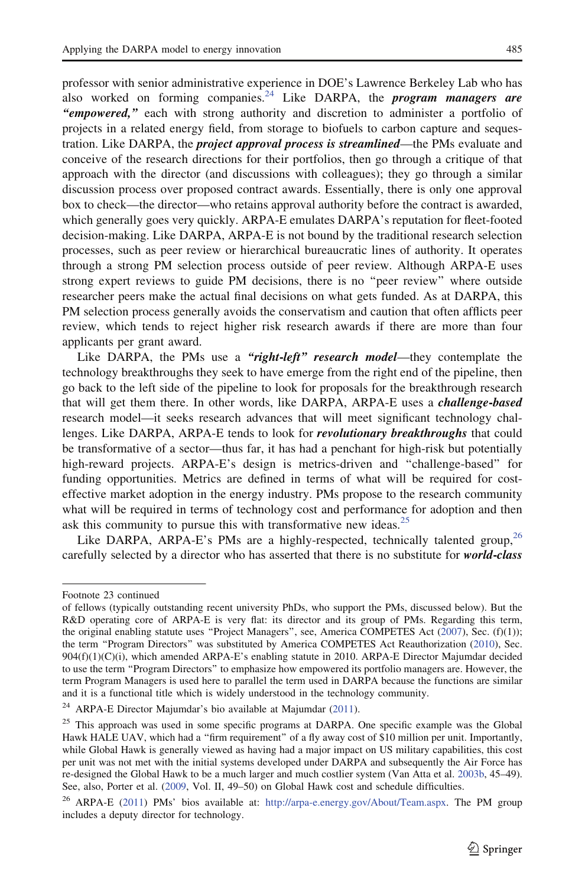professor with senior administrative experience in DOE's Lawrence Berkeley Lab who has also worked on forming companies.<sup>24</sup> Like DARPA, the **program managers are** "empowered," each with strong authority and discretion to administer a portfolio of projects in a related energy field, from storage to biofuels to carbon capture and sequestration. Like DARPA, the *project approval process is streamlined*—the PMs evaluate and conceive of the research directions for their portfolios, then go through a critique of that approach with the director (and discussions with colleagues); they go through a similar discussion process over proposed contract awards. Essentially, there is only one approval box to check—the director—who retains approval authority before the contract is awarded, which generally goes very quickly. ARPA-E emulates DARPA's reputation for fleet-footed decision-making. Like DARPA, ARPA-E is not bound by the traditional research selection processes, such as peer review or hierarchical bureaucratic lines of authority. It operates through a strong PM selection process outside of peer review. Although ARPA-E uses strong expert reviews to guide PM decisions, there is no ''peer review'' where outside researcher peers make the actual final decisions on what gets funded. As at DARPA, this PM selection process generally avoids the conservatism and caution that often afflicts peer review, which tends to reject higher risk research awards if there are more than four applicants per grant award.

Like DARPA, the PMs use a "right-left" research model—they contemplate the technology breakthroughs they seek to have emerge from the right end of the pipeline, then go back to the left side of the pipeline to look for proposals for the breakthrough research that will get them there. In other words, like DARPA, ARPA-E uses a *challenge-based* research model—it seeks research advances that will meet significant technology challenges. Like DARPA, ARPA-E tends to look for *revolutionary breakthroughs* that could be transformative of a sector—thus far, it has had a penchant for high-risk but potentially high-reward projects. ARPA-E's design is metrics-driven and ''challenge-based'' for funding opportunities. Metrics are defined in terms of what will be required for costeffective market adoption in the energy industry. PMs propose to the research community what will be required in terms of technology cost and performance for adoption and then ask this community to pursue this with transformative new ideas.<sup>25</sup>

Like DARPA, ARPA-E's PMs are a highly-respected, technically talented group,  $26$ carefully selected by a director who has asserted that there is no substitute for *world-class* 

Footnote 23 continued

of fellows (typically outstanding recent university PhDs, who support the PMs, discussed below). But the R&D operating core of ARPA-E is very flat: its director and its group of PMs. Regarding this term, the original enabling statute uses "Project Managers", see, America COMPETES Act [\(2007](#page-41-0)), Sec. (f)(1)); the term "Program Directors" was substituted by America COMPETES Act Reauthorization ([2010\)](#page-41-0), Sec. 904(f)(1)(C)(i), which amended ARPA-E's enabling statute in 2010. ARPA-E Director Majumdar decided to use the term "Program Directors" to emphasize how empowered its portfolio managers are. However, the term Program Managers is used here to parallel the term used in DARPA because the functions are similar and it is a functional title which is widely understood in the technology community.

<sup>&</sup>lt;sup>24</sup> ARPA-E Director Majumdar's bio available at Majumdar  $(2011)$  $(2011)$ .

<sup>&</sup>lt;sup>25</sup> This approach was used in some specific programs at DARPA. One specific example was the Global Hawk HALE UAV, which had a ''firm requirement'' of a fly away cost of \$10 million per unit. Importantly, while Global Hawk is generally viewed as having had a major impact on US military capabilities, this cost per unit was not met with the initial systems developed under DARPA and subsequently the Air Force has re-designed the Global Hawk to be a much larger and much costlier system (Van Atta et al. [2003b,](#page-44-0) 45–49). See, also, Porter et al. [\(2009,](#page-43-0) Vol. II, 49–50) on Global Hawk cost and schedule difficulties.

<sup>&</sup>lt;sup>26</sup> ARPA-E [\(2011](#page-41-0)) PMs' bios available at: <http://arpa-e.energy.gov/About/Team.aspx>. The PM group includes a deputy director for technology.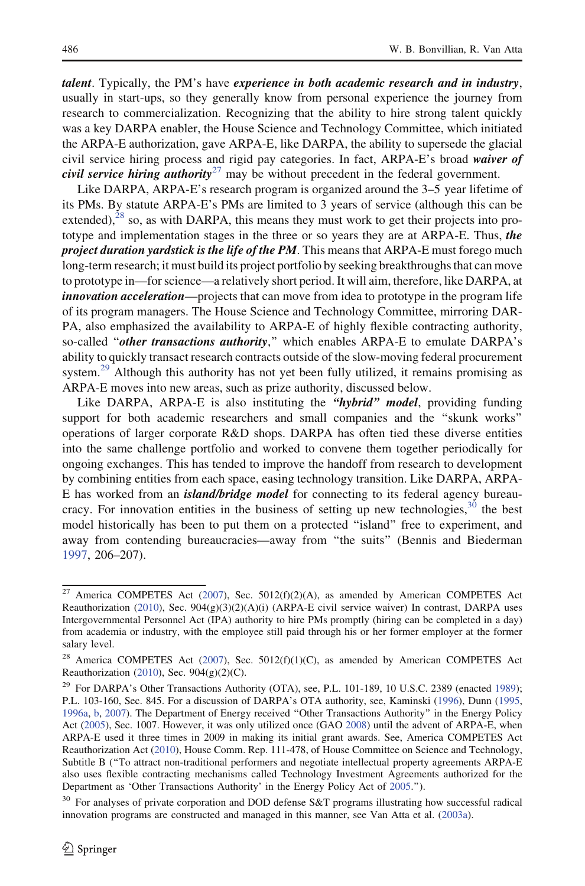talent. Typically, the PM's have experience in both academic research and in industry, usually in start-ups, so they generally know from personal experience the journey from research to commercialization. Recognizing that the ability to hire strong talent quickly was a key DARPA enabler, the House Science and Technology Committee, which initiated the ARPA-E authorization, gave ARPA-E, like DARPA, the ability to supersede the glacial civil service hiring process and rigid pay categories. In fact, ARPA-E's broad waiver of *civil service hiring authority*<sup>27</sup> may be without precedent in the federal government.

Like DARPA, ARPA-E's research program is organized around the 3–5 year lifetime of its PMs. By statute ARPA-E's PMs are limited to 3 years of service (although this can be extended),  $^{28}$  so, as with DARPA, this means they must work to get their projects into prototype and implementation stages in the three or so years they are at ARPA-E. Thus, the project duration yardstick is the life of the PM. This means that ARPA-E must forego much long-term research; it must build its project portfolio by seeking breakthroughs that can move to prototype in—for science—a relatively short period. It will aim, therefore, like DARPA, at innovation acceleration—projects that can move from idea to prototype in the program life of its program managers. The House Science and Technology Committee, mirroring DAR-PA, also emphasized the availability to ARPA-E of highly flexible contracting authority, so-called "other transactions authority," which enables ARPA-E to emulate DARPA's ability to quickly transact research contracts outside of the slow-moving federal procurement system.<sup>29</sup> Although this authority has not yet been fully utilized, it remains promising as ARPA-E moves into new areas, such as prize authority, discussed below.

Like DARPA, ARPA-E is also instituting the "hybrid" model, providing funding support for both academic researchers and small companies and the ''skunk works'' operations of larger corporate R&D shops. DARPA has often tied these diverse entities into the same challenge portfolio and worked to convene them together periodically for ongoing exchanges. This has tended to improve the handoff from research to development by combining entities from each space, easing technology transition. Like DARPA, ARPA-E has worked from an *island/bridge model* for connecting to its federal agency bureaucracy. For innovation entities in the business of setting up new technologies,  $30$  the best model historically has been to put them on a protected ''island'' free to experiment, and away from contending bureaucracies—away from ''the suits'' (Bennis and Biederman [1997,](#page-41-0) 206–207).

<sup>&</sup>lt;sup>27</sup> America COMPETES Act [\(2007\)](#page-41-0), Sec. 5012(f)(2)(A), as amended by American COMPETES Act Reauthorization [\(2010](#page-41-0)), Sec.  $904(g)(3)(2)(A)(i)$  (ARPA-E civil service waiver) In contrast, DARPA uses Intergovernmental Personnel Act (IPA) authority to hire PMs promptly (hiring can be completed in a day) from academia or industry, with the employee still paid through his or her former employer at the former salary level.

<sup>&</sup>lt;sup>28</sup> America COMPETES Act  $(2007)$  $(2007)$ , Sec. 5012(f)(1)(C), as amended by American COMPETES Act Reauthorization  $(2010)$ , Sec. 904 $(g)(2)(C)$ .

<sup>&</sup>lt;sup>29</sup> For DARPA's Other Transactions Authority (OTA), see, P.L. 101-189, 10 U.S.C. 2389 (enacted [1989\)](#page-42-0); P.L. 103-160, Sec. 845. For a discussion of DARPA's OTA authority, see, Kaminski ([1996\)](#page-43-0), Dunn ([1995,](#page-42-0) [1996a](#page-42-0), [b,](#page-42-0) [2007\)](#page-42-0). The Department of Energy received ''Other Transactions Authority'' in the Energy Policy Act [\(2005](#page-42-0)), Sec. 1007. However, it was only utilized once (GAO [2008\)](#page-42-0) until the advent of ARPA-E, when ARPA-E used it three times in 2009 in making its initial grant awards. See, America COMPETES Act Reauthorization Act ([2010\)](#page-41-0), House Comm. Rep. 111-478, of House Committee on Science and Technology, Subtitle B (''To attract non-traditional performers and negotiate intellectual property agreements ARPA-E also uses flexible contracting mechanisms called Technology Investment Agreements authorized for the Department as 'Other Transactions Authority' in the Energy Policy Act of [2005.](#page-42-0)'').

<sup>&</sup>lt;sup>30</sup> For analyses of private corporation and DOD defense S&T programs illustrating how successful radical innovation programs are constructed and managed in this manner, see Van Atta et al. ([2003a](#page-44-0)).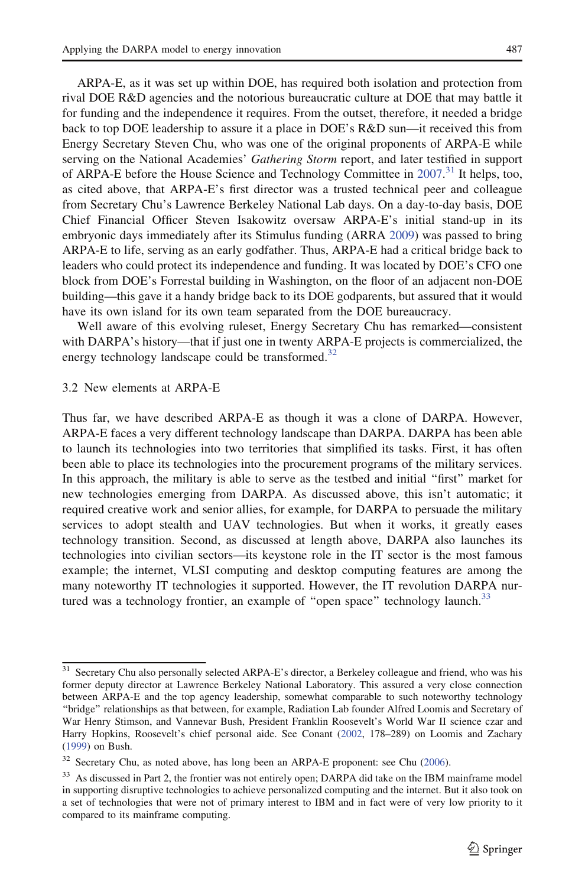ARPA-E, as it was set up within DOE, has required both isolation and protection from rival DOE R&D agencies and the notorious bureaucratic culture at DOE that may battle it for funding and the independence it requires. From the outset, therefore, it needed a bridge back to top DOE leadership to assure it a place in DOE's R&D sun—it received this from Energy Secretary Steven Chu, who was one of the original proponents of ARPA-E while serving on the National Academies' Gathering Storm report, and later testified in support of ARPA-E before the House Science and Technology Committee in [2007.](#page-43-0)<sup>31</sup> It helps, too, as cited above, that ARPA-E's first director was a trusted technical peer and colleague from Secretary Chu's Lawrence Berkeley National Lab days. On a day-to-day basis, DOE Chief Financial Officer Steven Isakowitz oversaw ARPA-E's initial stand-up in its embryonic days immediately after its Stimulus funding (ARRA [2009](#page-41-0)) was passed to bring ARPA-E to life, serving as an early godfather. Thus, ARPA-E had a critical bridge back to leaders who could protect its independence and funding. It was located by DOE's CFO one block from DOE's Forrestal building in Washington, on the floor of an adjacent non-DOE building—this gave it a handy bridge back to its DOE godparents, but assured that it would have its own island for its own team separated from the DOE bureaucracy.

Well aware of this evolving ruleset, Energy Secretary Chu has remarked—consistent with DARPA's history—that if just one in twenty ARPA-E projects is commercialized, the energy technology landscape could be transformed. $32$ 

3.2 New elements at ARPA-E

Thus far, we have described ARPA-E as though it was a clone of DARPA. However, ARPA-E faces a very different technology landscape than DARPA. DARPA has been able to launch its technologies into two territories that simplified its tasks. First, it has often been able to place its technologies into the procurement programs of the military services. In this approach, the military is able to serve as the testbed and initial ''first'' market for new technologies emerging from DARPA. As discussed above, this isn't automatic; it required creative work and senior allies, for example, for DARPA to persuade the military services to adopt stealth and UAV technologies. But when it works, it greatly eases technology transition. Second, as discussed at length above, DARPA also launches its technologies into civilian sectors—its keystone role in the IT sector is the most famous example; the internet, VLSI computing and desktop computing features are among the many noteworthy IT technologies it supported. However, the IT revolution DARPA nurtured was a technology frontier, an example of "open space" technology launch.<sup>33</sup>

<sup>&</sup>lt;sup>31</sup> Secretary Chu also personally selected ARPA-E's director, a Berkeley colleague and friend, who was his former deputy director at Lawrence Berkeley National Laboratory. This assured a very close connection between ARPA-E and the top agency leadership, somewhat comparable to such noteworthy technology ''bridge'' relationships as that between, for example, Radiation Lab founder Alfred Loomis and Secretary of War Henry Stimson, and Vannevar Bush, President Franklin Roosevelt's World War II science czar and Harry Hopkins, Roosevelt's chief personal aide. See Conant [\(2002](#page-42-0), 178–289) on Loomis and Zachary [\(1999](#page-44-0)) on Bush.

<sup>32</sup> Secretary Chu, as noted above, has long been an ARPA-E proponent: see Chu ([2006](#page-42-0)).

<sup>&</sup>lt;sup>33</sup> As discussed in Part 2, the frontier was not entirely open; DARPA did take on the IBM mainframe model in supporting disruptive technologies to achieve personalized computing and the internet. But it also took on a set of technologies that were not of primary interest to IBM and in fact were of very low priority to it compared to its mainframe computing.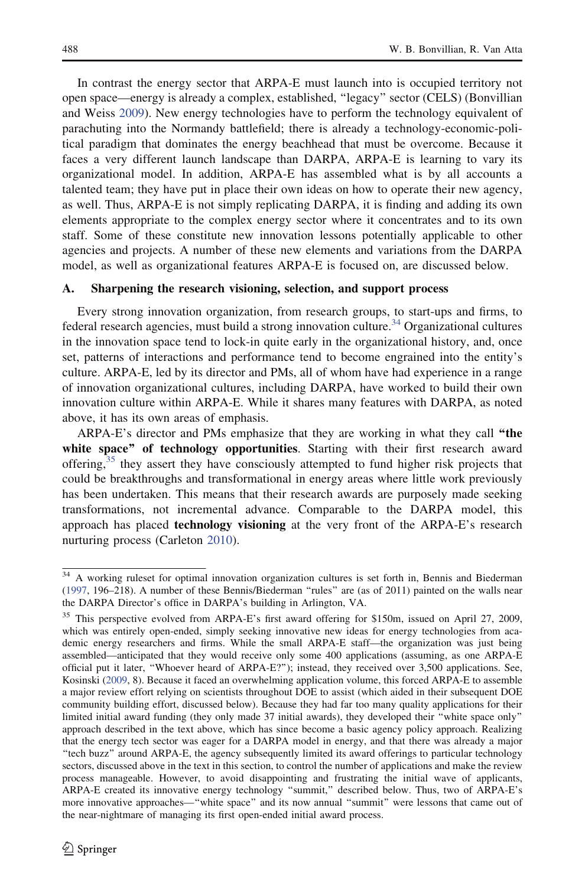In contrast the energy sector that ARPA-E must launch into is occupied territory not open space—energy is already a complex, established, ''legacy'' sector (CELS) (Bonvillian and Weiss [2009\)](#page-42-0). New energy technologies have to perform the technology equivalent of parachuting into the Normandy battlefield; there is already a technology-economic-political paradigm that dominates the energy beachhead that must be overcome. Because it faces a very different launch landscape than DARPA, ARPA-E is learning to vary its organizational model. In addition, ARPA-E has assembled what is by all accounts a talented team; they have put in place their own ideas on how to operate their new agency, as well. Thus, ARPA-E is not simply replicating DARPA, it is finding and adding its own elements appropriate to the complex energy sector where it concentrates and to its own staff. Some of these constitute new innovation lessons potentially applicable to other agencies and projects. A number of these new elements and variations from the DARPA model, as well as organizational features ARPA-E is focused on, are discussed below.

#### A. Sharpening the research visioning, selection, and support process

Every strong innovation organization, from research groups, to start-ups and firms, to federal research agencies, must build a strong innovation culture.<sup>34</sup> Organizational cultures in the innovation space tend to lock-in quite early in the organizational history, and, once set, patterns of interactions and performance tend to become engrained into the entity's culture. ARPA-E, led by its director and PMs, all of whom have had experience in a range of innovation organizational cultures, including DARPA, have worked to build their own innovation culture within ARPA-E. While it shares many features with DARPA, as noted above, it has its own areas of emphasis.

ARPA-E's director and PMs emphasize that they are working in what they call "the white space" of technology opportunities. Starting with their first research award offering, $35$  they assert they have consciously attempted to fund higher risk projects that could be breakthroughs and transformational in energy areas where little work previously has been undertaken. This means that their research awards are purposely made seeking transformations, not incremental advance. Comparable to the DARPA model, this approach has placed **technology visioning** at the very front of the ARPA-E's research nurturing process (Carleton [2010\)](#page-42-0).

<sup>&</sup>lt;sup>34</sup> A working ruleset for optimal innovation organization cultures is set forth in, Bennis and Biederman [\(1997](#page-41-0), 196–218). A number of these Bennis/Biederman ''rules'' are (as of 2011) painted on the walls near the DARPA Director's office in DARPA's building in Arlington, VA.

<sup>&</sup>lt;sup>35</sup> This perspective evolved from ARPA-E's first award offering for \$150m, issued on April 27, 2009, which was entirely open-ended, simply seeking innovative new ideas for energy technologies from academic energy researchers and firms. While the small ARPA-E staff—the organization was just being assembled—anticipated that they would receive only some 400 applications (assuming, as one ARPA-E official put it later, ''Whoever heard of ARPA-E?''); instead, they received over 3,500 applications. See, Kosinski ([2009,](#page-43-0) 8). Because it faced an overwhelming application volume, this forced ARPA-E to assemble a major review effort relying on scientists throughout DOE to assist (which aided in their subsequent DOE community building effort, discussed below). Because they had far too many quality applications for their limited initial award funding (they only made 37 initial awards), they developed their ''white space only'' approach described in the text above, which has since become a basic agency policy approach. Realizing that the energy tech sector was eager for a DARPA model in energy, and that there was already a major ''tech buzz'' around ARPA-E, the agency subsequently limited its award offerings to particular technology sectors, discussed above in the text in this section, to control the number of applications and make the review process manageable. However, to avoid disappointing and frustrating the initial wave of applicants, ARPA-E created its innovative energy technology ''summit,'' described below. Thus, two of ARPA-E's more innovative approaches—''white space'' and its now annual ''summit'' were lessons that came out of the near-nightmare of managing its first open-ended initial award process.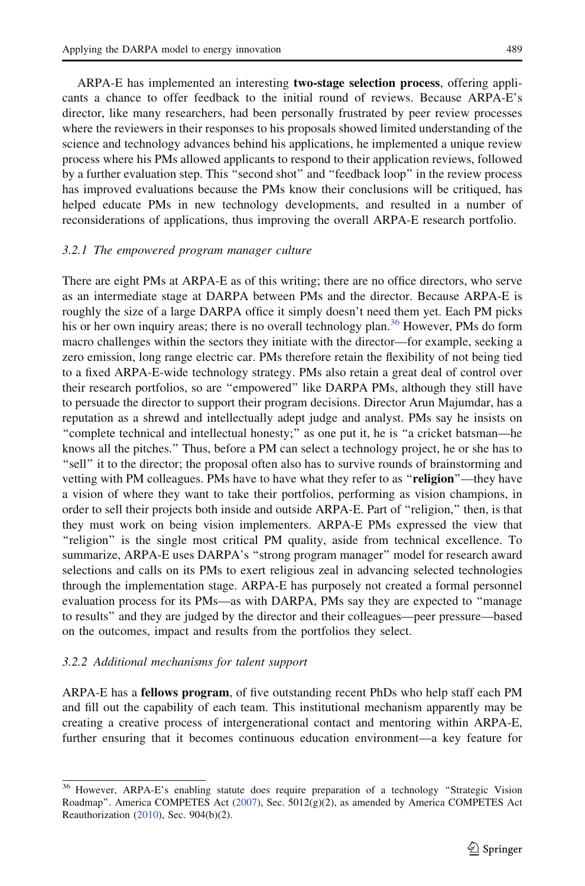ARPA-E has implemented an interesting two-stage selection process, offering applicants a chance to offer feedback to the initial round of reviews. Because ARPA-E's director, like many researchers, had been personally frustrated by peer review processes where the reviewers in their responses to his proposals showed limited understanding of the science and technology advances behind his applications, he implemented a unique review process where his PMs allowed applicants to respond to their application reviews, followed by a further evaluation step. This ''second shot'' and ''feedback loop'' in the review process has improved evaluations because the PMs know their conclusions will be critiqued, has helped educate PMs in new technology developments, and resulted in a number of reconsiderations of applications, thus improving the overall ARPA-E research portfolio.

#### 3.2.1 The empowered program manager culture

There are eight PMs at ARPA-E as of this writing; there are no office directors, who serve as an intermediate stage at DARPA between PMs and the director. Because ARPA-E is roughly the size of a large DARPA office it simply doesn't need them yet. Each PM picks his or her own inquiry areas; there is no overall technology plan.<sup>36</sup> However, PMs do form macro challenges within the sectors they initiate with the director—for example, seeking a zero emission, long range electric car. PMs therefore retain the flexibility of not being tied to a fixed ARPA-E-wide technology strategy. PMs also retain a great deal of control over their research portfolios, so are ''empowered'' like DARPA PMs, although they still have to persuade the director to support their program decisions. Director Arun Majumdar, has a reputation as a shrewd and intellectually adept judge and analyst. PMs say he insists on ''complete technical and intellectual honesty;'' as one put it, he is ''a cricket batsman—he knows all the pitches.'' Thus, before a PM can select a technology project, he or she has to ''sell'' it to the director; the proposal often also has to survive rounds of brainstorming and vetting with PM colleagues. PMs have to have what they refer to as "**religion**"—they have a vision of where they want to take their portfolios, performing as vision champions, in order to sell their projects both inside and outside ARPA-E. Part of ''religion,'' then, is that they must work on being vision implementers. ARPA-E PMs expressed the view that ''religion'' is the single most critical PM quality, aside from technical excellence. To summarize, ARPA-E uses DARPA's ''strong program manager'' model for research award selections and calls on its PMs to exert religious zeal in advancing selected technologies through the implementation stage. ARPA-E has purposely not created a formal personnel evaluation process for its PMs—as with DARPA, PMs say they are expected to ''manage to results'' and they are judged by the director and their colleagues—peer pressure—based on the outcomes, impact and results from the portfolios they select.

#### 3.2.2 Additional mechanisms for talent support

ARPA-E has a fellows program, of five outstanding recent PhDs who help staff each PM and fill out the capability of each team. This institutional mechanism apparently may be creating a creative process of intergenerational contact and mentoring within ARPA-E, further ensuring that it becomes continuous education environment—a key feature for

<sup>&</sup>lt;sup>36</sup> However, ARPA-E's enabling statute does require preparation of a technology "Strategic Vision Roadmap". America COMPETES Act  $(2007)$  $(2007)$ , Sec. 5012(g)(2), as amended by America COMPETES Act Reauthorization  $(2010)$ , Sec. 904(b)(2).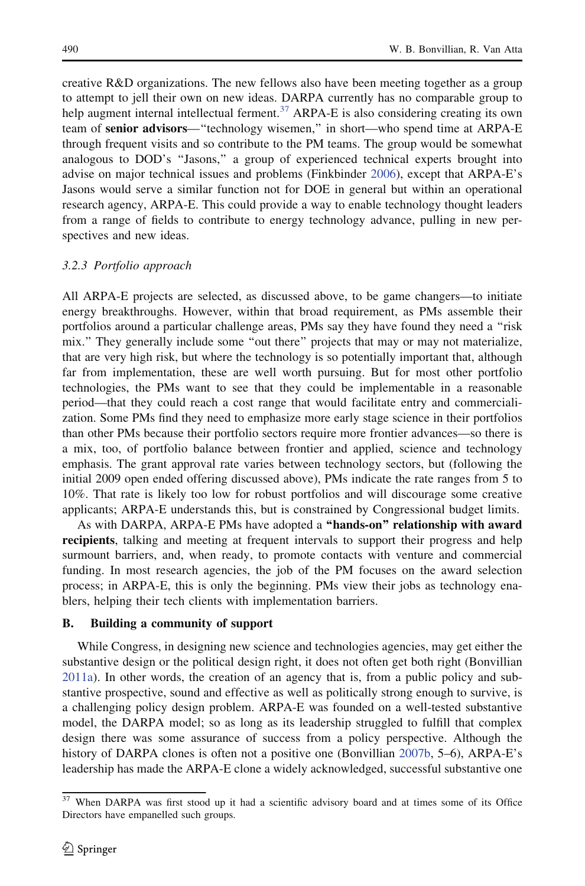creative R&D organizations. The new fellows also have been meeting together as a group to attempt to jell their own on new ideas. DARPA currently has no comparable group to help augment internal intellectual ferment.<sup>37</sup> ARPA-E is also considering creating its own team of senior advisors—"technology wisemen," in short—who spend time at ARPA-E through frequent visits and so contribute to the PM teams. The group would be somewhat analogous to DOD's ''Jasons,'' a group of experienced technical experts brought into advise on major technical issues and problems (Finkbinder [2006\)](#page-42-0), except that ARPA-E's Jasons would serve a similar function not for DOE in general but within an operational research agency, ARPA-E. This could provide a way to enable technology thought leaders from a range of fields to contribute to energy technology advance, pulling in new perspectives and new ideas.

# 3.2.3 Portfolio approach

All ARPA-E projects are selected, as discussed above, to be game changers—to initiate energy breakthroughs. However, within that broad requirement, as PMs assemble their portfolios around a particular challenge areas, PMs say they have found they need a "risk mix.'' They generally include some ''out there'' projects that may or may not materialize, that are very high risk, but where the technology is so potentially important that, although far from implementation, these are well worth pursuing. But for most other portfolio technologies, the PMs want to see that they could be implementable in a reasonable period—that they could reach a cost range that would facilitate entry and commercialization. Some PMs find they need to emphasize more early stage science in their portfolios than other PMs because their portfolio sectors require more frontier advances—so there is a mix, too, of portfolio balance between frontier and applied, science and technology emphasis. The grant approval rate varies between technology sectors, but (following the initial 2009 open ended offering discussed above), PMs indicate the rate ranges from 5 to 10%. That rate is likely too low for robust portfolios and will discourage some creative applicants; ARPA-E understands this, but is constrained by Congressional budget limits.

As with DARPA, ARPA-E PMs have adopted a "hands-on" relationship with award recipients, talking and meeting at frequent intervals to support their progress and help surmount barriers, and, when ready, to promote contacts with venture and commercial funding. In most research agencies, the job of the PM focuses on the award selection process; in ARPA-E, this is only the beginning. PMs view their jobs as technology enablers, helping their tech clients with implementation barriers.

# B. Building a community of support

While Congress, in designing new science and technologies agencies, may get either the substantive design or the political design right, it does not often get both right (Bonvillian [2011a\)](#page-42-0). In other words, the creation of an agency that is, from a public policy and substantive prospective, sound and effective as well as politically strong enough to survive, is a challenging policy design problem. ARPA-E was founded on a well-tested substantive model, the DARPA model; so as long as its leadership struggled to fulfill that complex design there was some assurance of success from a policy perspective. Although the history of DARPA clones is often not a positive one (Bonvillian [2007b,](#page-41-0) 5–6), ARPA-E's leadership has made the ARPA-E clone a widely acknowledged, successful substantive one

<sup>&</sup>lt;sup>37</sup> When DARPA was first stood up it had a scientific advisory board and at times some of its Office Directors have empanelled such groups.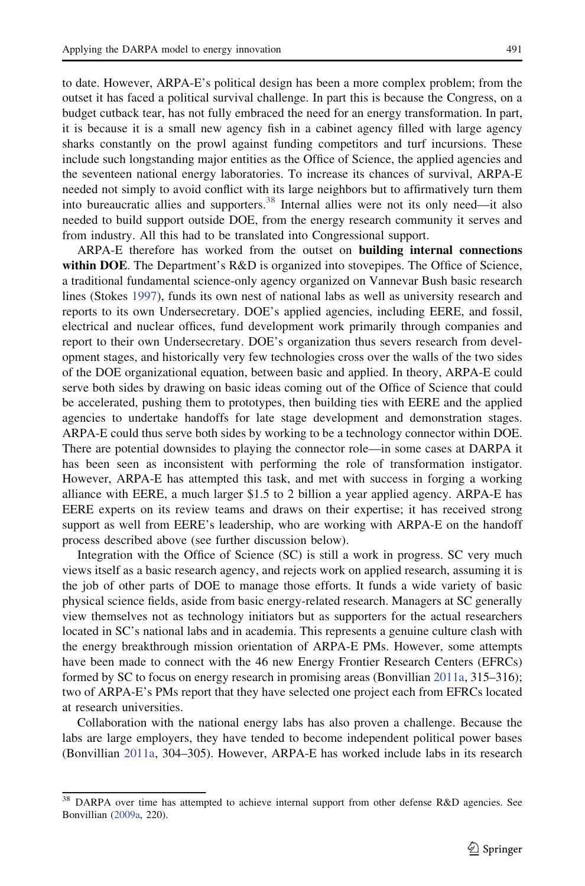to date. However, ARPA-E's political design has been a more complex problem; from the outset it has faced a political survival challenge. In part this is because the Congress, on a budget cutback tear, has not fully embraced the need for an energy transformation. In part, it is because it is a small new agency fish in a cabinet agency filled with large agency sharks constantly on the prowl against funding competitors and turf incursions. These include such longstanding major entities as the Office of Science, the applied agencies and the seventeen national energy laboratories. To increase its chances of survival, ARPA-E needed not simply to avoid conflict with its large neighbors but to affirmatively turn them into bureaucratic allies and supporters.<sup>38</sup> Internal allies were not its only need—it also needed to build support outside DOE, from the energy research community it serves and from industry. All this had to be translated into Congressional support.

ARPA-E therefore has worked from the outset on building internal connections within DOE. The Department's R&D is organized into stovepipes. The Office of Science, a traditional fundamental science-only agency organized on Vannevar Bush basic research lines (Stokes [1997\)](#page-44-0), funds its own nest of national labs as well as university research and reports to its own Undersecretary. DOE's applied agencies, including EERE, and fossil, electrical and nuclear offices, fund development work primarily through companies and report to their own Undersecretary. DOE's organization thus severs research from development stages, and historically very few technologies cross over the walls of the two sides of the DOE organizational equation, between basic and applied. In theory, ARPA-E could serve both sides by drawing on basic ideas coming out of the Office of Science that could be accelerated, pushing them to prototypes, then building ties with EERE and the applied agencies to undertake handoffs for late stage development and demonstration stages. ARPA-E could thus serve both sides by working to be a technology connector within DOE. There are potential downsides to playing the connector role—in some cases at DARPA it has been seen as inconsistent with performing the role of transformation instigator. However, ARPA-E has attempted this task, and met with success in forging a working alliance with EERE, a much larger \$1.5 to 2 billion a year applied agency. ARPA-E has EERE experts on its review teams and draws on their expertise; it has received strong support as well from EERE's leadership, who are working with ARPA-E on the handoff process described above (see further discussion below).

Integration with the Office of Science (SC) is still a work in progress. SC very much views itself as a basic research agency, and rejects work on applied research, assuming it is the job of other parts of DOE to manage those efforts. It funds a wide variety of basic physical science fields, aside from basic energy-related research. Managers at SC generally view themselves not as technology initiators but as supporters for the actual researchers located in SC's national labs and in academia. This represents a genuine culture clash with the energy breakthrough mission orientation of ARPA-E PMs. However, some attempts have been made to connect with the 46 new Energy Frontier Research Centers (EFRCs) formed by SC to focus on energy research in promising areas (Bonvillian [2011a](#page-42-0), 315–316); two of ARPA-E's PMs report that they have selected one project each from EFRCs located at research universities.

Collaboration with the national energy labs has also proven a challenge. Because the labs are large employers, they have tended to become independent political power bases (Bonvillian [2011a](#page-42-0), 304–305). However, ARPA-E has worked include labs in its research

DARPA over time has attempted to achieve internal support from other defense R&D agencies. See Bonvillian ([2009a](#page-41-0), 220).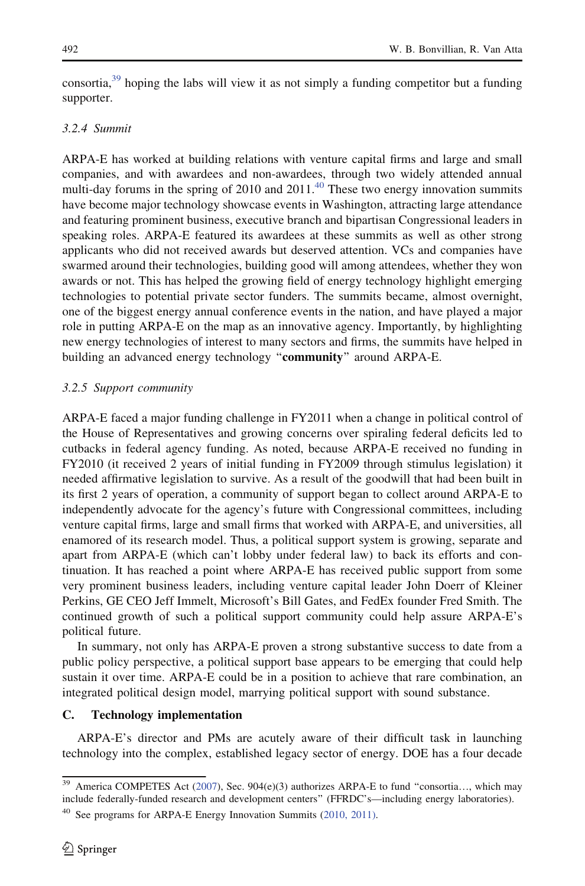consortia,<sup>39</sup> hoping the labs will view it as not simply a funding competitor but a funding supporter.

# 3.2.4 Summit

ARPA-E has worked at building relations with venture capital firms and large and small companies, and with awardees and non-awardees, through two widely attended annual multi-day forums in the spring of 2010 and  $2011<sup>40</sup>$  These two energy innovation summits have become major technology showcase events in Washington, attracting large attendance and featuring prominent business, executive branch and bipartisan Congressional leaders in speaking roles. ARPA-E featured its awardees at these summits as well as other strong applicants who did not received awards but deserved attention. VCs and companies have swarmed around their technologies, building good will among attendees, whether they won awards or not. This has helped the growing field of energy technology highlight emerging technologies to potential private sector funders. The summits became, almost overnight, one of the biggest energy annual conference events in the nation, and have played a major role in putting ARPA-E on the map as an innovative agency. Importantly, by highlighting new energy technologies of interest to many sectors and firms, the summits have helped in building an advanced energy technology "community" around ARPA-E.

# 3.2.5 Support community

ARPA-E faced a major funding challenge in FY2011 when a change in political control of the House of Representatives and growing concerns over spiraling federal deficits led to cutbacks in federal agency funding. As noted, because ARPA-E received no funding in FY2010 (it received 2 years of initial funding in FY2009 through stimulus legislation) it needed affirmative legislation to survive. As a result of the goodwill that had been built in its first 2 years of operation, a community of support began to collect around ARPA-E to independently advocate for the agency's future with Congressional committees, including venture capital firms, large and small firms that worked with ARPA-E, and universities, all enamored of its research model. Thus, a political support system is growing, separate and apart from ARPA-E (which can't lobby under federal law) to back its efforts and continuation. It has reached a point where ARPA-E has received public support from some very prominent business leaders, including venture capital leader John Doerr of Kleiner Perkins, GE CEO Jeff Immelt, Microsoft's Bill Gates, and FedEx founder Fred Smith. The continued growth of such a political support community could help assure ARPA-E's political future.

In summary, not only has ARPA-E proven a strong substantive success to date from a public policy perspective, a political support base appears to be emerging that could help sustain it over time. ARPA-E could be in a position to achieve that rare combination, an integrated political design model, marrying political support with sound substance.

# C. Technology implementation

ARPA-E's director and PMs are acutely aware of their difficult task in launching technology into the complex, established legacy sector of energy. DOE has a four decade

America COMPETES Act [\(2007](#page-41-0)), Sec. 904(e)(3) authorizes ARPA-E to fund "consortia..., which may include federally-funded research and development centers'' (FFRDC's—including energy laboratories).

<sup>40</sup> See programs for ARPA-E Energy Innovation Summits [\(2010, 2011\)](#page-41-0).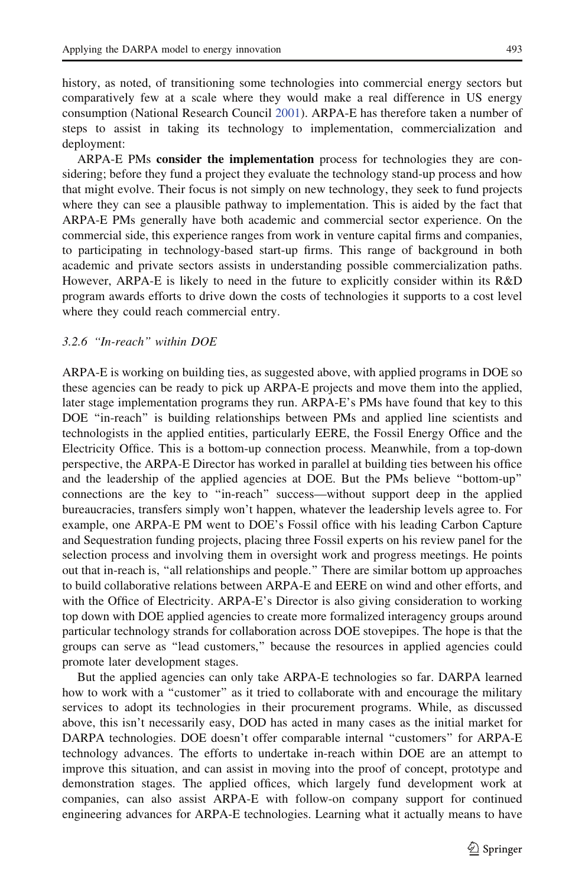history, as noted, of transitioning some technologies into commercial energy sectors but comparatively few at a scale where they would make a real difference in US energy consumption (National Research Council [2001\)](#page-43-0). ARPA-E has therefore taken a number of steps to assist in taking its technology to implementation, commercialization and deployment:

ARPA-E PMs consider the implementation process for technologies they are considering; before they fund a project they evaluate the technology stand-up process and how that might evolve. Their focus is not simply on new technology, they seek to fund projects where they can see a plausible pathway to implementation. This is aided by the fact that ARPA-E PMs generally have both academic and commercial sector experience. On the commercial side, this experience ranges from work in venture capital firms and companies, to participating in technology-based start-up firms. This range of background in both academic and private sectors assists in understanding possible commercialization paths. However, ARPA-E is likely to need in the future to explicitly consider within its R&D program awards efforts to drive down the costs of technologies it supports to a cost level where they could reach commercial entry.

# 3.2.6 ''In-reach'' within DOE

ARPA-E is working on building ties, as suggested above, with applied programs in DOE so these agencies can be ready to pick up ARPA-E projects and move them into the applied, later stage implementation programs they run. ARPA-E's PMs have found that key to this DOE ''in-reach'' is building relationships between PMs and applied line scientists and technologists in the applied entities, particularly EERE, the Fossil Energy Office and the Electricity Office. This is a bottom-up connection process. Meanwhile, from a top-down perspective, the ARPA-E Director has worked in parallel at building ties between his office and the leadership of the applied agencies at DOE. But the PMs believe ''bottom-up'' connections are the key to ''in-reach'' success—without support deep in the applied bureaucracies, transfers simply won't happen, whatever the leadership levels agree to. For example, one ARPA-E PM went to DOE's Fossil office with his leading Carbon Capture and Sequestration funding projects, placing three Fossil experts on his review panel for the selection process and involving them in oversight work and progress meetings. He points out that in-reach is, ''all relationships and people.'' There are similar bottom up approaches to build collaborative relations between ARPA-E and EERE on wind and other efforts, and with the Office of Electricity. ARPA-E's Director is also giving consideration to working top down with DOE applied agencies to create more formalized interagency groups around particular technology strands for collaboration across DOE stovepipes. The hope is that the groups can serve as ''lead customers,'' because the resources in applied agencies could promote later development stages.

But the applied agencies can only take ARPA-E technologies so far. DARPA learned how to work with a "customer" as it tried to collaborate with and encourage the military services to adopt its technologies in their procurement programs. While, as discussed above, this isn't necessarily easy, DOD has acted in many cases as the initial market for DARPA technologies. DOE doesn't offer comparable internal ''customers'' for ARPA-E technology advances. The efforts to undertake in-reach within DOE are an attempt to improve this situation, and can assist in moving into the proof of concept, prototype and demonstration stages. The applied offices, which largely fund development work at companies, can also assist ARPA-E with follow-on company support for continued engineering advances for ARPA-E technologies. Learning what it actually means to have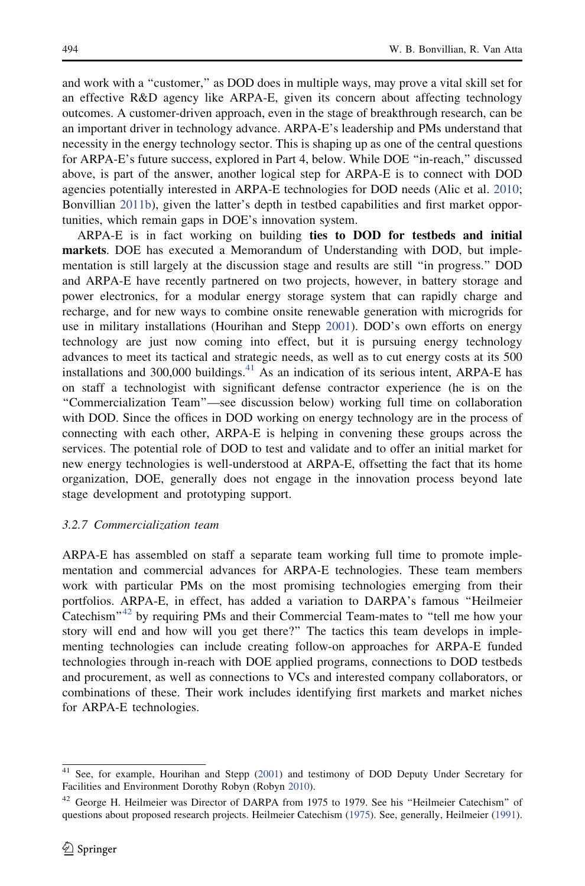and work with a "customer," as DOD does in multiple ways, may prove a vital skill set for an effective R&D agency like ARPA-E, given its concern about affecting technology outcomes. A customer-driven approach, even in the stage of breakthrough research, can be an important driver in technology advance. ARPA-E's leadership and PMs understand that necessity in the energy technology sector. This is shaping up as one of the central questions for ARPA-E's future success, explored in Part 4, below. While DOE ''in-reach,'' discussed above, is part of the answer, another logical step for ARPA-E is to connect with DOD agencies potentially interested in ARPA-E technologies for DOD needs (Alic et al. [2010;](#page-41-0) Bonvillian [2011b\)](#page-42-0), given the latter's depth in testbed capabilities and first market opportunities, which remain gaps in DOE's innovation system.

ARPA-E is in fact working on building ties to DOD for testbeds and initial markets. DOE has executed a Memorandum of Understanding with DOD, but implementation is still largely at the discussion stage and results are still ''in progress.'' DOD and ARPA-E have recently partnered on two projects, however, in battery storage and power electronics, for a modular energy storage system that can rapidly charge and recharge, and for new ways to combine onsite renewable generation with microgrids for use in military installations (Hourihan and Stepp [2001\)](#page-43-0). DOD's own efforts on energy technology are just now coming into effect, but it is pursuing energy technology advances to meet its tactical and strategic needs, as well as to cut energy costs at its 500 installations and 300,000 buildings. $^{41}$  As an indication of its serious intent, ARPA-E has on staff a technologist with significant defense contractor experience (he is on the ''Commercialization Team''—see discussion below) working full time on collaboration with DOD. Since the offices in DOD working on energy technology are in the process of connecting with each other, ARPA-E is helping in convening these groups across the services. The potential role of DOD to test and validate and to offer an initial market for new energy technologies is well-understood at ARPA-E, offsetting the fact that its home organization, DOE, generally does not engage in the innovation process beyond late stage development and prototyping support.

#### 3.2.7 Commercialization team

ARPA-E has assembled on staff a separate team working full time to promote implementation and commercial advances for ARPA-E technologies. These team members work with particular PMs on the most promising technologies emerging from their portfolios. ARPA-E, in effect, has added a variation to DARPA's famous ''Heilmeier Catechism"<sup>42</sup> by requiring PMs and their Commercial Team-mates to "tell me how your story will end and how will you get there?'' The tactics this team develops in implementing technologies can include creating follow-on approaches for ARPA-E funded technologies through in-reach with DOE applied programs, connections to DOD testbeds and procurement, as well as connections to VCs and interested company collaborators, or combinations of these. Their work includes identifying first markets and market niches for ARPA-E technologies.

<sup>&</sup>lt;sup>41</sup> See, for example, Hourihan and Stepp ([2001\)](#page-43-0) and testimony of DOD Deputy Under Secretary for Facilities and Environment Dorothy Robyn (Robyn [2010\)](#page-43-0).

<sup>&</sup>lt;sup>42</sup> George H. Heilmeier was Director of DARPA from 1975 to 1979. See his "Heilmeier Catechism" of questions about proposed research projects. Heilmeier Catechism [\(1975](#page-43-0)). See, generally, Heilmeier [\(1991\)](#page-43-0).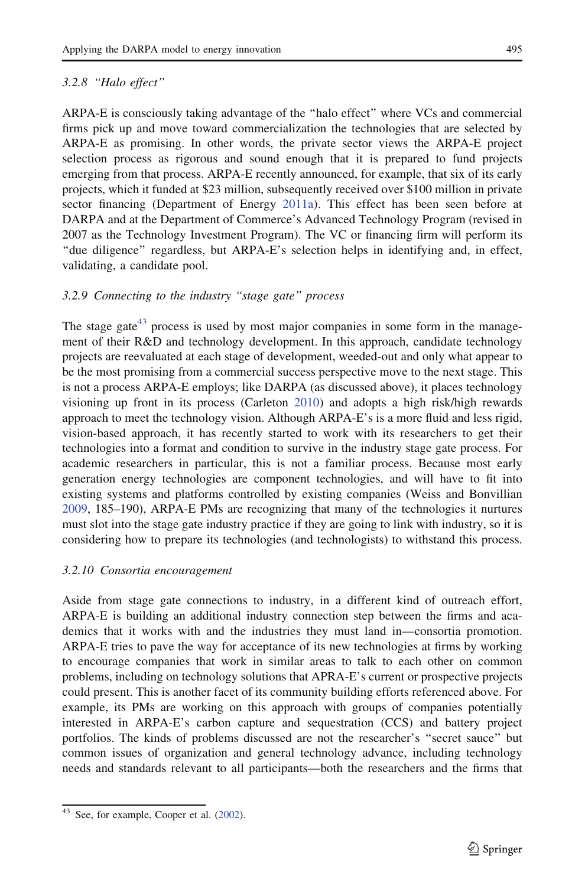# 3.2.8 ''Halo effect''

ARPA-E is consciously taking advantage of the ''halo effect'' where VCs and commercial firms pick up and move toward commercialization the technologies that are selected by ARPA-E as promising. In other words, the private sector views the ARPA-E project selection process as rigorous and sound enough that it is prepared to fund projects emerging from that process. ARPA-E recently announced, for example, that six of its early projects, which it funded at \$23 million, subsequently received over \$100 million in private sector financing (Department of Energy [2011a\)](#page-42-0). This effect has been seen before at DARPA and at the Department of Commerce's Advanced Technology Program (revised in 2007 as the Technology Investment Program). The VC or financing firm will perform its ''due diligence'' regardless, but ARPA-E's selection helps in identifying and, in effect, validating, a candidate pool.

# 3.2.9 Connecting to the industry ''stage gate'' process

The stage gate<sup>43</sup> process is used by most major companies in some form in the management of their R&D and technology development. In this approach, candidate technology projects are reevaluated at each stage of development, weeded-out and only what appear to be the most promising from a commercial success perspective move to the next stage. This is not a process ARPA-E employs; like DARPA (as discussed above), it places technology visioning up front in its process (Carleton [2010](#page-42-0)) and adopts a high risk/high rewards approach to meet the technology vision. Although ARPA-E's is a more fluid and less rigid, vision-based approach, it has recently started to work with its researchers to get their technologies into a format and condition to survive in the industry stage gate process. For academic researchers in particular, this is not a familiar process. Because most early generation energy technologies are component technologies, and will have to fit into existing systems and platforms controlled by existing companies (Weiss and Bonvillian [2009,](#page-44-0) 185–190), ARPA-E PMs are recognizing that many of the technologies it nurtures must slot into the stage gate industry practice if they are going to link with industry, so it is considering how to prepare its technologies (and technologists) to withstand this process.

### 3.2.10 Consortia encouragement

Aside from stage gate connections to industry, in a different kind of outreach effort, ARPA-E is building an additional industry connection step between the firms and academics that it works with and the industries they must land in—consortia promotion. ARPA-E tries to pave the way for acceptance of its new technologies at firms by working to encourage companies that work in similar areas to talk to each other on common problems, including on technology solutions that APRA-E's current or prospective projects could present. This is another facet of its community building efforts referenced above. For example, its PMs are working on this approach with groups of companies potentially interested in ARPA-E's carbon capture and sequestration (CCS) and battery project portfolios. The kinds of problems discussed are not the researcher's ''secret sauce'' but common issues of organization and general technology advance, including technology needs and standards relevant to all participants—both the researchers and the firms that

<sup>&</sup>lt;sup>43</sup> See, for example, Cooper et al. [\(2002](#page-42-0)).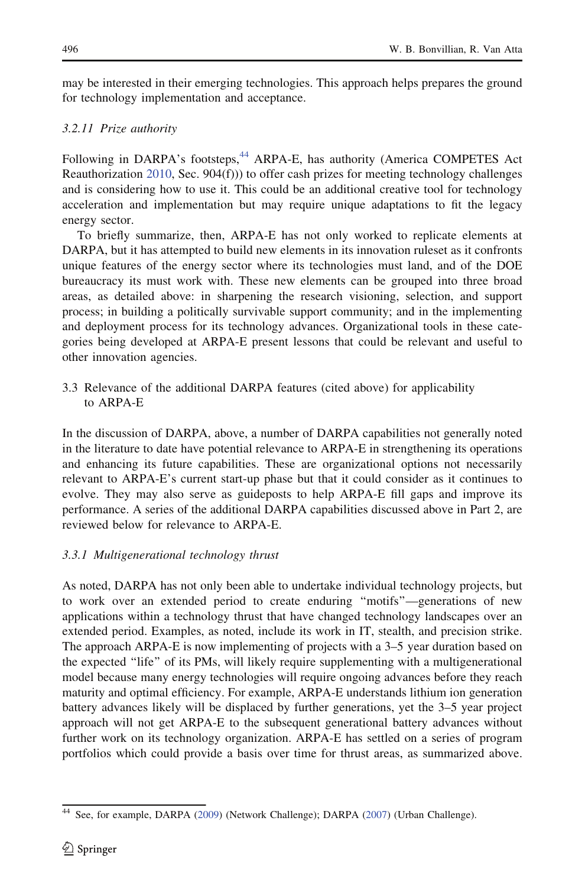may be interested in their emerging technologies. This approach helps prepares the ground for technology implementation and acceptance.

# 3.2.11 Prize authority

Following in DARPA's footsteps,<sup>44</sup> ARPA-E, has authority (America COMPETES Act Reauthorization [2010,](#page-41-0) Sec. 904(f))) to offer cash prizes for meeting technology challenges and is considering how to use it. This could be an additional creative tool for technology acceleration and implementation but may require unique adaptations to fit the legacy energy sector.

To briefly summarize, then, ARPA-E has not only worked to replicate elements at DARPA, but it has attempted to build new elements in its innovation ruleset as it confronts unique features of the energy sector where its technologies must land, and of the DOE bureaucracy its must work with. These new elements can be grouped into three broad areas, as detailed above: in sharpening the research visioning, selection, and support process; in building a politically survivable support community; and in the implementing and deployment process for its technology advances. Organizational tools in these categories being developed at ARPA-E present lessons that could be relevant and useful to other innovation agencies.

3.3 Relevance of the additional DARPA features (cited above) for applicability to ARPA-E

In the discussion of DARPA, above, a number of DARPA capabilities not generally noted in the literature to date have potential relevance to ARPA-E in strengthening its operations and enhancing its future capabilities. These are organizational options not necessarily relevant to ARPA-E's current start-up phase but that it could consider as it continues to evolve. They may also serve as guideposts to help ARPA-E fill gaps and improve its performance. A series of the additional DARPA capabilities discussed above in Part 2, are reviewed below for relevance to ARPA-E.

# 3.3.1 Multigenerational technology thrust

As noted, DARPA has not only been able to undertake individual technology projects, but to work over an extended period to create enduring ''motifs''—generations of new applications within a technology thrust that have changed technology landscapes over an extended period. Examples, as noted, include its work in IT, stealth, and precision strike. The approach ARPA-E is now implementing of projects with a 3–5 year duration based on the expected ''life'' of its PMs, will likely require supplementing with a multigenerational model because many energy technologies will require ongoing advances before they reach maturity and optimal efficiency. For example, ARPA-E understands lithium ion generation battery advances likely will be displaced by further generations, yet the 3–5 year project approach will not get ARPA-E to the subsequent generational battery advances without further work on its technology organization. ARPA-E has settled on a series of program portfolios which could provide a basis over time for thrust areas, as summarized above.

See, for example, DARPA ([2009\)](#page-42-0) (Network Challenge); DARPA [\(2007\)](#page-42-0) (Urban Challenge).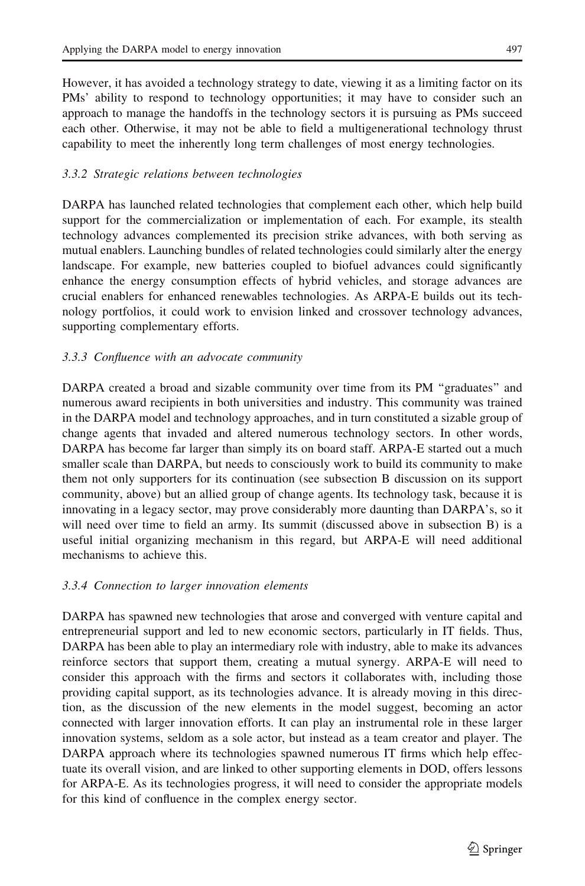However, it has avoided a technology strategy to date, viewing it as a limiting factor on its PMs' ability to respond to technology opportunities; it may have to consider such an approach to manage the handoffs in the technology sectors it is pursuing as PMs succeed each other. Otherwise, it may not be able to field a multigenerational technology thrust capability to meet the inherently long term challenges of most energy technologies.

### 3.3.2 Strategic relations between technologies

DARPA has launched related technologies that complement each other, which help build support for the commercialization or implementation of each. For example, its stealth technology advances complemented its precision strike advances, with both serving as mutual enablers. Launching bundles of related technologies could similarly alter the energy landscape. For example, new batteries coupled to biofuel advances could significantly enhance the energy consumption effects of hybrid vehicles, and storage advances are crucial enablers for enhanced renewables technologies. As ARPA-E builds out its technology portfolios, it could work to envision linked and crossover technology advances, supporting complementary efforts.

### 3.3.3 Confluence with an advocate community

DARPA created a broad and sizable community over time from its PM ''graduates'' and numerous award recipients in both universities and industry. This community was trained in the DARPA model and technology approaches, and in turn constituted a sizable group of change agents that invaded and altered numerous technology sectors. In other words, DARPA has become far larger than simply its on board staff. ARPA-E started out a much smaller scale than DARPA, but needs to consciously work to build its community to make them not only supporters for its continuation (see subsection B discussion on its support community, above) but an allied group of change agents. Its technology task, because it is innovating in a legacy sector, may prove considerably more daunting than DARPA's, so it will need over time to field an army. Its summit (discussed above in subsection B) is a useful initial organizing mechanism in this regard, but ARPA-E will need additional mechanisms to achieve this.

### 3.3.4 Connection to larger innovation elements

DARPA has spawned new technologies that arose and converged with venture capital and entrepreneurial support and led to new economic sectors, particularly in IT fields. Thus, DARPA has been able to play an intermediary role with industry, able to make its advances reinforce sectors that support them, creating a mutual synergy. ARPA-E will need to consider this approach with the firms and sectors it collaborates with, including those providing capital support, as its technologies advance. It is already moving in this direction, as the discussion of the new elements in the model suggest, becoming an actor connected with larger innovation efforts. It can play an instrumental role in these larger innovation systems, seldom as a sole actor, but instead as a team creator and player. The DARPA approach where its technologies spawned numerous IT firms which help effectuate its overall vision, and are linked to other supporting elements in DOD, offers lessons for ARPA-E. As its technologies progress, it will need to consider the appropriate models for this kind of confluence in the complex energy sector.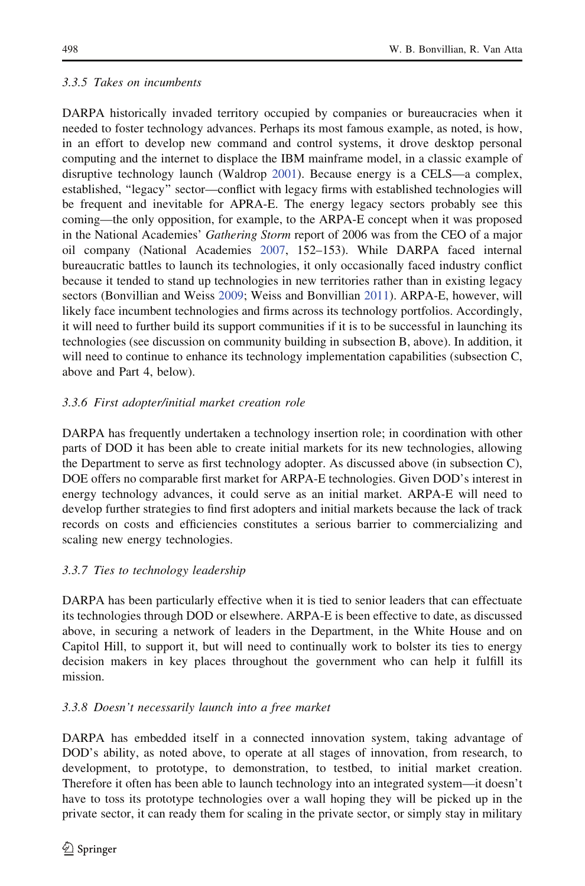# 3.3.5 Takes on incumbents

DARPA historically invaded territory occupied by companies or bureaucracies when it needed to foster technology advances. Perhaps its most famous example, as noted, is how, in an effort to develop new command and control systems, it drove desktop personal computing and the internet to displace the IBM mainframe model, in a classic example of disruptive technology launch (Waldrop [2001](#page-44-0)). Because energy is a CELS—a complex, established, ''legacy'' sector—conflict with legacy firms with established technologies will be frequent and inevitable for APRA-E. The energy legacy sectors probably see this coming—the only opposition, for example, to the ARPA-E concept when it was proposed in the National Academies' Gathering Storm report of 2006 was from the CEO of a major oil company (National Academies [2007](#page-43-0), 152–153). While DARPA faced internal bureaucratic battles to launch its technologies, it only occasionally faced industry conflict because it tended to stand up technologies in new territories rather than in existing legacy sectors (Bonvillian and Weiss [2009](#page-42-0); Weiss and Bonvillian [2011\)](#page-44-0). ARPA-E, however, will likely face incumbent technologies and firms across its technology portfolios. Accordingly, it will need to further build its support communities if it is to be successful in launching its technologies (see discussion on community building in subsection B, above). In addition, it will need to continue to enhance its technology implementation capabilities (subsection C, above and Part 4, below).

# 3.3.6 First adopter/initial market creation role

DARPA has frequently undertaken a technology insertion role; in coordination with other parts of DOD it has been able to create initial markets for its new technologies, allowing the Department to serve as first technology adopter. As discussed above (in subsection C), DOE offers no comparable first market for ARPA-E technologies. Given DOD's interest in energy technology advances, it could serve as an initial market. ARPA-E will need to develop further strategies to find first adopters and initial markets because the lack of track records on costs and efficiencies constitutes a serious barrier to commercializing and scaling new energy technologies.

# 3.3.7 Ties to technology leadership

DARPA has been particularly effective when it is tied to senior leaders that can effectuate its technologies through DOD or elsewhere. ARPA-E is been effective to date, as discussed above, in securing a network of leaders in the Department, in the White House and on Capitol Hill, to support it, but will need to continually work to bolster its ties to energy decision makers in key places throughout the government who can help it fulfill its mission.

# 3.3.8 Doesn't necessarily launch into a free market

DARPA has embedded itself in a connected innovation system, taking advantage of DOD's ability, as noted above, to operate at all stages of innovation, from research, to development, to prototype, to demonstration, to testbed, to initial market creation. Therefore it often has been able to launch technology into an integrated system—it doesn't have to toss its prototype technologies over a wall hoping they will be picked up in the private sector, it can ready them for scaling in the private sector, or simply stay in military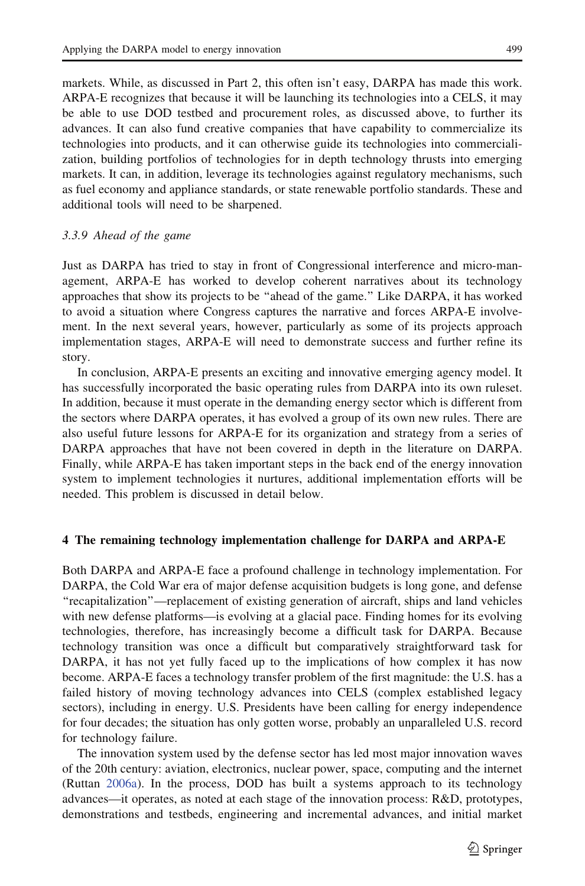markets. While, as discussed in Part 2, this often isn't easy, DARPA has made this work. ARPA-E recognizes that because it will be launching its technologies into a CELS, it may be able to use DOD testbed and procurement roles, as discussed above, to further its advances. It can also fund creative companies that have capability to commercialize its technologies into products, and it can otherwise guide its technologies into commercialization, building portfolios of technologies for in depth technology thrusts into emerging markets. It can, in addition, leverage its technologies against regulatory mechanisms, such as fuel economy and appliance standards, or state renewable portfolio standards. These and additional tools will need to be sharpened.

### 3.3.9 Ahead of the game

Just as DARPA has tried to stay in front of Congressional interference and micro-management, ARPA-E has worked to develop coherent narratives about its technology approaches that show its projects to be ''ahead of the game.'' Like DARPA, it has worked to avoid a situation where Congress captures the narrative and forces ARPA-E involvement. In the next several years, however, particularly as some of its projects approach implementation stages, ARPA-E will need to demonstrate success and further refine its story.

In conclusion, ARPA-E presents an exciting and innovative emerging agency model. It has successfully incorporated the basic operating rules from DARPA into its own ruleset. In addition, because it must operate in the demanding energy sector which is different from the sectors where DARPA operates, it has evolved a group of its own new rules. There are also useful future lessons for ARPA-E for its organization and strategy from a series of DARPA approaches that have not been covered in depth in the literature on DARPA. Finally, while ARPA-E has taken important steps in the back end of the energy innovation system to implement technologies it nurtures, additional implementation efforts will be needed. This problem is discussed in detail below.

### 4 The remaining technology implementation challenge for DARPA and ARPA-E

Both DARPA and ARPA-E face a profound challenge in technology implementation. For DARPA, the Cold War era of major defense acquisition budgets is long gone, and defense ''recapitalization''—replacement of existing generation of aircraft, ships and land vehicles with new defense platforms—is evolving at a glacial pace. Finding homes for its evolving technologies, therefore, has increasingly become a difficult task for DARPA. Because technology transition was once a difficult but comparatively straightforward task for DARPA, it has not yet fully faced up to the implications of how complex it has now become. ARPA-E faces a technology transfer problem of the first magnitude: the U.S. has a failed history of moving technology advances into CELS (complex established legacy sectors), including in energy. U.S. Presidents have been calling for energy independence for four decades; the situation has only gotten worse, probably an unparalleled U.S. record for technology failure.

The innovation system used by the defense sector has led most major innovation waves of the 20th century: aviation, electronics, nuclear power, space, computing and the internet (Ruttan [2006a](#page-43-0)). In the process, DOD has built a systems approach to its technology advances—it operates, as noted at each stage of the innovation process: R&D, prototypes, demonstrations and testbeds, engineering and incremental advances, and initial market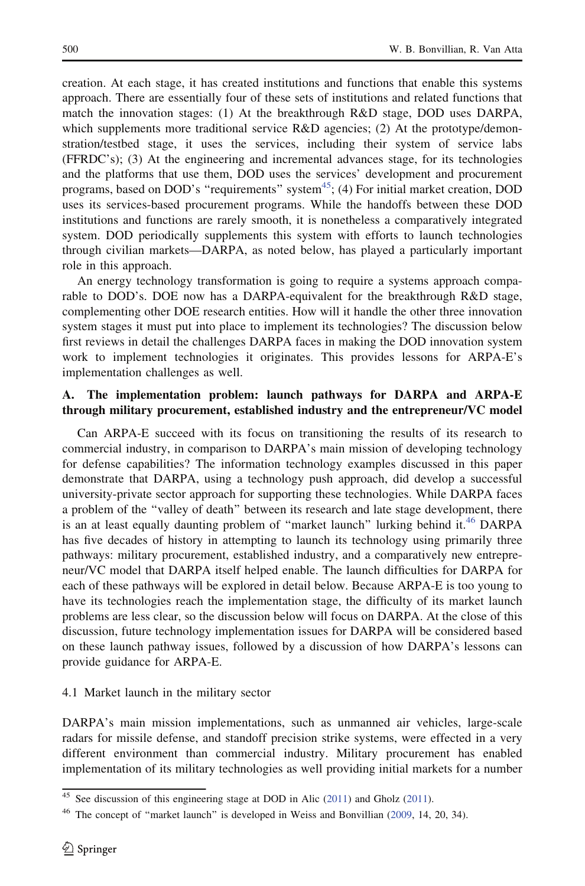creation. At each stage, it has created institutions and functions that enable this systems approach. There are essentially four of these sets of institutions and related functions that match the innovation stages: (1) At the breakthrough R&D stage, DOD uses DARPA, which supplements more traditional service  $R&D$  agencies; (2) At the prototype/demonstration/testbed stage, it uses the services, including their system of service labs (FFRDC's); (3) At the engineering and incremental advances stage, for its technologies and the platforms that use them, DOD uses the services' development and procurement programs, based on DOD's "requirements" system $45$ ; (4) For initial market creation, DOD uses its services-based procurement programs. While the handoffs between these DOD institutions and functions are rarely smooth, it is nonetheless a comparatively integrated system. DOD periodically supplements this system with efforts to launch technologies through civilian markets—DARPA, as noted below, has played a particularly important role in this approach.

An energy technology transformation is going to require a systems approach comparable to DOD's. DOE now has a DARPA-equivalent for the breakthrough R&D stage, complementing other DOE research entities. How will it handle the other three innovation system stages it must put into place to implement its technologies? The discussion below first reviews in detail the challenges DARPA faces in making the DOD innovation system work to implement technologies it originates. This provides lessons for ARPA-E's implementation challenges as well.

# A. The implementation problem: launch pathways for DARPA and ARPA-E through military procurement, established industry and the entrepreneur/VC model

Can ARPA-E succeed with its focus on transitioning the results of its research to commercial industry, in comparison to DARPA's main mission of developing technology for defense capabilities? The information technology examples discussed in this paper demonstrate that DARPA, using a technology push approach, did develop a successful university-private sector approach for supporting these technologies. While DARPA faces a problem of the ''valley of death'' between its research and late stage development, there is an at least equally daunting problem of "market launch" lurking behind it.<sup>46</sup> DARPA has five decades of history in attempting to launch its technology using primarily three pathways: military procurement, established industry, and a comparatively new entrepreneur/VC model that DARPA itself helped enable. The launch difficulties for DARPA for each of these pathways will be explored in detail below. Because ARPA-E is too young to have its technologies reach the implementation stage, the difficulty of its market launch problems are less clear, so the discussion below will focus on DARPA. At the close of this discussion, future technology implementation issues for DARPA will be considered based on these launch pathway issues, followed by a discussion of how DARPA's lessons can provide guidance for ARPA-E.

#### 4.1 Market launch in the military sector

DARPA's main mission implementations, such as unmanned air vehicles, large-scale radars for missile defense, and standoff precision strike systems, were effected in a very different environment than commercial industry. Military procurement has enabled implementation of its military technologies as well providing initial markets for a number

<sup>&</sup>lt;sup>45</sup> See discussion of this engineering stage at DOD in Alic ([2011\)](#page-42-0) and Gholz (2011).

<sup>&</sup>lt;sup>46</sup> The concept of "market launch" is developed in Weiss and Bonvillian ([2009,](#page-44-0) 14, 20, 34).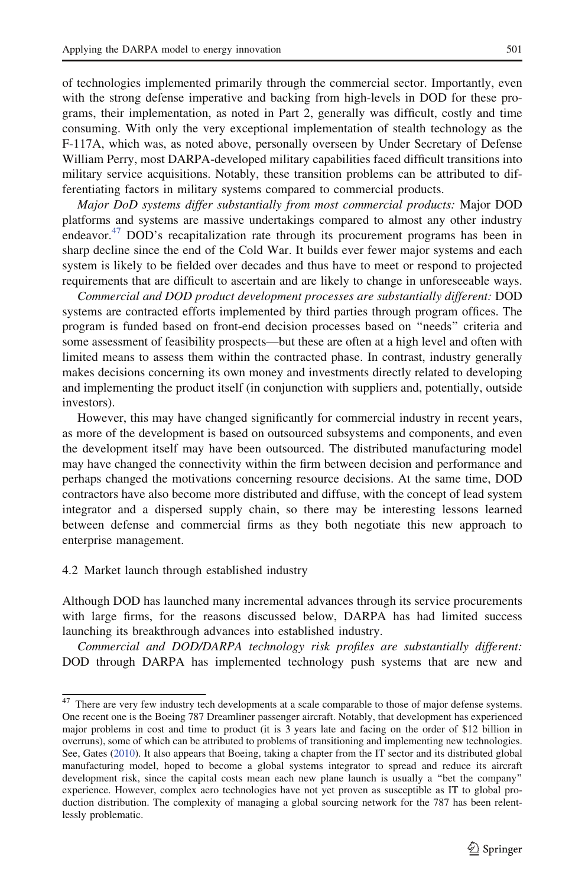of technologies implemented primarily through the commercial sector. Importantly, even with the strong defense imperative and backing from high-levels in DOD for these programs, their implementation, as noted in Part 2, generally was difficult, costly and time consuming. With only the very exceptional implementation of stealth technology as the F-117A, which was, as noted above, personally overseen by Under Secretary of Defense William Perry, most DARPA-developed military capabilities faced difficult transitions into military service acquisitions. Notably, these transition problems can be attributed to differentiating factors in military systems compared to commercial products.

Major DoD systems differ substantially from most commercial products: Major DOD platforms and systems are massive undertakings compared to almost any other industry endeavor. $47$  DOD's recapitalization rate through its procurement programs has been in sharp decline since the end of the Cold War. It builds ever fewer major systems and each system is likely to be fielded over decades and thus have to meet or respond to projected requirements that are difficult to ascertain and are likely to change in unforeseeable ways.

Commercial and DOD product development processes are substantially different: DOD systems are contracted efforts implemented by third parties through program offices. The program is funded based on front-end decision processes based on ''needs'' criteria and some assessment of feasibility prospects—but these are often at a high level and often with limited means to assess them within the contracted phase. In contrast, industry generally makes decisions concerning its own money and investments directly related to developing and implementing the product itself (in conjunction with suppliers and, potentially, outside investors).

However, this may have changed significantly for commercial industry in recent years, as more of the development is based on outsourced subsystems and components, and even the development itself may have been outsourced. The distributed manufacturing model may have changed the connectivity within the firm between decision and performance and perhaps changed the motivations concerning resource decisions. At the same time, DOD contractors have also become more distributed and diffuse, with the concept of lead system integrator and a dispersed supply chain, so there may be interesting lessons learned between defense and commercial firms as they both negotiate this new approach to enterprise management.

### 4.2 Market launch through established industry

Although DOD has launched many incremental advances through its service procurements with large firms, for the reasons discussed below, DARPA has had limited success launching its breakthrough advances into established industry.

Commercial and DOD/DARPA technology risk profiles are substantially different: DOD through DARPA has implemented technology push systems that are new and

<sup>&</sup>lt;sup>47</sup> There are very few industry tech developments at a scale comparable to those of major defense systems. One recent one is the Boeing 787 Dreamliner passenger aircraft. Notably, that development has experienced major problems in cost and time to product (it is 3 years late and facing on the order of \$12 billion in overruns), some of which can be attributed to problems of transitioning and implementing new technologies. See, Gates [\(2010](#page-42-0)). It also appears that Boeing, taking a chapter from the IT sector and its distributed global manufacturing model, hoped to become a global systems integrator to spread and reduce its aircraft development risk, since the capital costs mean each new plane launch is usually a ''bet the company'' experience. However, complex aero technologies have not yet proven as susceptible as IT to global production distribution. The complexity of managing a global sourcing network for the 787 has been relentlessly problematic.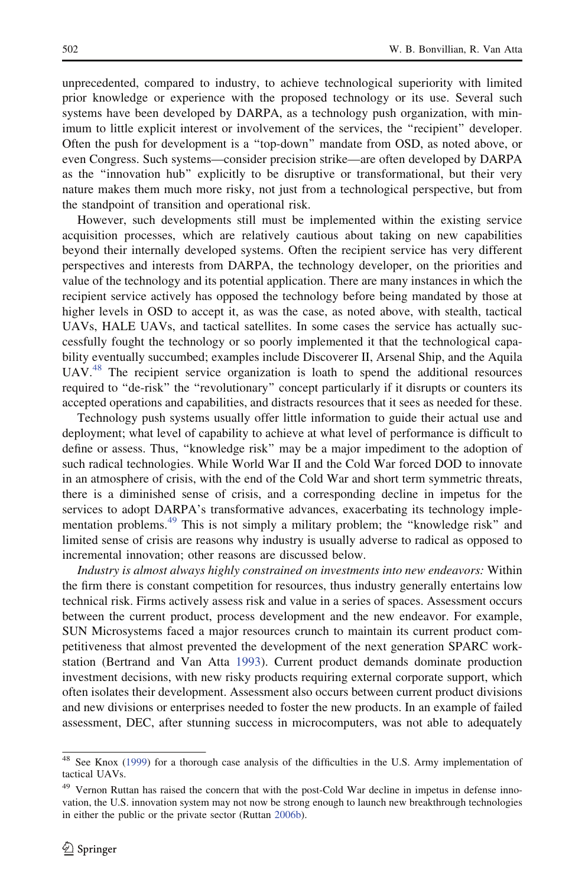unprecedented, compared to industry, to achieve technological superiority with limited prior knowledge or experience with the proposed technology or its use. Several such systems have been developed by DARPA, as a technology push organization, with minimum to little explicit interest or involvement of the services, the ''recipient'' developer. Often the push for development is a ''top-down'' mandate from OSD, as noted above, or even Congress. Such systems—consider precision strike—are often developed by DARPA as the ''innovation hub'' explicitly to be disruptive or transformational, but their very nature makes them much more risky, not just from a technological perspective, but from the standpoint of transition and operational risk.

However, such developments still must be implemented within the existing service acquisition processes, which are relatively cautious about taking on new capabilities beyond their internally developed systems. Often the recipient service has very different perspectives and interests from DARPA, the technology developer, on the priorities and value of the technology and its potential application. There are many instances in which the recipient service actively has opposed the technology before being mandated by those at higher levels in OSD to accept it, as was the case, as noted above, with stealth, tactical UAVs, HALE UAVs, and tactical satellites. In some cases the service has actually successfully fought the technology or so poorly implemented it that the technological capability eventually succumbed; examples include Discoverer II, Arsenal Ship, and the Aquila UAV.<sup>48</sup> The recipient service organization is loath to spend the additional resources required to ''de-risk'' the ''revolutionary'' concept particularly if it disrupts or counters its accepted operations and capabilities, and distracts resources that it sees as needed for these.

Technology push systems usually offer little information to guide their actual use and deployment; what level of capability to achieve at what level of performance is difficult to define or assess. Thus, ''knowledge risk'' may be a major impediment to the adoption of such radical technologies. While World War II and the Cold War forced DOD to innovate in an atmosphere of crisis, with the end of the Cold War and short term symmetric threats, there is a diminished sense of crisis, and a corresponding decline in impetus for the services to adopt DARPA's transformative advances, exacerbating its technology implementation problems.<sup>49</sup> This is not simply a military problem; the "knowledge risk" and limited sense of crisis are reasons why industry is usually adverse to radical as opposed to incremental innovation; other reasons are discussed below.

Industry is almost always highly constrained on investments into new endeavors: Within the firm there is constant competition for resources, thus industry generally entertains low technical risk. Firms actively assess risk and value in a series of spaces. Assessment occurs between the current product, process development and the new endeavor. For example, SUN Microsystems faced a major resources crunch to maintain its current product competitiveness that almost prevented the development of the next generation SPARC workstation (Bertrand and Van Atta [1993](#page-41-0)). Current product demands dominate production investment decisions, with new risky products requiring external corporate support, which often isolates their development. Assessment also occurs between current product divisions and new divisions or enterprises needed to foster the new products. In an example of failed assessment, DEC, after stunning success in microcomputers, was not able to adequately

 $48$  See Knox ([1999](#page-43-0)) for a thorough case analysis of the difficulties in the U.S. Army implementation of tactical UAVs.

<sup>&</sup>lt;sup>49</sup> Vernon Ruttan has raised the concern that with the post-Cold War decline in impetus in defense innovation, the U.S. innovation system may not now be strong enough to launch new breakthrough technologies in either the public or the private sector (Ruttan [2006b](#page-44-0)).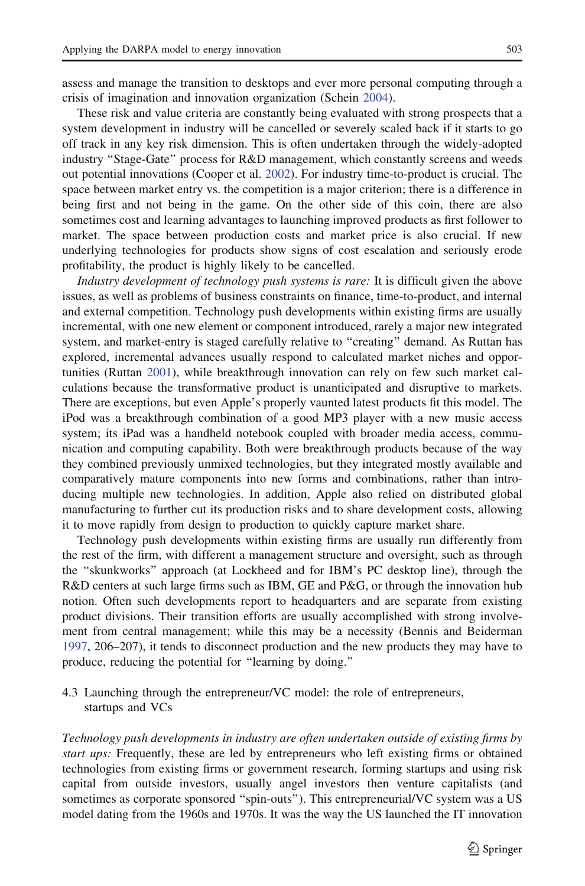assess and manage the transition to desktops and ever more personal computing through a crisis of imagination and innovation organization (Schein [2004\)](#page-44-0).

These risk and value criteria are constantly being evaluated with strong prospects that a system development in industry will be cancelled or severely scaled back if it starts to go off track in any key risk dimension. This is often undertaken through the widely-adopted industry ''Stage-Gate'' process for R&D management, which constantly screens and weeds out potential innovations (Cooper et al. [2002](#page-42-0)). For industry time-to-product is crucial. The space between market entry vs. the competition is a major criterion; there is a difference in being first and not being in the game. On the other side of this coin, there are also sometimes cost and learning advantages to launching improved products as first follower to market. The space between production costs and market price is also crucial. If new underlying technologies for products show signs of cost escalation and seriously erode profitability, the product is highly likely to be cancelled.

Industry development of technology push systems is rare: It is difficult given the above issues, as well as problems of business constraints on finance, time-to-product, and internal and external competition. Technology push developments within existing firms are usually incremental, with one new element or component introduced, rarely a major new integrated system, and market-entry is staged carefully relative to "creating" demand. As Ruttan has explored, incremental advances usually respond to calculated market niches and opportunities (Ruttan [2001](#page-43-0)), while breakthrough innovation can rely on few such market calculations because the transformative product is unanticipated and disruptive to markets. There are exceptions, but even Apple's properly vaunted latest products fit this model. The iPod was a breakthrough combination of a good MP3 player with a new music access system; its iPad was a handheld notebook coupled with broader media access, communication and computing capability. Both were breakthrough products because of the way they combined previously unmixed technologies, but they integrated mostly available and comparatively mature components into new forms and combinations, rather than introducing multiple new technologies. In addition, Apple also relied on distributed global manufacturing to further cut its production risks and to share development costs, allowing it to move rapidly from design to production to quickly capture market share.

Technology push developments within existing firms are usually run differently from the rest of the firm, with different a management structure and oversight, such as through the ''skunkworks'' approach (at Lockheed and for IBM's PC desktop line), through the R&D centers at such large firms such as IBM, GE and P&G, or through the innovation hub notion. Often such developments report to headquarters and are separate from existing product divisions. Their transition efforts are usually accomplished with strong involvement from central management; while this may be a necessity (Bennis and Beiderman [1997,](#page-41-0) 206–207), it tends to disconnect production and the new products they may have to produce, reducing the potential for ''learning by doing.''

4.3 Launching through the entrepreneur/VC model: the role of entrepreneurs, startups and VCs

Technology push developments in industry are often undertaken outside of existing firms by start ups: Frequently, these are led by entrepreneurs who left existing firms or obtained technologies from existing firms or government research, forming startups and using risk capital from outside investors, usually angel investors then venture capitalists (and sometimes as corporate sponsored "spin-outs"). This entrepreneurial/VC system was a US model dating from the 1960s and 1970s. It was the way the US launched the IT innovation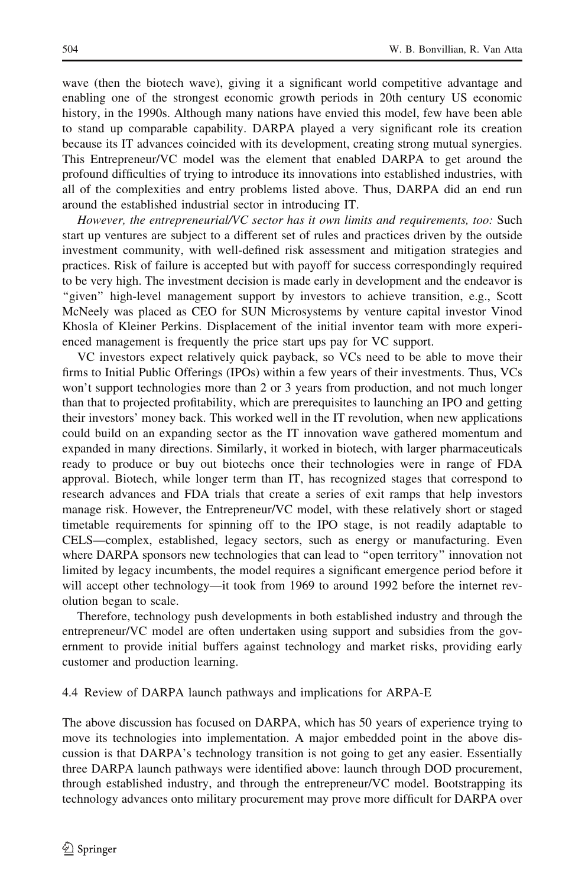wave (then the biotech wave), giving it a significant world competitive advantage and enabling one of the strongest economic growth periods in 20th century US economic history, in the 1990s. Although many nations have envied this model, few have been able to stand up comparable capability. DARPA played a very significant role its creation because its IT advances coincided with its development, creating strong mutual synergies. This Entrepreneur/VC model was the element that enabled DARPA to get around the profound difficulties of trying to introduce its innovations into established industries, with all of the complexities and entry problems listed above. Thus, DARPA did an end run around the established industrial sector in introducing IT.

However, the entrepreneurial/VC sector has it own limits and requirements, too: Such start up ventures are subject to a different set of rules and practices driven by the outside investment community, with well-defined risk assessment and mitigation strategies and practices. Risk of failure is accepted but with payoff for success correspondingly required to be very high. The investment decision is made early in development and the endeavor is "given" high-level management support by investors to achieve transition, e.g., Scott McNeely was placed as CEO for SUN Microsystems by venture capital investor Vinod Khosla of Kleiner Perkins. Displacement of the initial inventor team with more experienced management is frequently the price start ups pay for VC support.

VC investors expect relatively quick payback, so VCs need to be able to move their firms to Initial Public Offerings (IPOs) within a few years of their investments. Thus, VCs won't support technologies more than 2 or 3 years from production, and not much longer than that to projected profitability, which are prerequisites to launching an IPO and getting their investors' money back. This worked well in the IT revolution, when new applications could build on an expanding sector as the IT innovation wave gathered momentum and expanded in many directions. Similarly, it worked in biotech, with larger pharmaceuticals ready to produce or buy out biotechs once their technologies were in range of FDA approval. Biotech, while longer term than IT, has recognized stages that correspond to research advances and FDA trials that create a series of exit ramps that help investors manage risk. However, the Entrepreneur/VC model, with these relatively short or staged timetable requirements for spinning off to the IPO stage, is not readily adaptable to CELS—complex, established, legacy sectors, such as energy or manufacturing. Even where DARPA sponsors new technologies that can lead to "open territory" innovation not limited by legacy incumbents, the model requires a significant emergence period before it will accept other technology—it took from 1969 to around 1992 before the internet revolution began to scale.

Therefore, technology push developments in both established industry and through the entrepreneur/VC model are often undertaken using support and subsidies from the government to provide initial buffers against technology and market risks, providing early customer and production learning.

#### 4.4 Review of DARPA launch pathways and implications for ARPA-E

The above discussion has focused on DARPA, which has 50 years of experience trying to move its technologies into implementation. A major embedded point in the above discussion is that DARPA's technology transition is not going to get any easier. Essentially three DARPA launch pathways were identified above: launch through DOD procurement, through established industry, and through the entrepreneur/VC model. Bootstrapping its technology advances onto military procurement may prove more difficult for DARPA over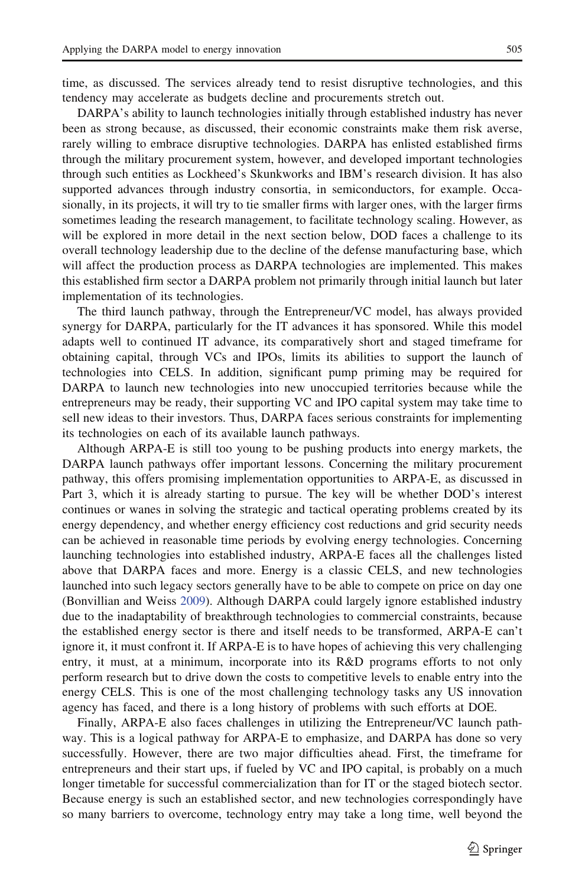time, as discussed. The services already tend to resist disruptive technologies, and this tendency may accelerate as budgets decline and procurements stretch out.

DARPA's ability to launch technologies initially through established industry has never been as strong because, as discussed, their economic constraints make them risk averse, rarely willing to embrace disruptive technologies. DARPA has enlisted established firms through the military procurement system, however, and developed important technologies through such entities as Lockheed's Skunkworks and IBM's research division. It has also supported advances through industry consortia, in semiconductors, for example. Occasionally, in its projects, it will try to tie smaller firms with larger ones, with the larger firms sometimes leading the research management, to facilitate technology scaling. However, as will be explored in more detail in the next section below, DOD faces a challenge to its overall technology leadership due to the decline of the defense manufacturing base, which will affect the production process as DARPA technologies are implemented. This makes this established firm sector a DARPA problem not primarily through initial launch but later implementation of its technologies.

The third launch pathway, through the Entrepreneur/VC model, has always provided synergy for DARPA, particularly for the IT advances it has sponsored. While this model adapts well to continued IT advance, its comparatively short and staged timeframe for obtaining capital, through VCs and IPOs, limits its abilities to support the launch of technologies into CELS. In addition, significant pump priming may be required for DARPA to launch new technologies into new unoccupied territories because while the entrepreneurs may be ready, their supporting VC and IPO capital system may take time to sell new ideas to their investors. Thus, DARPA faces serious constraints for implementing its technologies on each of its available launch pathways.

Although ARPA-E is still too young to be pushing products into energy markets, the DARPA launch pathways offer important lessons. Concerning the military procurement pathway, this offers promising implementation opportunities to ARPA-E, as discussed in Part 3, which it is already starting to pursue. The key will be whether DOD's interest continues or wanes in solving the strategic and tactical operating problems created by its energy dependency, and whether energy efficiency cost reductions and grid security needs can be achieved in reasonable time periods by evolving energy technologies. Concerning launching technologies into established industry, ARPA-E faces all the challenges listed above that DARPA faces and more. Energy is a classic CELS, and new technologies launched into such legacy sectors generally have to be able to compete on price on day one (Bonvillian and Weiss [2009](#page-42-0)). Although DARPA could largely ignore established industry due to the inadaptability of breakthrough technologies to commercial constraints, because the established energy sector is there and itself needs to be transformed, ARPA-E can't ignore it, it must confront it. If ARPA-E is to have hopes of achieving this very challenging entry, it must, at a minimum, incorporate into its R&D programs efforts to not only perform research but to drive down the costs to competitive levels to enable entry into the energy CELS. This is one of the most challenging technology tasks any US innovation agency has faced, and there is a long history of problems with such efforts at DOE.

Finally, ARPA-E also faces challenges in utilizing the Entrepreneur/VC launch pathway. This is a logical pathway for ARPA-E to emphasize, and DARPA has done so very successfully. However, there are two major difficulties ahead. First, the timeframe for entrepreneurs and their start ups, if fueled by VC and IPO capital, is probably on a much longer timetable for successful commercialization than for IT or the staged biotech sector. Because energy is such an established sector, and new technologies correspondingly have so many barriers to overcome, technology entry may take a long time, well beyond the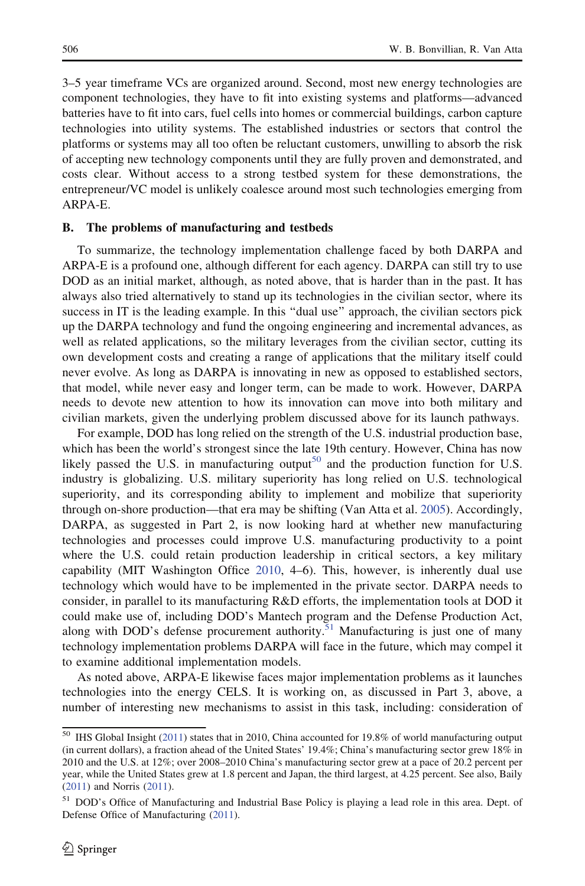3–5 year timeframe VCs are organized around. Second, most new energy technologies are component technologies, they have to fit into existing systems and platforms—advanced batteries have to fit into cars, fuel cells into homes or commercial buildings, carbon capture technologies into utility systems. The established industries or sectors that control the platforms or systems may all too often be reluctant customers, unwilling to absorb the risk of accepting new technology components until they are fully proven and demonstrated, and costs clear. Without access to a strong testbed system for these demonstrations, the entrepreneur/VC model is unlikely coalesce around most such technologies emerging from ARPA-E.

### B. The problems of manufacturing and testbeds

To summarize, the technology implementation challenge faced by both DARPA and ARPA-E is a profound one, although different for each agency. DARPA can still try to use DOD as an initial market, although, as noted above, that is harder than in the past. It has always also tried alternatively to stand up its technologies in the civilian sector, where its success in IT is the leading example. In this "dual use" approach, the civilian sectors pick up the DARPA technology and fund the ongoing engineering and incremental advances, as well as related applications, so the military leverages from the civilian sector, cutting its own development costs and creating a range of applications that the military itself could never evolve. As long as DARPA is innovating in new as opposed to established sectors, that model, while never easy and longer term, can be made to work. However, DARPA needs to devote new attention to how its innovation can move into both military and civilian markets, given the underlying problem discussed above for its launch pathways.

For example, DOD has long relied on the strength of the U.S. industrial production base, which has been the world's strongest since the late 19th century. However, China has now likely passed the U.S. in manufacturing output<sup>50</sup> and the production function for U.S. industry is globalizing. U.S. military superiority has long relied on U.S. technological superiority, and its corresponding ability to implement and mobilize that superiority through on-shore production—that era may be shifting (Van Atta et al. [2005](#page-44-0)). Accordingly, DARPA, as suggested in Part 2, is now looking hard at whether new manufacturing technologies and processes could improve U.S. manufacturing productivity to a point where the U.S. could retain production leadership in critical sectors, a key military capability (MIT Washington Office [2010](#page-43-0), 4–6). This, however, is inherently dual use technology which would have to be implemented in the private sector. DARPA needs to consider, in parallel to its manufacturing R&D efforts, the implementation tools at DOD it could make use of, including DOD's Mantech program and the Defense Production Act, along with DOD's defense procurement authority. $51$  Manufacturing is just one of many technology implementation problems DARPA will face in the future, which may compel it to examine additional implementation models.

As noted above, ARPA-E likewise faces major implementation problems as it launches technologies into the energy CELS. It is working on, as discussed in Part 3, above, a number of interesting new mechanisms to assist in this task, including: consideration of

<sup>50</sup> IHS Global Insight [\(2011\)](#page-43-0) states that in 2010, China accounted for 19.8% of world manufacturing output (in current dollars), a fraction ahead of the United States' 19.4%; China's manufacturing sector grew 18% in 2010 and the U.S. at 12%; over 2008–2010 China's manufacturing sector grew at a pace of 20.2 percent per year, while the United States grew at 1.8 percent and Japan, the third largest, at 4.25 percent. See also, Baily [\(2011](#page-41-0)) and Norris [\(2011](#page-43-0)).

<sup>&</sup>lt;sup>51</sup> DOD's Office of Manufacturing and Industrial Base Policy is playing a lead role in this area. Dept. of Defense Office of Manufacturing ([2011\)](#page-42-0).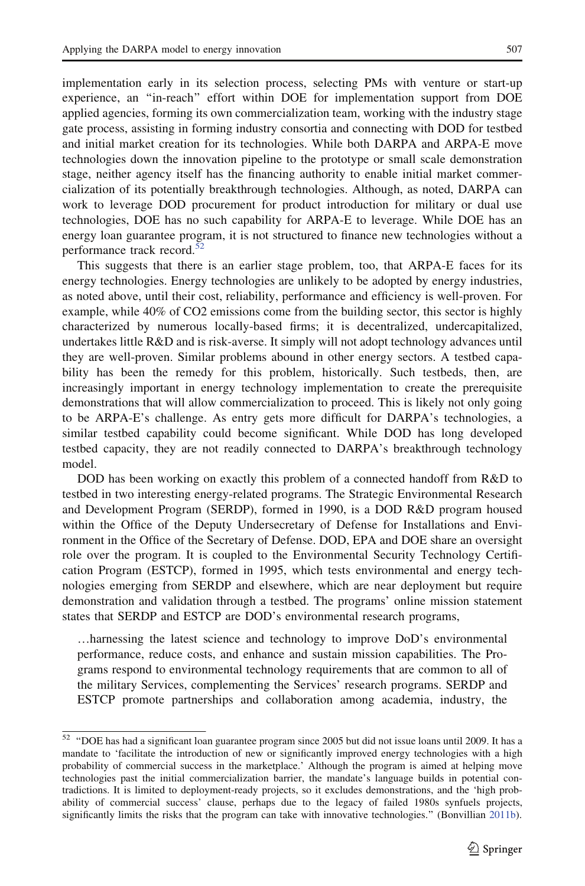implementation early in its selection process, selecting PMs with venture or start-up experience, an ''in-reach'' effort within DOE for implementation support from DOE applied agencies, forming its own commercialization team, working with the industry stage gate process, assisting in forming industry consortia and connecting with DOD for testbed and initial market creation for its technologies. While both DARPA and ARPA-E move technologies down the innovation pipeline to the prototype or small scale demonstration stage, neither agency itself has the financing authority to enable initial market commercialization of its potentially breakthrough technologies. Although, as noted, DARPA can work to leverage DOD procurement for product introduction for military or dual use technologies, DOE has no such capability for ARPA-E to leverage. While DOE has an energy loan guarantee program, it is not structured to finance new technologies without a performance track record. $52$ 

This suggests that there is an earlier stage problem, too, that ARPA-E faces for its energy technologies. Energy technologies are unlikely to be adopted by energy industries, as noted above, until their cost, reliability, performance and efficiency is well-proven. For example, while 40% of CO2 emissions come from the building sector, this sector is highly characterized by numerous locally-based firms; it is decentralized, undercapitalized, undertakes little R&D and is risk-averse. It simply will not adopt technology advances until they are well-proven. Similar problems abound in other energy sectors. A testbed capability has been the remedy for this problem, historically. Such testbeds, then, are increasingly important in energy technology implementation to create the prerequisite demonstrations that will allow commercialization to proceed. This is likely not only going to be ARPA-E's challenge. As entry gets more difficult for DARPA's technologies, a similar testbed capability could become significant. While DOD has long developed testbed capacity, they are not readily connected to DARPA's breakthrough technology model.

DOD has been working on exactly this problem of a connected handoff from R&D to testbed in two interesting energy-related programs. The Strategic Environmental Research and Development Program (SERDP), formed in 1990, is a DOD R&D program housed within the Office of the Deputy Undersecretary of Defense for Installations and Environment in the Office of the Secretary of Defense. DOD, EPA and DOE share an oversight role over the program. It is coupled to the Environmental Security Technology Certification Program (ESTCP), formed in 1995, which tests environmental and energy technologies emerging from SERDP and elsewhere, which are near deployment but require demonstration and validation through a testbed. The programs' online mission statement states that SERDP and ESTCP are DOD's environmental research programs,

…harnessing the latest science and technology to improve DoD's environmental performance, reduce costs, and enhance and sustain mission capabilities. The Programs respond to environmental technology requirements that are common to all of the military Services, complementing the Services' research programs. SERDP and ESTCP promote partnerships and collaboration among academia, industry, the

<sup>52</sup> ''DOE has had a significant loan guarantee program since 2005 but did not issue loans until 2009. It has a mandate to 'facilitate the introduction of new or significantly improved energy technologies with a high probability of commercial success in the marketplace.' Although the program is aimed at helping move technologies past the initial commercialization barrier, the mandate's language builds in potential contradictions. It is limited to deployment-ready projects, so it excludes demonstrations, and the 'high probability of commercial success' clause, perhaps due to the legacy of failed 1980s synfuels projects, significantly limits the risks that the program can take with innovative technologies." (Bonvillian [2011b\)](#page-42-0).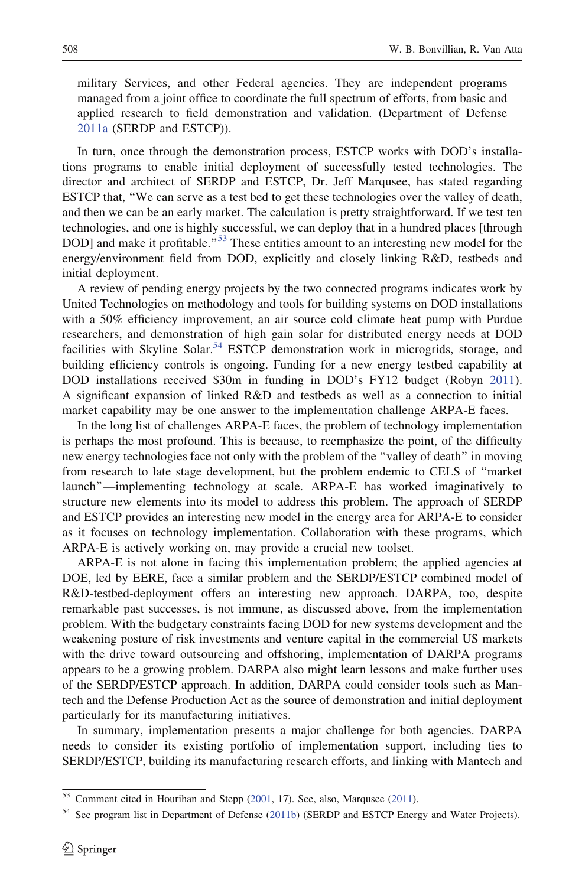military Services, and other Federal agencies. They are independent programs managed from a joint office to coordinate the full spectrum of efforts, from basic and applied research to field demonstration and validation. (Department of Defense [2011a](#page-42-0) (SERDP and ESTCP)).

In turn, once through the demonstration process, ESTCP works with DOD's installations programs to enable initial deployment of successfully tested technologies. The director and architect of SERDP and ESTCP, Dr. Jeff Marqusee, has stated regarding ESTCP that, ''We can serve as a test bed to get these technologies over the valley of death, and then we can be an early market. The calculation is pretty straightforward. If we test ten technologies, and one is highly successful, we can deploy that in a hundred places [through DOD] and make it profitable."<sup>53</sup> These entities amount to an interesting new model for the energy/environment field from DOD, explicitly and closely linking R&D, testbeds and initial deployment.

A review of pending energy projects by the two connected programs indicates work by United Technologies on methodology and tools for building systems on DOD installations with a 50% efficiency improvement, an air source cold climate heat pump with Purdue researchers, and demonstration of high gain solar for distributed energy needs at DOD facilities with Skyline Solar.<sup>54</sup> ESTCP demonstration work in microgrids, storage, and building efficiency controls is ongoing. Funding for a new energy testbed capability at DOD installations received \$30m in funding in DOD's FY12 budget (Robyn [2011](#page-43-0)). A significant expansion of linked R&D and testbeds as well as a connection to initial market capability may be one answer to the implementation challenge ARPA-E faces.

In the long list of challenges ARPA-E faces, the problem of technology implementation is perhaps the most profound. This is because, to reemphasize the point, of the difficulty new energy technologies face not only with the problem of the ''valley of death'' in moving from research to late stage development, but the problem endemic to CELS of ''market launch''—implementing technology at scale. ARPA-E has worked imaginatively to structure new elements into its model to address this problem. The approach of SERDP and ESTCP provides an interesting new model in the energy area for ARPA-E to consider as it focuses on technology implementation. Collaboration with these programs, which ARPA-E is actively working on, may provide a crucial new toolset.

ARPA-E is not alone in facing this implementation problem; the applied agencies at DOE, led by EERE, face a similar problem and the SERDP/ESTCP combined model of R&D-testbed-deployment offers an interesting new approach. DARPA, too, despite remarkable past successes, is not immune, as discussed above, from the implementation problem. With the budgetary constraints facing DOD for new systems development and the weakening posture of risk investments and venture capital in the commercial US markets with the drive toward outsourcing and offshoring, implementation of DARPA programs appears to be a growing problem. DARPA also might learn lessons and make further uses of the SERDP/ESTCP approach. In addition, DARPA could consider tools such as Mantech and the Defense Production Act as the source of demonstration and initial deployment particularly for its manufacturing initiatives.

In summary, implementation presents a major challenge for both agencies. DARPA needs to consider its existing portfolio of implementation support, including ties to SERDP/ESTCP, building its manufacturing research efforts, and linking with Mantech and

<sup>53</sup> Comment cited in Hourihan and Stepp [\(2001](#page-43-0), 17). See, also, Marqusee [\(2011](#page-43-0)).

<sup>54</sup> See program list in Department of Defense ([2011b\)](#page-42-0) (SERDP and ESTCP Energy and Water Projects).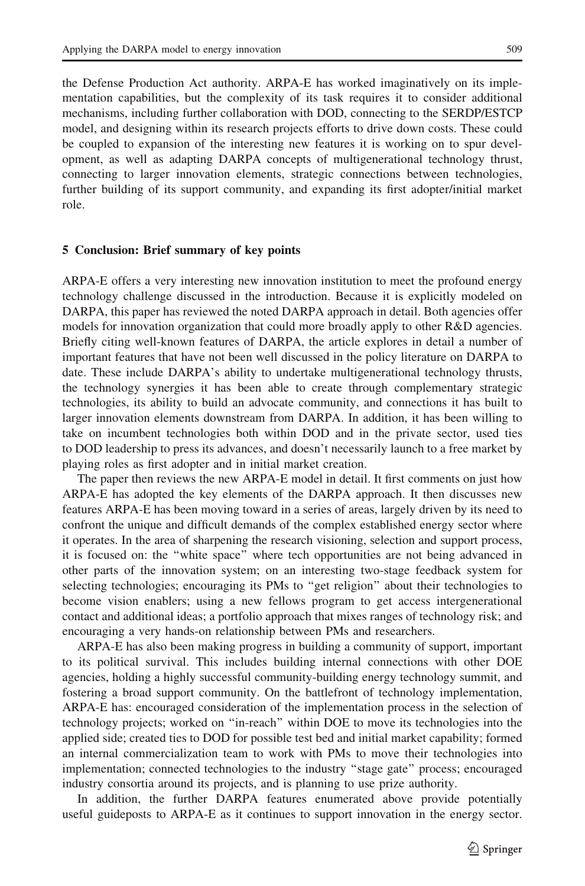the Defense Production Act authority. ARPA-E has worked imaginatively on its implementation capabilities, but the complexity of its task requires it to consider additional mechanisms, including further collaboration with DOD, connecting to the SERDP/ESTCP model, and designing within its research projects efforts to drive down costs. These could be coupled to expansion of the interesting new features it is working on to spur development, as well as adapting DARPA concepts of multigenerational technology thrust, connecting to larger innovation elements, strategic connections between technologies, further building of its support community, and expanding its first adopter/initial market role.

#### 5 Conclusion: Brief summary of key points

ARPA-E offers a very interesting new innovation institution to meet the profound energy technology challenge discussed in the introduction. Because it is explicitly modeled on DARPA, this paper has reviewed the noted DARPA approach in detail. Both agencies offer models for innovation organization that could more broadly apply to other R&D agencies. Briefly citing well-known features of DARPA, the article explores in detail a number of important features that have not been well discussed in the policy literature on DARPA to date. These include DARPA's ability to undertake multigenerational technology thrusts, the technology synergies it has been able to create through complementary strategic technologies, its ability to build an advocate community, and connections it has built to larger innovation elements downstream from DARPA. In addition, it has been willing to take on incumbent technologies both within DOD and in the private sector, used ties to DOD leadership to press its advances, and doesn't necessarily launch to a free market by playing roles as first adopter and in initial market creation.

The paper then reviews the new ARPA-E model in detail. It first comments on just how ARPA-E has adopted the key elements of the DARPA approach. It then discusses new features ARPA-E has been moving toward in a series of areas, largely driven by its need to confront the unique and difficult demands of the complex established energy sector where it operates. In the area of sharpening the research visioning, selection and support process, it is focused on: the ''white space'' where tech opportunities are not being advanced in other parts of the innovation system; on an interesting two-stage feedback system for selecting technologies; encouraging its PMs to ''get religion'' about their technologies to become vision enablers; using a new fellows program to get access intergenerational contact and additional ideas; a portfolio approach that mixes ranges of technology risk; and encouraging a very hands-on relationship between PMs and researchers.

ARPA-E has also been making progress in building a community of support, important to its political survival. This includes building internal connections with other DOE agencies, holding a highly successful community-building energy technology summit, and fostering a broad support community. On the battlefront of technology implementation, ARPA-E has: encouraged consideration of the implementation process in the selection of technology projects; worked on ''in-reach'' within DOE to move its technologies into the applied side; created ties to DOD for possible test bed and initial market capability; formed an internal commercialization team to work with PMs to move their technologies into implementation; connected technologies to the industry ''stage gate'' process; encouraged industry consortia around its projects, and is planning to use prize authority.

In addition, the further DARPA features enumerated above provide potentially useful guideposts to ARPA-E as it continues to support innovation in the energy sector.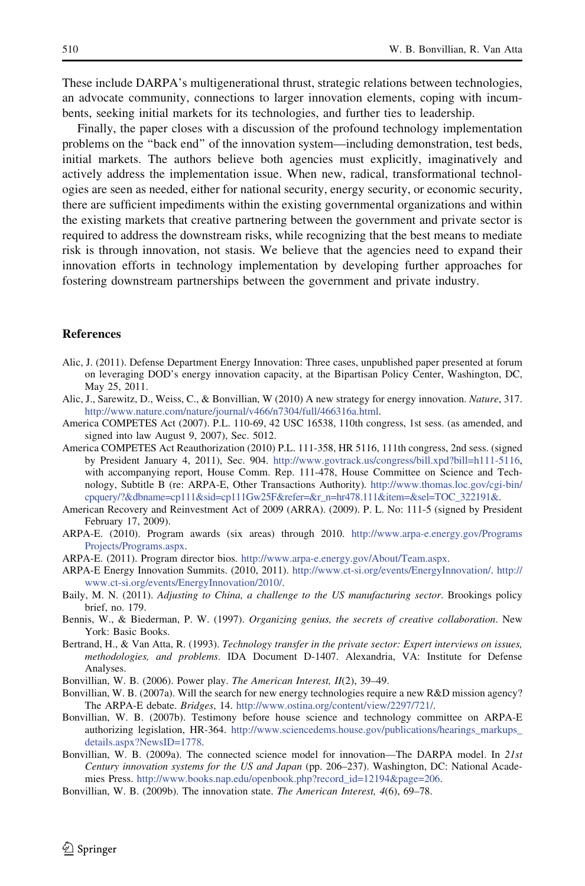<span id="page-41-0"></span>These include DARPA's multigenerational thrust, strategic relations between technologies, an advocate community, connections to larger innovation elements, coping with incumbents, seeking initial markets for its technologies, and further ties to leadership.

Finally, the paper closes with a discussion of the profound technology implementation problems on the ''back end'' of the innovation system—including demonstration, test beds, initial markets. The authors believe both agencies must explicitly, imaginatively and actively address the implementation issue. When new, radical, transformational technologies are seen as needed, either for national security, energy security, or economic security, there are sufficient impediments within the existing governmental organizations and within the existing markets that creative partnering between the government and private sector is required to address the downstream risks, while recognizing that the best means to mediate risk is through innovation, not stasis. We believe that the agencies need to expand their innovation efforts in technology implementation by developing further approaches for fostering downstream partnerships between the government and private industry.

### References

- Alic, J. (2011). Defense Department Energy Innovation: Three cases, unpublished paper presented at forum on leveraging DOD's energy innovation capacity, at the Bipartisan Policy Center, Washington, DC, May 25, 2011.
- Alic, J., Sarewitz, D., Weiss, C., & Bonvillian, W (2010) A new strategy for energy innovation. Nature, 317. [http://www.nature.com/nature/journal/v466/n7304/full/466316a.html.](http://www.nature.com/nature/journal/v466/n7304/full/466316a.html)
- America COMPETES Act (2007). P.L. 110-69, 42 USC 16538, 110th congress, 1st sess. (as amended, and signed into law August 9, 2007), Sec. 5012.
- America COMPETES Act Reauthorization (2010) P.L. 111-358, HR 5116, 111th congress, 2nd sess. (signed by President January 4, 2011), Sec. 904. [http://www.govtrack.us/congress/bill.xpd?bill=h111-5116,](http://www.govtrack.us/congress/bill.xpd?bill=h111-5116) with accompanying report, House Comm. Rep. 111-478, House Committee on Science and Technology, Subtitle B (re: ARPA-E, Other Transactions Authority). [http://www.thomas.loc.gov/cgi-bin/](http://www.thomas.loc.gov/cgi-bin/cpquery/?&dbname=cp111&sid=cp111Gw25F&refer=&r_n=hr478.111&item=&sel=TOC_322191&) [cpquery/?&dbname=cp111&sid=cp111Gw25F&refer=&r\\_n=hr478.111&item=&sel=TOC\\_322191&.](http://www.thomas.loc.gov/cgi-bin/cpquery/?&dbname=cp111&sid=cp111Gw25F&refer=&r_n=hr478.111&item=&sel=TOC_322191&)
- American Recovery and Reinvestment Act of 2009 (ARRA). (2009). P. L. No: 111-5 (signed by President February 17, 2009).
- ARPA-E. (2010). Program awards (six areas) through 2010. [http://www.arpa-e.energy.gov/Programs](http://www.arpa-e.energy.gov/ProgramsProjects/Programs.aspx) [Projects/Programs.aspx.](http://www.arpa-e.energy.gov/ProgramsProjects/Programs.aspx)
- ARPA-E. (2011). Program director bios. <http://www.arpa-e.energy.gov/About/Team.aspx>.
- ARPA-E Energy Innovation Summits. (2010, 2011). [http://www.ct-si.org/events/EnergyInnovation/.](http://www.ct-si.org/events/EnergyInnovation/) [http://](http://www.ct-si.org/events/EnergyInnovation/2010/) [www.ct-si.org/events/EnergyInnovation/2010/.](http://www.ct-si.org/events/EnergyInnovation/2010/)
- Baily, M. N. (2011). Adjusting to China, a challenge to the US manufacturing sector. Brookings policy brief, no. 179.
- Bennis, W., & Biederman, P. W. (1997). Organizing genius, the secrets of creative collaboration. New York: Basic Books.
- Bertrand, H., & Van Atta, R. (1993). Technology transfer in the private sector: Expert interviews on issues, methodologies, and problems. IDA Document D-1407. Alexandria, VA: Institute for Defense Analyses.
- Bonvillian, W. B. (2006). Power play. The American Interest, II(2), 39–49.
- Bonvillian, W. B. (2007a). Will the search for new energy technologies require a new R&D mission agency? The ARPA-E debate. Bridges, 14. <http://www.ostina.org/content/view/2297/721/>.
- Bonvillian, W. B. (2007b). Testimony before house science and technology committee on ARPA-E authorizing legislation, HR-364. [http://www.sciencedems.house.gov/publications/hearings\\_markups\\_](http://www.sciencedems.house.gov/publications/hearings_markups_details.aspx?NewsID=1778) [details.aspx?NewsID=1778.](http://www.sciencedems.house.gov/publications/hearings_markups_details.aspx?NewsID=1778)
- Bonvillian, W. B. (2009a). The connected science model for innovation—The DARPA model. In 21st Century innovation systems for the US and Japan (pp. 206–237). Washington, DC: National Academies Press. [http://www.books.nap.edu/openbook.php?record\\_id=12194&page=206.](http://www.books.nap.edu/openbook.php?record_id=12194&page=206)
- Bonvillian, W. B. (2009b). The innovation state. The American Interest, 4(6), 69–78.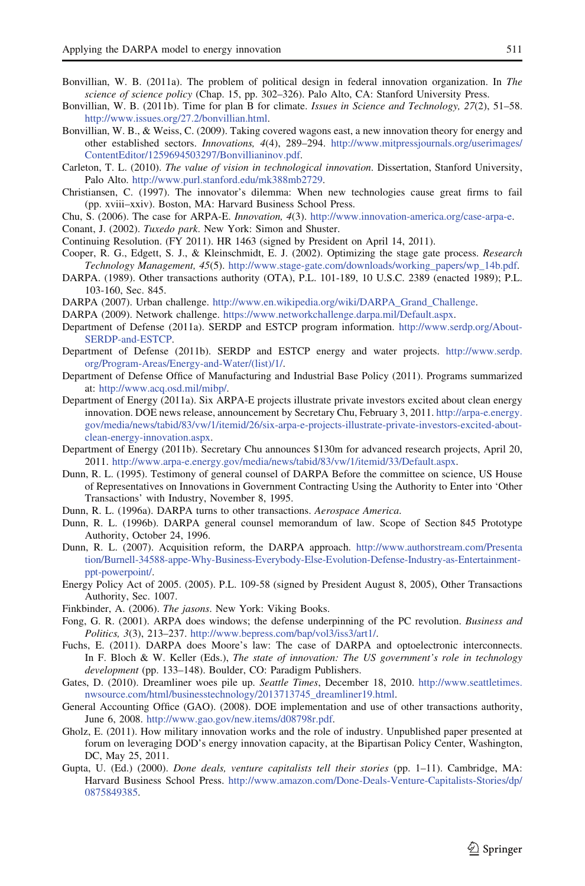- <span id="page-42-0"></span>Bonvillian, W. B. (2011a). The problem of political design in federal innovation organization. In The science of science policy (Chap. 15, pp. 302–326). Palo Alto, CA: Stanford University Press.
- Bonvillian, W. B. (2011b). Time for plan B for climate. Issues in Science and Technology, 27(2), 51–58. [http://www.issues.org/27.2/bonvillian.html.](http://www.issues.org/27.2/bonvillian.html)
- Bonvillian, W. B., & Weiss, C. (2009). Taking covered wagons east, a new innovation theory for energy and other established sectors. Innovations, 4(4), 289–294. [http://www.mitpressjournals.org/userimages/](http://www.mitpressjournals.org/userimages/ContentEditor/1259694503297/Bonvillianinov.pdf) [ContentEditor/1259694503297/Bonvillianinov.pdf.](http://www.mitpressjournals.org/userimages/ContentEditor/1259694503297/Bonvillianinov.pdf)

Carleton, T. L. (2010). The value of vision in technological innovation. Dissertation, Stanford University, Palo Alto. <http://www.purl.stanford.edu/mk388mb2729>.

- Christiansen, C. (1997). The innovator's dilemma: When new technologies cause great firms to fail (pp. xviii–xxiv). Boston, MA: Harvard Business School Press.
- Chu, S. (2006). The case for ARPA-E. Innovation, 4(3). [http://www.innovation-america.org/case-arpa-e.](http://www.innovation-america.org/case-arpa-e)
- Conant, J. (2002). Tuxedo park. New York: Simon and Shuster.
- Continuing Resolution. (FY 2011). HR 1463 (signed by President on April 14, 2011).
- Cooper, R. G., Edgett, S. J., & Kleinschmidt, E. J. (2002). Optimizing the stage gate process. Research Technology Management, 45(5). [http://www.stage-gate.com/downloads/working\\_papers/wp\\_14b.pdf.](http://www.stage-gate.com/downloads/working_papers/wp_14b.pdf)
- DARPA. (1989). Other transactions authority (OTA), P.L. 101-189, 10 U.S.C. 2389 (enacted 1989); P.L. 103-160, Sec. 845.
- DARPA (2007). Urban challenge. [http://www.en.wikipedia.org/wiki/DARPA\\_Grand\\_Challenge](http://www.en.wikipedia.org/wiki/DARPA_Grand_Challenge).
- DARPA (2009). Network challenge. [https://www.networkchallenge.darpa.mil/Default.aspx.](https://www.networkchallenge.darpa.mil/Default.aspx)
- Department of Defense (2011a). SERDP and ESTCP program information. [http://www.serdp.org/About-](http://www.serdp.org/About-SERDP-and-ESTCP)[SERDP-and-ESTCP](http://www.serdp.org/About-SERDP-and-ESTCP).
- Department of Defense (2011b). SERDP and ESTCP energy and water projects. [http://www.serdp.](http://www.serdp.org/Program-Areas/Energy-and-Water/(list)/1/) [org/Program-Areas/Energy-and-Water/\(list\)/1/.](http://www.serdp.org/Program-Areas/Energy-and-Water/(list)/1/)
- Department of Defense Office of Manufacturing and Industrial Base Policy (2011). Programs summarized at: <http://www.acq.osd.mil/mibp/>.
- Department of Energy (2011a). Six ARPA-E projects illustrate private investors excited about clean energy innovation. DOE news release, announcement by Secretary Chu, February 3, 2011. [http://arpa-e.energy.](http://arpa-e.energy.gov/media/news/tabid/83/vw/1/itemid/26/six-arpa-e-projects-illustrate-private-investors-excited-about-clean-energy-innovation.aspx) [gov/media/news/tabid/83/vw/1/itemid/26/six-arpa-e-projects-illustrate-private-investors-excited-about](http://arpa-e.energy.gov/media/news/tabid/83/vw/1/itemid/26/six-arpa-e-projects-illustrate-private-investors-excited-about-clean-energy-innovation.aspx)[clean-energy-innovation.aspx](http://arpa-e.energy.gov/media/news/tabid/83/vw/1/itemid/26/six-arpa-e-projects-illustrate-private-investors-excited-about-clean-energy-innovation.aspx).
- Department of Energy (2011b). Secretary Chu announces \$130m for advanced research projects, April 20, 2011. [http://www.arpa-e.energy.gov/media/news/tabid/83/vw/1/itemid/33/Default.aspx.](http://www.arpa-e.energy.gov/media/news/tabid/83/vw/1/itemid/33/Default.aspx)
- Dunn, R. L. (1995). Testimony of general counsel of DARPA Before the committee on science, US House of Representatives on Innovations in Government Contracting Using the Authority to Enter into 'Other Transactions' with Industry, November 8, 1995.
- Dunn, R. L. (1996a). DARPA turns to other transactions. Aerospace America.
- Dunn, R. L. (1996b). DARPA general counsel memorandum of law. Scope of Section 845 Prototype Authority, October 24, 1996.
- Dunn, R. L. (2007). Acquisition reform, the DARPA approach. [http://www.authorstream.com/Presenta](http://www.authorstream.com/Presentation/Burnell-34588-appe-Why-Business-Everybody-Else-Evolution-Defense-Industry-as-Entertainment-ppt-powerpoint/) [tion/Burnell-34588-appe-Why-Business-Everybody-Else-Evolution-Defense-Industry-as-Entertainment](http://www.authorstream.com/Presentation/Burnell-34588-appe-Why-Business-Everybody-Else-Evolution-Defense-Industry-as-Entertainment-ppt-powerpoint/)[ppt-powerpoint/](http://www.authorstream.com/Presentation/Burnell-34588-appe-Why-Business-Everybody-Else-Evolution-Defense-Industry-as-Entertainment-ppt-powerpoint/).
- Energy Policy Act of 2005. (2005). P.L. 109-58 (signed by President August 8, 2005), Other Transactions Authority, Sec. 1007.
- Finkbinder, A. (2006). The jasons. New York: Viking Books.
- Fong, G. R. (2001). ARPA does windows; the defense underpinning of the PC revolution. Business and Politics, 3(3), 213–237. [http://www.bepress.com/bap/vol3/iss3/art1/.](http://www.bepress.com/bap/vol3/iss3/art1/)
- Fuchs, E. (2011). DARPA does Moore's law: The case of DARPA and optoelectronic interconnects. In F. Bloch & W. Keller (Eds.), The state of innovation: The US government's role in technology development (pp. 133–148). Boulder, CO: Paradigm Publishers.
- Gates, D. (2010). Dreamliner woes pile up. Seattle Times, December 18, 2010. [http://www.seattletimes.](http://www.seattletimes.nwsource.com/html/businesstechnology/2013713745_dreamliner19.html) [nwsource.com/html/businesstechnology/2013713745\\_dreamliner19.html.](http://www.seattletimes.nwsource.com/html/businesstechnology/2013713745_dreamliner19.html)
- General Accounting Office (GAO). (2008). DOE implementation and use of other transactions authority, June 6, 2008. [http://www.gao.gov/new.items/d08798r.pdf.](http://www.gao.gov/new.items/d08798r.pdf)
- Gholz, E. (2011). How military innovation works and the role of industry. Unpublished paper presented at forum on leveraging DOD's energy innovation capacity, at the Bipartisan Policy Center, Washington, DC, May 25, 2011.
- Gupta, U. (Ed.) (2000). Done deals, venture capitalists tell their stories (pp. 1–11). Cambridge, MA: Harvard Business School Press. [http://www.amazon.com/Done-Deals-Venture-Capitalists-Stories/dp/](http://www.amazon.com/Done-Deals-Venture-Capitalists-Stories/dp/0875849385) [0875849385.](http://www.amazon.com/Done-Deals-Venture-Capitalists-Stories/dp/0875849385)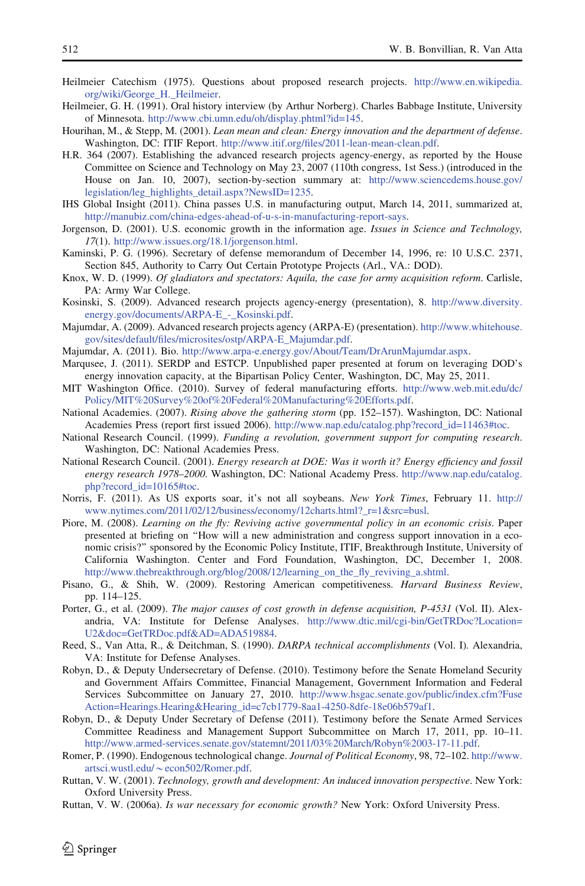- <span id="page-43-0"></span>Heilmeier Catechism (1975). Questions about proposed research projects. [http://www.en.wikipedia.](http://www.en.wikipedia.org/wiki/George_H._Heilmeier) [org/wiki/George\\_H.\\_Heilmeier](http://www.en.wikipedia.org/wiki/George_H._Heilmeier).
- Heilmeier, G. H. (1991). Oral history interview (by Arthur Norberg). Charles Babbage Institute, University of Minnesota. <http://www.cbi.umn.edu/oh/display.phtml?id=145>.
- Hourihan, M., & Stepp, M. (2001). Lean mean and clean: Energy innovation and the department of defense. Washington, DC: ITIF Report. <http://www.itif.org/files/2011-lean-mean-clean.pdf>.
- H.R. 364 (2007). Establishing the advanced research projects agency-energy, as reported by the House Committee on Science and Technology on May 23, 2007 (110th congress, 1st Sess.) (introduced in the House on Jan. 10, 2007), section-by-section summary at: [http://www.sciencedems.house.gov/](http://www.sciencedems.house.gov/legislation/leg_highlights_detail.aspx?NewsID=1235) [legislation/leg\\_highlights\\_detail.aspx?NewsID=1235.](http://www.sciencedems.house.gov/legislation/leg_highlights_detail.aspx?NewsID=1235)
- IHS Global Insight (2011). China passes U.S. in manufacturing output, March 14, 2011, summarized at, <http://manubiz.com/china-edges-ahead-of-u-s-in-manufacturing-report-says>.
- Jorgenson, D. (2001). U.S. economic growth in the information age. Issues in Science and Technology, 17(1). [http://www.issues.org/18.1/jorgenson.html.](http://www.issues.org/18.1/jorgenson.html)
- Kaminski, P. G. (1996). Secretary of defense memorandum of December 14, 1996, re: 10 U.S.C. 2371, Section 845, Authority to Carry Out Certain Prototype Projects (Arl., VA.: DOD).
- Knox, W. D. (1999). Of gladiators and spectators: Aquila, the case for army acquisition reform. Carlisle, PA: Army War College.
- Kosinski, S. (2009). Advanced research projects agency-energy (presentation), 8. [http://www.diversity.](http://www.diversity.energy.gov/documents/ARPA-E_-_Kosinski.pdf) energy.gov/documents/ARPA-E - Kosinski.pdf.
- Majumdar, A. (2009). Advanced research projects agency (ARPA-E) (presentation). [http://www.whitehouse.](http://www.whitehouse.gov/sites/default/files/microsites/ostp/ARPA-E_Majumdar.pdf) [gov/sites/default/files/microsites/ostp/ARPA-E\\_Majumdar.pdf](http://www.whitehouse.gov/sites/default/files/microsites/ostp/ARPA-E_Majumdar.pdf).
- Majumdar, A. (2011). Bio. [http://www.arpa-e.energy.gov/About/Team/DrArunMajumdar.aspx.](http://www.arpa-e.energy.gov/About/Team/DrArunMajumdar.aspx)
- Marqusee, J. (2011). SERDP and ESTCP. Unpublished paper presented at forum on leveraging DOD's energy innovation capacity, at the Bipartisan Policy Center, Washington, DC, May 25, 2011.
- MIT Washington Office. (2010). Survey of federal manufacturing efforts. [http://www.web.mit.edu/dc/](http://www.web.mit.edu/dc/Policy/MIT%20Survey%20of%20Federal%20Manufacturing%20Efforts.pdf) [Policy/MIT%20Survey%20of%20Federal%20Manufacturing%20Efforts.pdf.](http://www.web.mit.edu/dc/Policy/MIT%20Survey%20of%20Federal%20Manufacturing%20Efforts.pdf)
- National Academies. (2007). Rising above the gathering storm (pp. 152–157). Washington, DC: National Academies Press (report first issued 2006). [http://www.nap.edu/catalog.php?record\\_id=11463#toc.](http://www.nap.edu/catalog.php?record_id=11463#toc)
- National Research Council. (1999). Funding a revolution, government support for computing research. Washington, DC: National Academies Press.
- National Research Council. (2001). Energy research at DOE: Was it worth it? Energy efficiency and fossil energy research 1978–2000. Washington, DC: National Academy Press. [http://www.nap.edu/catalog.](http://www.nap.edu/catalog.php?record_id=10165#toc) [php?record\\_id=10165#toc.](http://www.nap.edu/catalog.php?record_id=10165#toc)
- Norris, F. (2011). As US exports soar, it's not all soybeans. New York Times, February 11. [http://](http://www.nytimes.com/2011/02/12/business/economy/12charts.html?_r=1&src=busl) [www.nytimes.com/2011/02/12/business/economy/12charts.html?\\_r=1&src=busl.](http://www.nytimes.com/2011/02/12/business/economy/12charts.html?_r=1&src=busl)
- Piore, M. (2008). Learning on the fly: Reviving active governmental policy in an economic crisis. Paper presented at briefing on ''How will a new administration and congress support innovation in a economic crisis?'' sponsored by the Economic Policy Institute, ITIF, Breakthrough Institute, University of California Washington. Center and Ford Foundation, Washington, DC, December 1, 2008. [http://www.thebreakthrough.org/blog/2008/12/learning\\_on\\_the\\_fly\\_reviving\\_a.shtml.](http://www.thebreakthrough.org/blog/2008/12/learning_on_the_fly_reviving_a.shtml)
- Pisano, G., & Shih, W. (2009). Restoring American competitiveness. Harvard Business Review, pp. 114–125.
- Porter, G., et al. (2009). The major causes of cost growth in defense acquisition, P-4531 (Vol. II). Alexandria, VA: Institute for Defense Analyses. [http://www.dtic.mil/cgi-bin/GetTRDoc?Location=](http://www.dtic.mil/cgi-bin/GetTRDoc?Location=U2&doc=GetTRDoc.pdf&AD=ADA519884) [U2&doc=GetTRDoc.pdf&AD=ADA519884](http://www.dtic.mil/cgi-bin/GetTRDoc?Location=U2&doc=GetTRDoc.pdf&AD=ADA519884).
- Reed, S., Van Atta, R., & Deitchman, S. (1990). DARPA technical accomplishments (Vol. I). Alexandria, VA: Institute for Defense Analyses.
- Robyn, D., & Deputy Undersecretary of Defense. (2010). Testimony before the Senate Homeland Security and Government Affairs Committee, Financial Management, Government Information and Federal Services Subcommittee on January 27, 2010. [http://www.hsgac.senate.gov/public/index.cfm?Fuse](http://www.hsgac.senate.gov/public/index.cfm?FuseAction=Hearings.Hearing&Hearing_id=c7cb1779-8aa1-4250-8dfe-18e06b579af1) [Action=Hearings.Hearing&Hearing\\_id=c7cb1779-8aa1-4250-8dfe-18e06b579af1](http://www.hsgac.senate.gov/public/index.cfm?FuseAction=Hearings.Hearing&Hearing_id=c7cb1779-8aa1-4250-8dfe-18e06b579af1).
- Robyn, D., & Deputy Under Secretary of Defense (2011). Testimony before the Senate Armed Services Committee Readiness and Management Support Subcommittee on March 17, 2011, pp. 10–11. [http://www.armed-services.senate.gov/statemnt/2011/03%20March/Robyn%2003-17-11.pdf.](http://www.armed-services.senate.gov/statemnt/2011/03%20March/Robyn%2003-17-11.pdf)
- Romer, P. (1990). Endogenous technological change. Journal of Political Economy, 98, 72–102. [http://www.](http://www.artsci.wustl.edu/~econ502/Romer.pdf) artsci.wustl.edu/ $\sim$ [econ502/Romer.pdf](http://www.artsci.wustl.edu/~econ502/Romer.pdf).
- Ruttan, V. W. (2001). Technology, growth and development: An induced innovation perspective. New York: Oxford University Press.
- Ruttan, V. W. (2006a). Is war necessary for economic growth? New York: Oxford University Press.